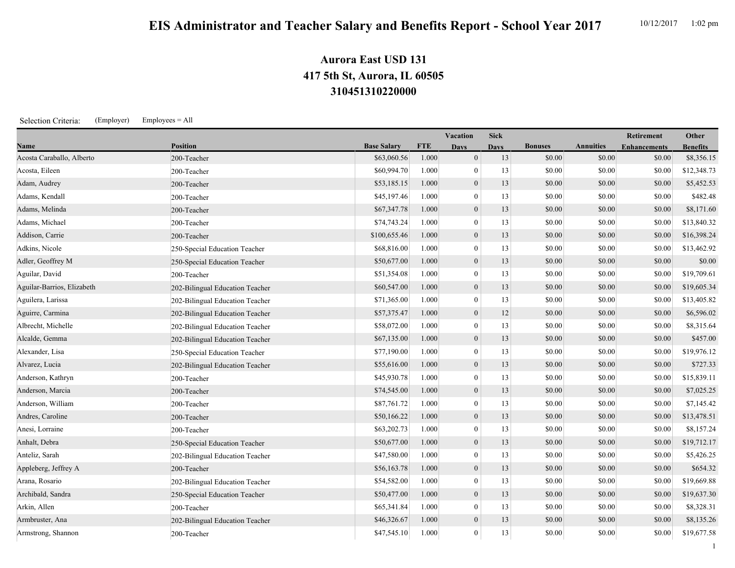1

## **310451310220000 417 5th St, Aurora, IL 60505 Aurora East USD 131**

Selection Criteria: (Employer) Employees = All

|                            |                                 |                    |            | Vacation         | <b>Sick</b> |                |                  | <b>Retirement</b>   | Other           |
|----------------------------|---------------------------------|--------------------|------------|------------------|-------------|----------------|------------------|---------------------|-----------------|
| Name                       | <b>Position</b>                 | <b>Base Salary</b> | <b>FTE</b> | <b>Davs</b>      | <b>Days</b> | <b>Bonuses</b> | <b>Annuities</b> | <b>Enhancements</b> | <b>Benefits</b> |
| Acosta Caraballo, Alberto  | 200-Teacher                     | \$63,060.56        | 1.000      | $\boldsymbol{0}$ | 13          | \$0.00         | \$0.00           | \$0.00              | \$8,356.15      |
| Acosta, Eileen             | 200-Teacher                     | \$60,994.70        | 1.000      | $\mathbf{0}$     | 13          | \$0.00         | \$0.00           | \$0.00              | \$12,348.73     |
| Adam, Audrey               | 200-Teacher                     | \$53,185.15        | 1.000      | $\mathbf{0}$     | 13          | \$0.00         | \$0.00           | \$0.00              | \$5,452.53      |
| Adams, Kendall             | 200-Teacher                     | \$45,197.46        | 1.000      | $\overline{0}$   | 13          | \$0.00         | \$0.00           | \$0.00              | \$482.48        |
| Adams, Melinda             | 200-Teacher                     | \$67,347.78        | 1.000      | $\boldsymbol{0}$ | 13          | \$0.00         | \$0.00           | \$0.00              | \$8,171.60      |
| Adams, Michael             | 200-Teacher                     | \$74,743.24        | 1.000      | $\overline{0}$   | 13          | \$0.00         | \$0.00           | \$0.00              | \$13,840.32     |
| Addison, Carrie            | 200-Teacher                     | \$100,655.46       | 1.000      | $\mathbf{0}$     | 13          | \$0.00         | \$0.00           | \$0.00              | \$16,398.24     |
| Adkins, Nicole             | 250-Special Education Teacher   | \$68,816.00        | 1.000      | $\overline{0}$   | 13          | \$0.00         | \$0.00           | \$0.00              | \$13,462.92     |
| Adler, Geoffrey M          | 250-Special Education Teacher   | \$50,677.00        | 1.000      | $\boldsymbol{0}$ | 13          | \$0.00         | \$0.00           | \$0.00              | \$0.00          |
| Aguilar, David             | 200-Teacher                     | \$51,354.08        | 1.000      | $\mathbf{0}$     | 13          | \$0.00         | \$0.00           | \$0.00              | \$19,709.61     |
| Aguilar-Barrios, Elizabeth | 202-Bilingual Education Teacher | \$60,547.00        | 1.000      | $\overline{0}$   | 13          | \$0.00         | \$0.00           | \$0.00              | \$19,605.34     |
| Aguilera, Larissa          | 202-Bilingual Education Teacher | \$71,365.00        | 1.000      | $\overline{0}$   | 13          | \$0.00         | \$0.00           | \$0.00              | \$13,405.82     |
| Aguirre, Carmina           | 202-Bilingual Education Teacher | \$57,375.47        | 1.000      | $\boldsymbol{0}$ | 12          | \$0.00         | \$0.00           | \$0.00              | \$6,596.02      |
| Albrecht, Michelle         | 202-Bilingual Education Teacher | \$58,072.00        | 1.000      | $\mathbf{0}$     | 13          | \$0.00         | \$0.00           | \$0.00              | \$8,315.64      |
| Alcalde, Gemma             | 202-Bilingual Education Teacher | \$67,135.00        | 1.000      | $\boldsymbol{0}$ | 13          | \$0.00         | \$0.00           | \$0.00              | \$457.00        |
| Alexander, Lisa            | 250-Special Education Teacher   | \$77,190.00        | 1.000      | $\mathbf{0}$     | 13          | \$0.00         | \$0.00           | \$0.00              | \$19,976.12     |
| Alvarez, Lucia             | 202-Bilingual Education Teacher | \$55,616.00        | 1.000      | $\boldsymbol{0}$ | 13          | \$0.00         | \$0.00           | \$0.00              | \$727.33        |
| Anderson, Kathryn          | 200-Teacher                     | \$45,930.78        | 1.000      | $\overline{0}$   | 13          | \$0.00         | \$0.00           | \$0.00              | \$15,839.11     |
| Anderson, Marcia           | 200-Teacher                     | \$74,545.00        | 1.000      | $\mathbf{0}$     | 13          | \$0.00         | \$0.00           | \$0.00              | \$7,025.25      |
| Anderson, William          | 200-Teacher                     | \$87,761.72        | 1.000      | $\mathbf{0}$     | 13          | \$0.00         | \$0.00           | \$0.00              | \$7,145.42      |
| Andres, Caroline           | 200-Teacher                     | \$50,166.22        | 1.000      | $\mathbf{0}$     | 13          | \$0.00         | \$0.00           | \$0.00              | \$13,478.51     |
| Anesi, Lorraine            | 200-Teacher                     | \$63,202.73        | 1.000      | $\mathbf{0}$     | 13          | \$0.00         | \$0.00           | \$0.00              | \$8,157.24      |
| Anhalt, Debra              | 250-Special Education Teacher   | \$50,677.00        | 1.000      | $\mathbf{0}$     | 13          | \$0.00         | \$0.00           | \$0.00              | \$19,712.17     |
| Anteliz, Sarah             | 202-Bilingual Education Teacher | \$47,580.00        | 1.000      | $\overline{0}$   | 13          | \$0.00         | \$0.00           | \$0.00              | \$5,426.25      |
| Appleberg, Jeffrey A       | 200-Teacher                     | \$56,163.78        | 1.000      | $\boldsymbol{0}$ | 13          | \$0.00         | \$0.00           | \$0.00              | \$654.32        |
| Arana, Rosario             | 202-Bilingual Education Teacher | \$54,582.00        | 1.000      | $\boldsymbol{0}$ | 13          | \$0.00         | \$0.00           | \$0.00              | \$19,669.88     |
| Archibald, Sandra          | 250-Special Education Teacher   | \$50,477.00        | 1.000      | $\mathbf{0}$     | 13          | \$0.00         | \$0.00           | \$0.00              | \$19,637.30     |
| Arkin, Allen               | 200-Teacher                     | \$65,341.84        | 1.000      | $\overline{0}$   | 13          | \$0.00         | \$0.00           | \$0.00              | \$8,328.31      |
| Armbruster, Ana            | 202-Bilingual Education Teacher | \$46,326.67        | 1.000      | $\mathbf{0}$     | 13          | \$0.00         | \$0.00           | \$0.00              | \$8,135.26      |
| Armstrong, Shannon         | 200-Teacher                     | \$47,545.10        | 1.000      | $\mathbf{0}$     | 13          | \$0.00         | \$0.00           | \$0.00              | \$19,677.58     |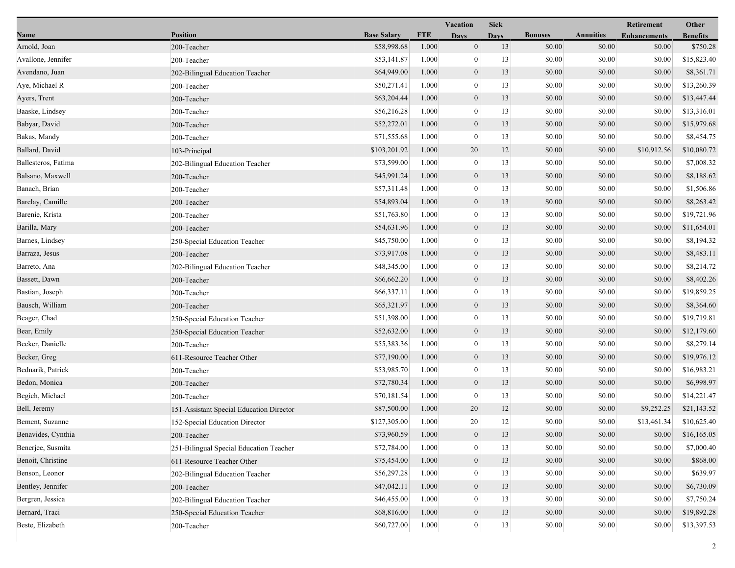|                     |                                          |                    |            | <b>Vacation</b>  | <b>Sick</b> |                |                  | Retirement          | Other           |
|---------------------|------------------------------------------|--------------------|------------|------------------|-------------|----------------|------------------|---------------------|-----------------|
| Name                | <b>Position</b>                          | <b>Base Salary</b> | <b>FTE</b> | <b>Days</b>      | <b>Days</b> | <b>Bonuses</b> | <b>Annuities</b> | <b>Enhancements</b> | <b>Benefits</b> |
| Arnold, Joan        | 200-Teacher                              | \$58,998.68        | 1.000      | $\boldsymbol{0}$ | 13          | \$0.00         | \$0.00           | \$0.00              | \$750.28        |
| Avallone, Jennifer  | 200-Teacher                              | \$53,141.87        | 1.000      | $\mathbf{0}$     | 13          | \$0.00         | \$0.00           | \$0.00              | \$15,823.40     |
| Avendano, Juan      | 202-Bilingual Education Teacher          | \$64,949.00        | 1.000      | $\boldsymbol{0}$ | 13          | \$0.00         | \$0.00           | \$0.00              | \$8,361.71      |
| Aye, Michael R      | 200-Teacher                              | \$50,271.41        | 1.000      | $\mathbf{0}$     | 13          | \$0.00         | \$0.00           | \$0.00              | \$13,260.39     |
| Ayers, Trent        | 200-Teacher                              | \$63,204.44        | 1.000      | $\boldsymbol{0}$ | 13          | \$0.00         | \$0.00           | \$0.00              | \$13,447.44     |
| Baaske, Lindsey     | 200-Teacher                              | \$56,216.28        | 1.000      | $\mathbf{0}$     | 13          | \$0.00         | \$0.00           | \$0.00              | \$13,316.01     |
| Babyar, David       | 200-Teacher                              | \$52,272.01        | 1.000      | $\mathbf{0}$     | 13          | \$0.00         | \$0.00           | \$0.00              | \$15,979.68     |
| Bakas, Mandy        | 200-Teacher                              | \$71,555.68        | 1.000      | $\mathbf{0}$     | 13          | \$0.00         | \$0.00           | \$0.00              | \$8,454.75      |
| Ballard, David      | 103-Principal                            | \$103,201.92       | 1.000      | 20               | 12          | \$0.00         | \$0.00           | \$10,912.56         | \$10,080.72     |
| Ballesteros, Fatima | 202-Bilingual Education Teacher          | \$73,599.00        | 1.000      | $\boldsymbol{0}$ | 13          | \$0.00         | \$0.00           | \$0.00              | \$7,008.32      |
| Balsano, Maxwell    | 200-Teacher                              | \$45,991.24        | 1.000      | $\boldsymbol{0}$ | 13          | \$0.00         | \$0.00           | \$0.00              | \$8,188.62      |
| Banach, Brian       | 200-Teacher                              | \$57,311.48        | 1.000      | $\mathbf{0}$     | 13          | \$0.00         | \$0.00           | \$0.00              | \$1,506.86      |
| Barclay, Camille    | 200-Teacher                              | \$54,893.04        | 1.000      | $\mathbf{0}$     | 13          | \$0.00         | \$0.00           | \$0.00              | \$8,263.42      |
| Barenie, Krista     | 200-Teacher                              | \$51,763.80        | 1.000      | $\mathbf{0}$     | 13          | \$0.00         | \$0.00           | \$0.00              | \$19,721.96     |
| Barilla, Mary       | 200-Teacher                              | \$54,631.96        | 1.000      | $\boldsymbol{0}$ | 13          | \$0.00         | \$0.00           | \$0.00              | \$11,654.01     |
| Barnes, Lindsey     | 250-Special Education Teacher            | \$45,750.00        | 1.000      | $\mathbf{0}$     | 13          | \$0.00         | \$0.00           | \$0.00              | \$8,194.32      |
| Barraza, Jesus      | 200-Teacher                              | \$73,917.08        | 1.000      | $\boldsymbol{0}$ | 13          | \$0.00         | \$0.00           | \$0.00              | \$8,483.11      |
| Barreto, Ana        | 202-Bilingual Education Teacher          | \$48,345.00        | 1.000      | $\mathbf{0}$     | 13          | \$0.00         | \$0.00           | \$0.00              | \$8,214.72      |
| Bassett, Dawn       | 200-Teacher                              | \$66,662.20        | 1.000      | $\mathbf{0}$     | 13          | \$0.00         | \$0.00           | \$0.00              | \$8,402.26      |
| Bastian, Joseph     | 200-Teacher                              | \$66,337.11        | 1.000      | $\mathbf{0}$     | 13          | \$0.00         | \$0.00           | \$0.00              | \$19,859.25     |
| Bausch, William     | 200-Teacher                              | \$65,321.97        | 1.000      | $\boldsymbol{0}$ | 13          | \$0.00         | \$0.00           | \$0.00              | \$8,364.60      |
| Beager, Chad        | 250-Special Education Teacher            | \$51,398.00        | 1.000      | $\mathbf{0}$     | 13          | \$0.00         | \$0.00           | \$0.00              | \$19,719.81     |
| Bear, Emily         | 250-Special Education Teacher            | \$52,632.00        | 1.000      | $\mathbf{0}$     | 13          | \$0.00         | \$0.00           | \$0.00              | \$12,179.60     |
| Becker, Danielle    | 200-Teacher                              | \$55,383.36        | 1.000      | $\mathbf{0}$     | 13          | \$0.00         | \$0.00           | \$0.00              | \$8,279.14      |
| Becker, Greg        | 611-Resource Teacher Other               | \$77,190.00        | 1.000      | $\mathbf{0}$     | 13          | \$0.00         | \$0.00           | \$0.00              | \$19,976.12     |
| Bednarik, Patrick   | 200-Teacher                              | \$53,985.70        | 1.000      | $\mathbf{0}$     | 13          | \$0.00         | \$0.00           | \$0.00              | \$16,983.21     |
| Bedon, Monica       | 200-Teacher                              | \$72,780.34        | 1.000      | $\boldsymbol{0}$ | 13          | \$0.00         | \$0.00           | \$0.00              | \$6,998.97      |
| Begich, Michael     | 200-Teacher                              | \$70,181.54        | 1.000      | $\mathbf{0}$     | 13          | \$0.00         | \$0.00           | \$0.00              | \$14,221.47     |
| Bell, Jeremy        | 151-Assistant Special Education Director | \$87,500.00        | 1.000      | 20               | 12          | \$0.00         | \$0.00           | \$9,252.25          | \$21,143.52     |
| Bement, Suzanne     | 152-Special Education Director           | \$127,305.00       | 1.000      | 20               | 12          | \$0.00         | \$0.00           | \$13,461.34         | \$10,625.40     |
| Benavides, Cynthia  | 200-Teacher                              | \$73,960.59        | 1.000      | $\theta$         | 13          | \$0.00         | \$0.00           | \$0.00              | \$16,165.05     |
| Benerjee, Susmita   | 251-Bilingual Special Education Teacher  | \$72,784.00        | 1.000      | $\bf{0}$         | 13          | \$0.00         | \$0.00           | \$0.00              | \$7,000.40      |
| Benoit, Christine   | 611-Resource Teacher Other               | \$75,454.00        | 1.000      | $\boldsymbol{0}$ | 13          | \$0.00         | \$0.00           | \$0.00              | \$868.00        |
| Benson, Leonor      | 202-Bilingual Education Teacher          | \$56,297.28        | 1.000      | $\mathbf{0}$     | 13          | \$0.00         | \$0.00           | \$0.00              | \$639.97        |
| Bentley, Jennifer   | 200-Teacher                              | \$47,042.11        | 1.000      | $\mathbf{0}$     | 13          | \$0.00         | \$0.00           | \$0.00              | \$6,730.09      |
| Bergren, Jessica    | 202-Bilingual Education Teacher          | \$46,455.00        | 1.000      | $\bf{0}$         | 13          | \$0.00         | \$0.00           | \$0.00              | \$7,750.24      |
| Bernard, Traci      | 250-Special Education Teacher            | \$68,816.00        | 1.000      | $\boldsymbol{0}$ | 13          | \$0.00         | \$0.00           | \$0.00              | \$19,892.28     |
| Beste, Elizabeth    | 200-Teacher                              | \$60,727.00        | 1.000      | 0                | 13          | \$0.00         | \$0.00           | \$0.00              | \$13,397.53     |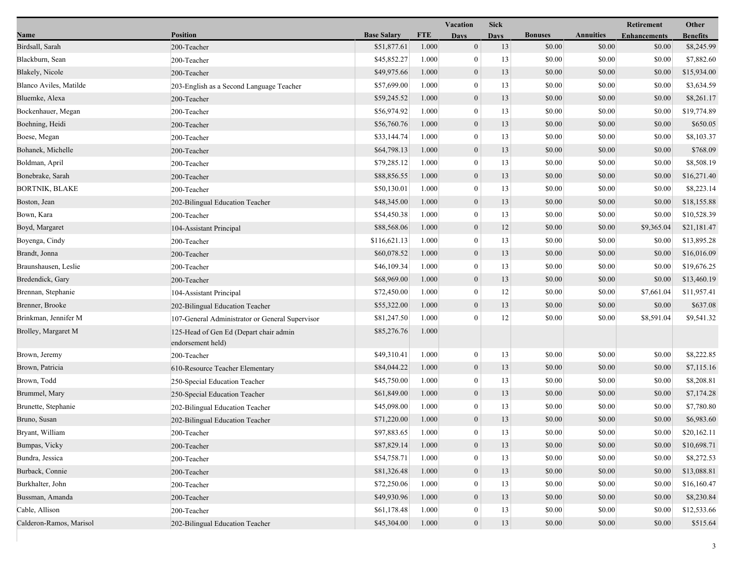|                         |                                                             |                    |            | Vacation         | <b>Sick</b> |                |                  | Retirement          | Other           |
|-------------------------|-------------------------------------------------------------|--------------------|------------|------------------|-------------|----------------|------------------|---------------------|-----------------|
| <b>Name</b>             | <b>Position</b>                                             | <b>Base Salary</b> | <b>FTE</b> | <b>Days</b>      | <b>Days</b> | <b>Bonuses</b> | <b>Annuities</b> | <b>Enhancements</b> | <b>Benefits</b> |
| Birdsall, Sarah         | 200-Teacher                                                 | \$51,877.61        | 1.000      | $\boldsymbol{0}$ | 13          | \$0.00         | \$0.00           | \$0.00              | \$8,245.99      |
| Blackburn, Sean         | 200-Teacher                                                 | \$45,852.27        | 1.000      | 0                | 13          | \$0.00         | \$0.00           | \$0.00              | \$7,882.60      |
| Blakely, Nicole         | 200-Teacher                                                 | \$49,975.66        | 1.000      | $\boldsymbol{0}$ | 13          | \$0.00         | \$0.00           | \$0.00              | \$15,934.00     |
| Blanco Aviles, Matilde  | 203-English as a Second Language Teacher                    | \$57,699.00        | 1.000      | $\mathbf{0}$     | 13          | \$0.00         | \$0.00           | \$0.00              | \$3,634.59      |
| Bluemke, Alexa          | 200-Teacher                                                 | \$59,245.52        | 1.000      | $\boldsymbol{0}$ | 13          | \$0.00         | \$0.00           | \$0.00              | \$8,261.17      |
| Bockenhauer, Megan      | 200-Teacher                                                 | \$56,974.92        | 1.000      | $\boldsymbol{0}$ | 13          | \$0.00         | \$0.00           | \$0.00              | \$19,774.89     |
| Boehning, Heidi         | 200-Teacher                                                 | \$56,760.76        | 1.000      | $\mathbf{0}$     | 13          | \$0.00         | \$0.00           | \$0.00              | \$650.05        |
| Boese, Megan            | 200-Teacher                                                 | \$33,144.74        | 1.000      | $\bf{0}$         | 13          | \$0.00         | \$0.00           | \$0.00              | \$8,103.37      |
| Bohanek, Michelle       | 200-Teacher                                                 | \$64,798.13        | 1.000      | $\boldsymbol{0}$ | 13          | \$0.00         | \$0.00           | \$0.00              | \$768.09        |
| Boldman, April          | 200-Teacher                                                 | \$79,285.12        | 1.000      | $\boldsymbol{0}$ | 13          | \$0.00         | \$0.00           | \$0.00              | \$8,508.19      |
| Bonebrake, Sarah        | 200-Teacher                                                 | \$88,856.55        | 1.000      | $\boldsymbol{0}$ | 13          | \$0.00         | \$0.00           | \$0.00              | \$16,271.40     |
| BORTNIK, BLAKE          | 200-Teacher                                                 | \$50,130.01        | 1.000      | $\boldsymbol{0}$ | 13          | \$0.00         | \$0.00           | \$0.00              | \$8,223.14      |
| Boston, Jean            | 202-Bilingual Education Teacher                             | \$48,345.00        | 1.000      | $\mathbf{0}$     | 13          | \$0.00         | \$0.00           | \$0.00              | \$18,155.88     |
| Bown, Kara              | 200-Teacher                                                 | \$54,450.38        | 1.000      | $\bf{0}$         | 13          | \$0.00         | \$0.00           | \$0.00              | \$10,528.39     |
| Boyd, Margaret          | 104-Assistant Principal                                     | \$88,568.06        | 1.000      | $\boldsymbol{0}$ | 12          | \$0.00         | \$0.00           | \$9,365.04          | \$21,181.47     |
| Boyenga, Cindy          | 200-Teacher                                                 | \$116,621.13       | 1.000      | $\mathbf{0}$     | 13          | \$0.00         | \$0.00           | \$0.00              | \$13,895.28     |
| Brandt, Jonna           | 200-Teacher                                                 | \$60,078.52        | 1.000      | $\boldsymbol{0}$ | 13          | \$0.00         | \$0.00           | \$0.00              | \$16,016.09     |
| Braunshausen, Leslie    | 200-Teacher                                                 | \$46,109.34        | 1.000      | $\boldsymbol{0}$ | 13          | \$0.00         | \$0.00           | \$0.00              | \$19,676.25     |
| Bredendick, Gary        | 200-Teacher                                                 | \$68,969.00        | 1.000      | $\mathbf{0}$     | 13          | \$0.00         | \$0.00           | \$0.00              | \$13,460.19     |
| Brennan, Stephanie      | 104-Assistant Principal                                     | \$72,450.00        | 1.000      | $\bf{0}$         | 12          | \$0.00         | \$0.00           | \$7,661.04          | \$11,957.41     |
| Brenner, Brooke         | 202-Bilingual Education Teacher                             | \$55,322.00        | 1.000      | $\boldsymbol{0}$ | 13          | \$0.00         | \$0.00           | \$0.00              | \$637.08        |
| Brinkman, Jennifer M    | 107-General Administrator or General Supervisor             | \$81,247.50        | 1.000      | $\mathbf{0}$     | 12          | \$0.00         | \$0.00           | \$8,591.04          | \$9,541.32      |
| Brolley, Margaret M     | 125-Head of Gen Ed (Depart chair admin<br>endorsement held) | \$85,276.76        | 1.000      |                  |             |                |                  |                     |                 |
| Brown, Jeremy           | 200-Teacher                                                 | \$49,310.41        | 1.000      | $\boldsymbol{0}$ | 13          | \$0.00         | \$0.00           | \$0.00              | \$8,222.85      |
| Brown, Patricia         | 610-Resource Teacher Elementary                             | \$84,044.22        | 1.000      | $\boldsymbol{0}$ | 13          | \$0.00         | \$0.00           | \$0.00              | \$7,115.16      |
| Brown, Todd             | 250-Special Education Teacher                               | \$45,750.00        | 1.000      | $\theta$         | 13          | \$0.00         | \$0.00           | \$0.00              | \$8,208.81      |
| Brummel, Mary           | 250-Special Education Teacher                               | \$61,849.00        | 1.000      | $\boldsymbol{0}$ | 13          | \$0.00         | \$0.00           | \$0.00              | \$7,174.28      |
| Brunette, Stephanie     | 202-Bilingual Education Teacher                             | \$45,098.00        | 1.000      | $\boldsymbol{0}$ | 13          | \$0.00         | \$0.00           | \$0.00              | \$7,780.80      |
| Bruno, Susan            | 202-Bilingual Education Teacher                             | \$71,220.00        | 1.000      | $\boldsymbol{0}$ | 13          | \$0.00         | \$0.00           | \$0.00              | \$6,983.60      |
| Bryant, William         | 200-Teacher                                                 | \$97,883.65        | 1.000      | $\boldsymbol{0}$ | 13          | \$0.00         | \$0.00           | \$0.00              | \$20,162.11     |
| Bumpas, Vicky           | 200-Teacher                                                 | \$87,829.14        | 1.000      | $\boldsymbol{0}$ | 13          | \$0.00         | \$0.00           | \$0.00              | \$10,698.71     |
| Bundra, Jessica         | 200-Teacher                                                 | \$54,758.71        | 1.000      | 0                | 13          | \$0.00         | \$0.00           | \$0.00              | \$8,272.53      |
| Burback, Connie         | 200-Teacher                                                 | \$81,326.48        | 1.000      | $\mathbf{0}$     | 13          | \$0.00         | \$0.00           | \$0.00              | \$13,088.81     |
| Burkhalter, John        | 200-Teacher                                                 | \$72,250.06        | 1.000      | 0                | 13          | \$0.00         | \$0.00           | \$0.00              | \$16,160.47     |
| Bussman, Amanda         | 200-Teacher                                                 | \$49,930.96        | 1.000      | $\boldsymbol{0}$ | 13          | \$0.00         | \$0.00           | \$0.00              | \$8,230.84      |
| Cable, Allison          | 200-Teacher                                                 | \$61,178.48        | 1.000      | 0                | 13          | \$0.00         | \$0.00           | \$0.00              | \$12,533.66     |
| Calderon-Ramos, Marisol | 202-Bilingual Education Teacher                             | \$45,304.00        | 1.000      | $\boldsymbol{0}$ | 13          | \$0.00         | \$0.00           | \$0.00              | \$515.64        |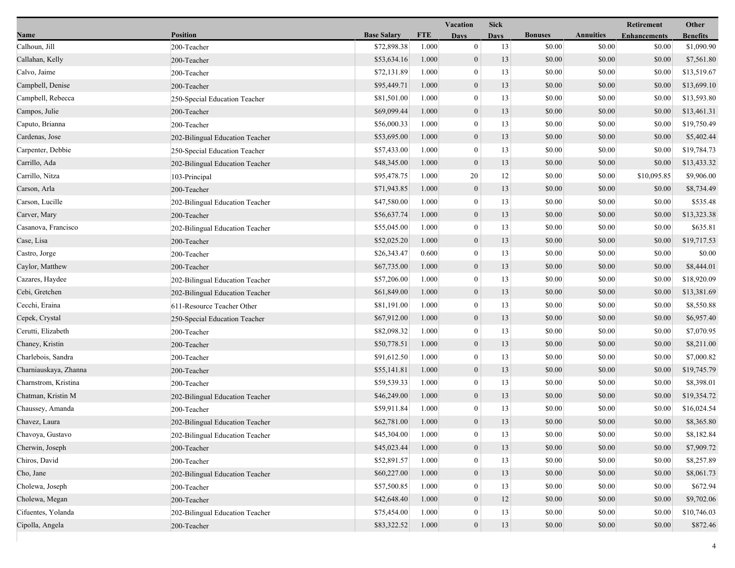|                       |                                 |                    |            | Vacation         | <b>Sick</b> |                |                  | Retirement          | Other           |
|-----------------------|---------------------------------|--------------------|------------|------------------|-------------|----------------|------------------|---------------------|-----------------|
| Name                  | <b>Position</b>                 | <b>Base Salary</b> | <b>FTE</b> | <b>Days</b>      | <b>Days</b> | <b>Bonuses</b> | <b>Annuities</b> | <b>Enhancements</b> | <b>Benefits</b> |
| Calhoun, Jill         | 200-Teacher                     | \$72,898.38        | 1.000      | $\overline{0}$   | 13          | \$0.00         | \$0.00           | \$0.00              | \$1,090.90      |
| Callahan, Kelly       | 200-Teacher                     | \$53,634.16        | 1.000      | $\mathbf{0}$     | 13          | \$0.00         | \$0.00           | \$0.00              | \$7,561.80      |
| Calvo, Jaime          | 200-Teacher                     | \$72,131.89        | 1.000      | $\overline{0}$   | 13          | \$0.00         | \$0.00           | \$0.00              | \$13,519.67     |
| Campbell, Denise      | 200-Teacher                     | \$95,449.71        | 1.000      | $\boldsymbol{0}$ | 13          | \$0.00         | \$0.00           | \$0.00              | \$13,699.10     |
| Campbell, Rebecca     | 250-Special Education Teacher   | \$81,501.00        | 1.000      | $\overline{0}$   | 13          | \$0.00         | \$0.00           | \$0.00              | \$13,593.80     |
| Campos, Julie         | 200-Teacher                     | \$69,099.44        | 1.000      | $\boldsymbol{0}$ | 13          | \$0.00         | \$0.00           | \$0.00              | \$13,461.31     |
| Caputo, Brianna       | 200-Teacher                     | \$56,000.33        | 1.000      | $\mathbf{0}$     | 13          | \$0.00         | \$0.00           | \$0.00              | \$19,750.49     |
| Cardenas, Jose        | 202-Bilingual Education Teacher | \$53,695.00        | 1.000      | $\mathbf{0}$     | 13          | \$0.00         | \$0.00           | \$0.00              | \$5,402.44      |
| Carpenter, Debbie     | 250-Special Education Teacher   | \$57,433.00        | 1.000      | $\boldsymbol{0}$ | 13          | \$0.00         | \$0.00           | \$0.00              | \$19,784.73     |
| Carrillo, Ada         | 202-Bilingual Education Teacher | \$48,345.00        | 1.000      | $\overline{0}$   | 13          | \$0.00         | \$0.00           | \$0.00              | \$13,433.32     |
| Carrillo, Nitza       | 103-Principal                   | \$95,478.75        | 1.000      | 20               | 12          | \$0.00         | \$0.00           | \$10,095.85         | \$9,906.00      |
| Carson, Arla          | 200-Teacher                     | \$71,943.85        | 1.000      | $\boldsymbol{0}$ | 13          | \$0.00         | \$0.00           | \$0.00              | \$8,734.49      |
| Carson, Lucille       | 202-Bilingual Education Teacher | \$47,580.00        | 1.000      | $\overline{0}$   | 13          | \$0.00         | \$0.00           | \$0.00              | \$535.48        |
| Carver, Mary          | 200-Teacher                     | \$56,637.74        | 1.000      | $\mathbf{0}$     | 13          | \$0.00         | \$0.00           | \$0.00              | \$13,323.38     |
| Casanova, Francisco   | 202-Bilingual Education Teacher | \$55,045.00        | 1.000      | $\mathbf{0}$     | 13          | \$0.00         | \$0.00           | \$0.00              | \$635.81        |
| Case, Lisa            | 200-Teacher                     | \$52,025.20        | 1.000      | $\boldsymbol{0}$ | 13          | \$0.00         | \$0.00           | \$0.00              | \$19,717.53     |
| Castro, Jorge         | 200-Teacher                     | \$26,343.47        | 0.600      | $\boldsymbol{0}$ | 13          | \$0.00         | \$0.00           | \$0.00              | \$0.00          |
| Caylor, Matthew       | 200-Teacher                     | \$67,735.00        | 1.000      | $\mathbf{0}$     | 13          | \$0.00         | \$0.00           | \$0.00              | \$8,444.01      |
| Cazares, Haydee       | 202-Bilingual Education Teacher | \$57,206.00        | 1.000      | $\overline{0}$   | 13          | \$0.00         | \$0.00           | \$0.00              | \$18,920.09     |
| Cebi, Gretchen        | 202-Bilingual Education Teacher | \$61,849.00        | 1.000      | $\mathbf{0}$     | 13          | \$0.00         | \$0.00           | \$0.00              | \$13,381.69     |
| Cecchi, Eraina        | 611-Resource Teacher Other      | \$81,191.00        | 1.000      | $\boldsymbol{0}$ | 13          | \$0.00         | \$0.00           | \$0.00              | \$8,550.88      |
| Cepek, Crystal        | 250-Special Education Teacher   | \$67,912.00        | 1.000      | $\boldsymbol{0}$ | 13          | \$0.00         | \$0.00           | \$0.00              | \$6,957.40      |
| Cerutti, Elizabeth    | 200-Teacher                     | \$82,098.32        | 1.000      | $\boldsymbol{0}$ | 13          | \$0.00         | \$0.00           | \$0.00              | \$7,070.95      |
| Chaney, Kristin       | 200-Teacher                     | \$50,778.51        | 1.000      | $\mathbf{0}$     | 13          | \$0.00         | \$0.00           | \$0.00              | \$8,211.00      |
| Charlebois, Sandra    | 200-Teacher                     | \$91,612.50        | 1.000      | $\overline{0}$   | 13          | \$0.00         | \$0.00           | \$0.00              | \$7,000.82      |
| Charniauskaya, Zhanna | 200-Teacher                     | \$55,141.81        | 1.000      | $\overline{0}$   | 13          | \$0.00         | \$0.00           | \$0.00              | \$19,745.79     |
| Charnstrom, Kristina  | 200-Teacher                     | \$59,539.33        | 1.000      | $\mathbf{0}$     | 13          | \$0.00         | \$0.00           | \$0.00              | \$8,398.01      |
| Chatman, Kristin M    | 202-Bilingual Education Teacher | \$46,249.00        | 1.000      | $\boldsymbol{0}$ | 13          | \$0.00         | \$0.00           | \$0.00              | \$19,354.72     |
| Chaussey, Amanda      | 200-Teacher                     | \$59,911.84        | 1.000      | $\mathbf{0}$     | 13          | \$0.00         | \$0.00           | \$0.00              | \$16,024.54     |
| Chavez, Laura         | 202-Bilingual Education Teacher | \$62,781.00        | 1.000      | $\mathbf{0}$     | 13          | \$0.00         | \$0.00           | \$0.00              | \$8,365.80      |
| Chavoya, Gustavo      | 202-Bilingual Education Teacher | \$45,304.00        | 1.000      | $\theta$         | 13          | \$0.00         | \$0.00           | \$0.00              | \$8,182.84      |
| Cherwin, Joseph       | 200-Teacher                     | \$45,023.44        | 1.000      | $\mathbf{0}$     | 13          | \$0.00         | \$0.00           | \$0.00              | \$7,909.72      |
| Chiros, David         | 200-Teacher                     | \$52,891.57        | 1.000      | $\bf{0}$         | 13          | \$0.00         | \$0.00           | \$0.00              | \$8,257.89      |
| Cho, Jane             | 202-Bilingual Education Teacher | \$60,227.00        | 1.000      | $\boldsymbol{0}$ | 13          | \$0.00         | \$0.00           | \$0.00              | \$8,061.73      |
| Cholewa, Joseph       | 200-Teacher                     | \$57,500.85        | 1.000      | $\overline{0}$   | 13          | \$0.00         | \$0.00           | \$0.00              | \$672.94        |
| Cholewa, Megan        | 200-Teacher                     | \$42,648.40        | 1.000      | $\mathbf{0}$     | 12          | \$0.00         | \$0.00           | \$0.00              | \$9,702.06      |
| Cifuentes, Yolanda    | 202-Bilingual Education Teacher | \$75,454.00        | 1.000      | $\mathbf{0}$     | 13          | \$0.00         | \$0.00           | \$0.00              | \$10,746.03     |
| Cipolla, Angela       | 200-Teacher                     | \$83,322.52        | 1.000      | $\mathbf{0}$     | 13          | \$0.00         | \$0.00           | \$0.00              | \$872.46        |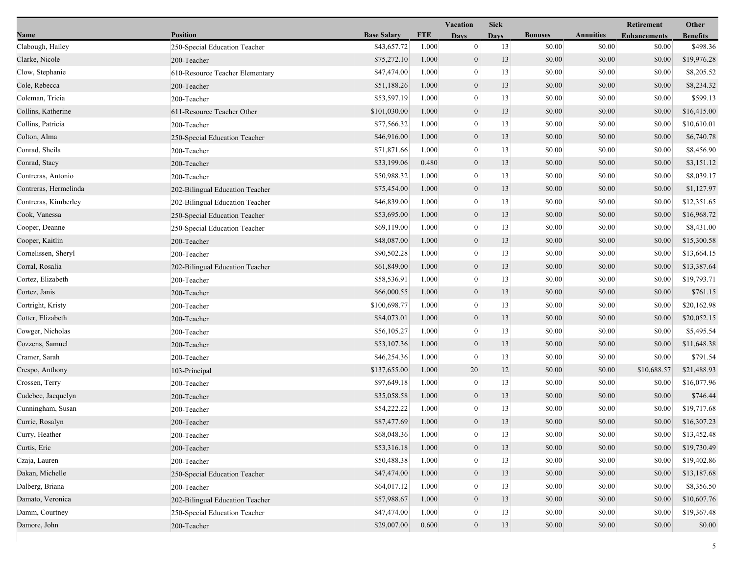|                       |                                 |                    |            | <b>Vacation</b>  | <b>Sick</b> |                |                  | <b>Retirement</b>   | Other           |
|-----------------------|---------------------------------|--------------------|------------|------------------|-------------|----------------|------------------|---------------------|-----------------|
| Name                  | <b>Position</b>                 | <b>Base Salary</b> | <b>FTE</b> | <b>Days</b>      | <b>Days</b> | <b>Bonuses</b> | <b>Annuities</b> | <b>Enhancements</b> | <b>Benefits</b> |
| Clabough, Hailey      | 250-Special Education Teacher   | \$43,657.72        | 1.000      | $\mathbf{0}$     | 13          | \$0.00         | \$0.00           | \$0.00              | \$498.36        |
| Clarke, Nicole        | 200-Teacher                     | \$75,272.10        | 1.000      | $\overline{0}$   | 13          | \$0.00         | \$0.00           | \$0.00              | \$19,976.28     |
| Clow, Stephanie       | 610-Resource Teacher Elementary | \$47,474.00        | 1.000      | $\mathbf{0}$     | 13          | \$0.00         | \$0.00           | \$0.00              | \$8,205.52      |
| Cole, Rebecca         | 200-Teacher                     | \$51,188.26        | 1.000      | $\mathbf{0}$     | 13          | \$0.00         | \$0.00           | \$0.00              | \$8,234.32      |
| Coleman, Tricia       | 200-Teacher                     | \$53,597.19        | 1.000      | $\mathbf{0}$     | 13          | \$0.00         | \$0.00           | \$0.00              | \$599.13        |
| Collins, Katherine    | 611-Resource Teacher Other      | \$101,030.00       | 1.000      | $\boldsymbol{0}$ | 13          | \$0.00         | \$0.00           | \$0.00              | \$16,415.00     |
| Collins, Patricia     | 200-Teacher                     | \$77,566.32        | 1.000      | $\overline{0}$   | 13          | \$0.00         | \$0.00           | \$0.00              | \$10,610.01     |
| Colton, Alma          | 250-Special Education Teacher   | \$46,916.00        | 1.000      | $\boldsymbol{0}$ | 13          | \$0.00         | \$0.00           | \$0.00              | \$6,740.78      |
| Conrad, Sheila        | 200-Teacher                     | \$71,871.66        | 1.000      | $\mathbf{0}$     | 13          | \$0.00         | \$0.00           | \$0.00              | \$8,456.90      |
| Conrad, Stacy         | 200-Teacher                     | \$33,199.06        | 0.480      | $\mathbf{0}$     | 13          | \$0.00         | \$0.00           | \$0.00              | \$3,151.12      |
| Contreras, Antonio    | 200-Teacher                     | \$50,988.32        | 1.000      | $\bf{0}$         | 13          | \$0.00         | \$0.00           | \$0.00              | \$8,039.17      |
| Contreras, Hermelinda | 202-Bilingual Education Teacher | \$75,454.00        | 1.000      | $\mathbf{0}$     | 13          | \$0.00         | \$0.00           | \$0.00              | \$1,127.97      |
| Contreras, Kimberley  | 202-Bilingual Education Teacher | \$46,839.00        | 1.000      | $\overline{0}$   | 13          | \$0.00         | \$0.00           | \$0.00              | \$12,351.65     |
| Cook, Vanessa         | 250-Special Education Teacher   | \$53,695.00        | 1.000      | $\boldsymbol{0}$ | 13          | \$0.00         | \$0.00           | \$0.00              | \$16,968.72     |
| Cooper, Deanne        | 250-Special Education Teacher   | \$69,119.00        | 1.000      | $\mathbf{0}$     | 13          | \$0.00         | \$0.00           | \$0.00              | \$8,431.00      |
| Cooper, Kaitlin       | 200-Teacher                     | \$48,087.00        | 1.000      | $\mathbf{0}$     | 13          | \$0.00         | \$0.00           | \$0.00              | \$15,300.58     |
| Cornelissen, Sheryl   | 200-Teacher                     | \$90,502.28        | 1.000      | $\bf{0}$         | 13          | \$0.00         | \$0.00           | \$0.00              | \$13,664.15     |
| Corral, Rosalia       | 202-Bilingual Education Teacher | \$61,849.00        | 1.000      | $\boldsymbol{0}$ | 13          | \$0.00         | \$0.00           | \$0.00              | \$13,387.64     |
| Cortez, Elizabeth     | 200-Teacher                     | \$58,536.91        | 1.000      | $\overline{0}$   | 13          | \$0.00         | \$0.00           | \$0.00              | \$19,793.71     |
| Cortez, Janis         | 200-Teacher                     | \$66,000.55        | 1.000      | $\mathbf{0}$     | 13          | \$0.00         | \$0.00           | \$0.00              | \$761.15        |
| Cortright, Kristy     | 200-Teacher                     | \$100,698.77       | 1.000      | $\mathbf{0}$     | 13          | \$0.00         | \$0.00           | \$0.00              | \$20,162.98     |
| Cotter, Elizabeth     | 200-Teacher                     | \$84,073.01        | 1.000      | $\mathbf{0}$     | 13          | \$0.00         | \$0.00           | \$0.00              | \$20,052.15     |
| Cowger, Nicholas      | 200-Teacher                     | \$56,105.27        | 1.000      | $\bf{0}$         | 13          | \$0.00         | \$0.00           | \$0.00              | \$5,495.54      |
| Cozzens, Samuel       | 200-Teacher                     | \$53,107.36        | 1.000      | $\mathbf{0}$     | 13          | \$0.00         | \$0.00           | \$0.00              | \$11,648.38     |
| Cramer, Sarah         | 200-Teacher                     | \$46,254.36        | 1.000      | $\overline{0}$   | 13          | \$0.00         | \$0.00           | \$0.00              | \$791.54        |
| Crespo, Anthony       | 103-Principal                   | \$137,655.00       | 1.000      | 20               | 12          | \$0.00         | \$0.00           | \$10,688.57         | \$21,488.93     |
| Crossen, Terry        | 200-Teacher                     | \$97,649.18        | 1.000      | $\boldsymbol{0}$ | 13          | \$0.00         | \$0.00           | \$0.00              | \$16,077.96     |
| Cudebec, Jacquelyn    | 200-Teacher                     | \$35,058.58        | 1.000      | $\boldsymbol{0}$ | 13          | \$0.00         | \$0.00           | \$0.00              | \$746.44        |
| Cunningham, Susan     | 200-Teacher                     | \$54,222.22        | 1.000      | $\mathbf{0}$     | 13          | \$0.00         | \$0.00           | \$0.00              | \$19,717.68     |
| Currie, Rosalyn       | 200-Teacher                     | \$87,477.69        | 1.000      | $\overline{0}$   | 13          | \$0.00         | \$0.00           | \$0.00              | \$16,307.23     |
| Curry, Heather        | 200-Teacher                     | \$68,048.36        | 1.000      | $\bf{0}$         | 13          | \$0.00         | \$0.00           | \$0.00              | \$13,452.48     |
| Curtis, Eric          | 200-Teacher                     | \$53,316.18        | 1.000      | $\mathbf{0}$     | 13          | \$0.00         | \$0.00           | \$0.00              | \$19,730.49     |
| Czaja, Lauren         | 200-Teacher                     | \$50,488.38        | 1.000      | $\bf{0}$         | 13          | \$0.00         | \$0.00           | \$0.00              | \$19,402.86     |
| Dakan, Michelle       | 250-Special Education Teacher   | \$47,474.00        | 1.000      | $\boldsymbol{0}$ | 13          | \$0.00         | \$0.00           | \$0.00              | \$13,187.68     |
| Dalberg, Briana       | 200-Teacher                     | \$64,017.12        | 1.000      | $\overline{0}$   | 13          | \$0.00         | \$0.00           | \$0.00              | \$8,356.50      |
| Damato, Veronica      | 202-Bilingual Education Teacher | \$57,988.67        | 1.000      | $\mathbf{0}$     | 13          | \$0.00         | \$0.00           | \$0.00              | \$10,607.76     |
| Damm, Courtney        | 250-Special Education Teacher   | \$47,474.00        | 1.000      | $\mathbf{0}$     | 13          | \$0.00         | \$0.00           | \$0.00              | \$19,367.48     |
| Damore, John          | 200-Teacher                     | \$29,007.00        | 0.600      | $\boldsymbol{0}$ | 13          | \$0.00         | \$0.00           | \$0.00              | \$0.00          |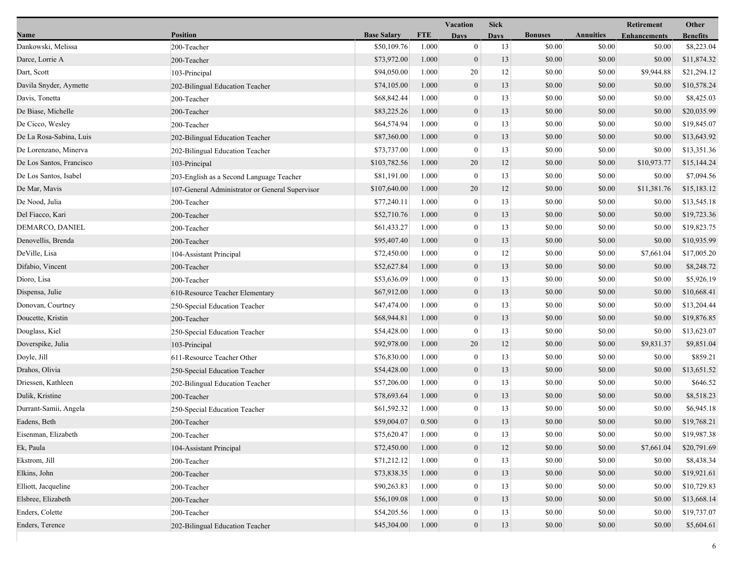|                          |                                                 |                    |            | Vacation         | <b>Sick</b> |                |                  | Retirement          | Other           |
|--------------------------|-------------------------------------------------|--------------------|------------|------------------|-------------|----------------|------------------|---------------------|-----------------|
| Name                     | <b>Position</b>                                 | <b>Base Salary</b> | <b>FTE</b> | <b>Days</b>      | Davs        | <b>Bonuses</b> | <b>Annuities</b> | <b>Enhancements</b> | <b>Benefits</b> |
| Dankowski, Melissa       | 200-Teacher                                     | \$50,109.76        | 1.000      | $\mathbf{0}$     | 13          | \$0.00         | \$0.00           | \$0.00              | \$8,223.04      |
| Darce, Lorrie A          | 200-Teacher                                     | \$73,972.00        | 1.000      | $\mathbf{0}$     | 13          | \$0.00         | \$0.00           | \$0.00              | \$11,874.32     |
| Dart, Scott              | 103-Principal                                   | \$94,050.00        | 1.000      | 20               | 12          | \$0.00         | \$0.00           | \$9,944.88          | \$21,294.12     |
| Davila Snyder, Aymette   | 202-Bilingual Education Teacher                 | \$74,105.00        | 1.000      | $\boldsymbol{0}$ | 13          | \$0.00         | \$0.00           | \$0.00              | \$10,578.24     |
| Davis, Tonetta           | 200-Teacher                                     | \$68,842.44        | 1.000      | $\boldsymbol{0}$ | 13          | \$0.00         | \$0.00           | \$0.00              | \$8,425.03      |
| De Biase, Michelle       | 200-Teacher                                     | \$83,225.26        | 1.000      | $\boldsymbol{0}$ | 13          | \$0.00         | \$0.00           | \$0.00              | \$20,035.99     |
| De Cicco, Wesley         | 200-Teacher                                     | \$64,574.94        | 1.000      | $\mathbf{0}$     | 13          | \$0.00         | \$0.00           | \$0.00              | \$19,845.07     |
| De La Rosa-Sabina, Luis  | 202-Bilingual Education Teacher                 | \$87,360.00        | 1.000      | $\boldsymbol{0}$ | 13          | \$0.00         | \$0.00           | \$0.00              | \$13,643.92     |
| De Lorenzano, Minerva    | 202-Bilingual Education Teacher                 | \$73,737.00        | 1.000      | $\boldsymbol{0}$ | 13          | \$0.00         | \$0.00           | \$0.00              | \$13,351.36     |
| De Los Santos, Francisco | 103-Principal                                   | \$103,782.56       | 1.000      | 20               | 12          | \$0.00         | \$0.00           | \$10,973.77         | \$15,144.24     |
| De Los Santos, Isabel    | 203-English as a Second Language Teacher        | \$81,191.00        | 1.000      | $\boldsymbol{0}$ | 13          | \$0.00         | \$0.00           | \$0.00              | \$7,094.56      |
| De Mar, Mavis            | 107-General Administrator or General Supervisor | \$107,640.00       | 1.000      | 20               | 12          | \$0.00         | \$0.00           | \$11,381.76         | \$15,183.12     |
| De Nood, Julia           | 200-Teacher                                     | \$77,240.11        | 1.000      | $\mathbf{0}$     | 13          | \$0.00         | \$0.00           | \$0.00              | \$13,545.18     |
| Del Fiacco, Kari         | 200-Teacher                                     | \$52,710.76        | 1.000      | $\boldsymbol{0}$ | 13          | \$0.00         | \$0.00           | \$0.00              | \$19,723.36     |
| DEMARCO, DANIEL          | 200-Teacher                                     | \$61,433.27        | 1.000      | $\boldsymbol{0}$ | 13          | \$0.00         | \$0.00           | \$0.00              | \$19,823.75     |
| Denovellis, Brenda       | 200-Teacher                                     | \$95,407.40        | 1.000      | $\boldsymbol{0}$ | 13          | \$0.00         | \$0.00           | \$0.00              | \$10,935.99     |
| DeVille, Lisa            | 104-Assistant Principal                         | \$72,450.00        | 1.000      | 0                | 12          | \$0.00         | \$0.00           | \$7,661.04          | \$17,005.20     |
| Difabio, Vincent         | 200-Teacher                                     | \$52,627.84        | 1.000      | $\mathbf{0}$     | 13          | \$0.00         | \$0.00           | \$0.00              | \$8,248.72      |
| Dioro, Lisa              | 200-Teacher                                     | \$53,636.09        | 1.000      | $\boldsymbol{0}$ | 13          | \$0.00         | \$0.00           | \$0.00              | \$5,926.19      |
| Dispensa, Julie          | 610-Resource Teacher Elementary                 | \$67,912.00        | 1.000      | $\mathbf{0}$     | 13          | \$0.00         | \$0.00           | \$0.00              | \$10,668.41     |
| Donovan, Courtney        | 250-Special Education Teacher                   | \$47,474.00        | 1.000      | $\boldsymbol{0}$ | 13          | \$0.00         | \$0.00           | \$0.00              | \$13,204.44     |
| Doucette, Kristin        | 200-Teacher                                     | \$68,944.81        | 1.000      | $\boldsymbol{0}$ | 13          | \$0.00         | \$0.00           | \$0.00              | \$19,876.85     |
| Douglass, Kiel           | 250-Special Education Teacher                   | \$54,428.00        | 1.000      | $\boldsymbol{0}$ | 13          | \$0.00         | \$0.00           | \$0.00              | \$13,623.07     |
| Doverspike, Julia        | 103-Principal                                   | \$92,978.00        | 1.000      | 20               | 12          | \$0.00         | \$0.00           | \$9,831.37          | \$9,851.04      |
| Doyle, Jill              | 611-Resource Teacher Other                      | \$76,830.00        | 1.000      | $\boldsymbol{0}$ | 13          | \$0.00         | \$0.00           | \$0.00              | \$859.21        |
| Drahos, Olivia           | 250-Special Education Teacher                   | \$54,428.00        | 1.000      | $\mathbf{0}$     | 13          | \$0.00         | \$0.00           | \$0.00              | \$13,651.52     |
| Driessen, Kathleen       | 202-Bilingual Education Teacher                 | \$57,206.00        | 1.000      | $\boldsymbol{0}$ | 13          | \$0.00         | \$0.00           | \$0.00              | \$646.52        |
| Dulik, Kristine          | 200-Teacher                                     | \$78,693.64        | 1.000      | $\boldsymbol{0}$ | 13          | \$0.00         | \$0.00           | \$0.00              | \$8,518.23      |
| Durrant-Samii, Angela    | 250-Special Education Teacher                   | \$61,592.32        | 1.000      | $\boldsymbol{0}$ | 13          | \$0.00         | \$0.00           | \$0.00              | \$6,945.18      |
| Eadens, Beth             | 200-Teacher                                     | \$59,004.07        | 0.500      | $\overline{0}$   | 13          | \$0.00         | \$0.00           | \$0.00              | \$19,768.21     |
| Eisenman, Elizabeth      | 200-Teacher                                     | \$75,620.47        | 1.000      | $\theta$         | 13          | \$0.00         | \$0.00           | \$0.00              | \$19,987.38     |
| Ek, Paula                | 104-Assistant Principal                         | \$72,450.00        | 1.000      | $\boldsymbol{0}$ | 12          | \$0.00         | \$0.00           | \$7,661.04          | \$20,791.69     |
| Ekstrom, Jill            | 200-Teacher                                     | \$71,212.12        | 1.000      | 0                | 13          | \$0.00         | \$0.00           | \$0.00              | \$8,438.34      |
| Elkins, John             | 200-Teacher                                     | \$73,838.35        | 1.000      | $\mathbf{0}$     | 13          | \$0.00         | \$0.00           | \$0.00              | \$19,921.61     |
| Elliott, Jacqueline      | 200-Teacher                                     | \$90,263.83        | 1.000      | $\theta$         | 13          | \$0.00         | \$0.00           | \$0.00              | \$10,729.83     |
| Elsbree, Elizabeth       | 200-Teacher                                     | \$56,109.08        | 1.000      | $\mathbf{0}$     | 13          | \$0.00         | \$0.00           | \$0.00              | \$13,668.14     |
| Enders, Colette          | 200-Teacher                                     | \$54,205.56        | 1.000      | 0                | 13          | \$0.00         | \$0.00           | \$0.00              | \$19,737.07     |
| Enders, Terence          | 202-Bilingual Education Teacher                 | \$45,304.00        | 1.000      | $\mathbf{0}$     | 13          | \$0.00         | \$0.00           | \$0.00              | \$5,604.61      |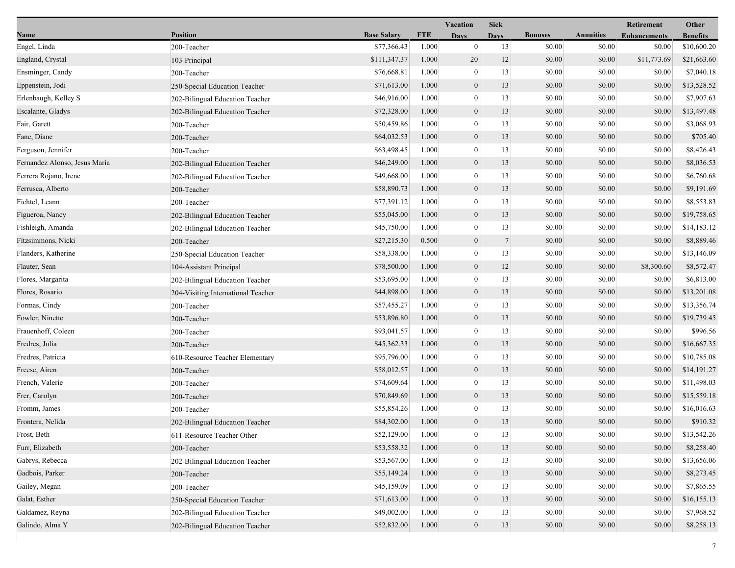|                               |                                    |                    |            | Vacation         | <b>Sick</b> |                |                  | Retirement          | Other           |
|-------------------------------|------------------------------------|--------------------|------------|------------------|-------------|----------------|------------------|---------------------|-----------------|
| Name                          | <b>Position</b>                    | <b>Base Salary</b> | <b>FTE</b> | <b>Days</b>      | <b>Days</b> | <b>Bonuses</b> | <b>Annuities</b> | <b>Enhancements</b> | <b>Benefits</b> |
| Engel, Linda                  | 200-Teacher                        | \$77,366.43        | 1.000      | $\mathbf{0}$     | 13          | \$0.00         | \$0.00           | \$0.00              | \$10,600.20     |
| England, Crystal              | 103-Principal                      | \$111,347.37       | 1.000      | 20               | 12          | \$0.00         | \$0.00           | \$11,773.69         | \$21,663.60     |
| Ensminger, Candy              | 200-Teacher                        | \$76,668.81        | 1.000      | $\mathbf{0}$     | 13          | \$0.00         | \$0.00           | \$0.00              | \$7,040.18      |
| Eppenstein, Jodi              | 250-Special Education Teacher      | \$71,613.00        | 1.000      | $\boldsymbol{0}$ | 13          | \$0.00         | \$0.00           | \$0.00              | \$13,528.52     |
| Erlenbaugh, Kelley S          | 202-Bilingual Education Teacher    | \$46,916.00        | 1.000      | $\boldsymbol{0}$ | 13          | \$0.00         | \$0.00           | \$0.00              | \$7,907.63      |
| Escalante, Gladys             | 202-Bilingual Education Teacher    | \$72,328.00        | 1.000      | $\mathbf{0}$     | 13          | \$0.00         | \$0.00           | \$0.00              | \$13,497.48     |
| Fair, Garett                  | 200-Teacher                        | \$50,459.86        | 1.000      | $\overline{0}$   | 13          | \$0.00         | \$0.00           | \$0.00              | \$3,068.93      |
| Fane, Diane                   | 200-Teacher                        | \$64,032.53        | 1.000      | $\boldsymbol{0}$ | 13          | \$0.00         | \$0.00           | \$0.00              | \$705.40        |
| Ferguson, Jennifer            | 200-Teacher                        | \$63,498.45        | 1.000      | $\mathbf{0}$     | 13          | \$0.00         | \$0.00           | \$0.00              | \$8,426.43      |
| Fernandez Alonso, Jesus Maria | 202-Bilingual Education Teacher    | \$46,249.00        | 1.000      | $\boldsymbol{0}$ | 13          | \$0.00         | \$0.00           | \$0.00              | \$8,036.53      |
| Ferrera Rojano, Irene         | 202-Bilingual Education Teacher    | \$49,668.00        | 1.000      | $\mathbf{0}$     | 13          | \$0.00         | \$0.00           | \$0.00              | \$6,760.68      |
| Ferrusca, Alberto             | 200-Teacher                        | \$58,890.73        | 1.000      | $\boldsymbol{0}$ | 13          | \$0.00         | \$0.00           | \$0.00              | \$9,191.69      |
| Fichtel, Leann                | 200-Teacher                        | \$77,391.12        | 1.000      | $\overline{0}$   | 13          | \$0.00         | \$0.00           | \$0.00              | \$8,553.83      |
| Figueroa, Nancy               | 202-Bilingual Education Teacher    | \$55,045.00        | 1.000      | $\boldsymbol{0}$ | 13          | \$0.00         | \$0.00           | \$0.00              | \$19,758.65     |
| Fishleigh, Amanda             | 202-Bilingual Education Teacher    | \$45,750.00        | 1.000      | $\mathbf{0}$     | 13          | \$0.00         | \$0.00           | \$0.00              | \$14,183.12     |
| Fitzsimmons, Nicki            | 200-Teacher                        | \$27,215.30        | 0.500      | $\boldsymbol{0}$ | 7           | \$0.00         | \$0.00           | \$0.00              | \$8,889.46      |
| Flanders, Katherine           | 250-Special Education Teacher      | \$58,338.00        | 1.000      | $\mathbf{0}$     | 13          | \$0.00         | \$0.00           | \$0.00              | \$13,146.09     |
| Flauter, Sean                 | 104-Assistant Principal            | \$78,500.00        | 1.000      | $\mathbf{0}$     | 12          | \$0.00         | \$0.00           | \$8,300.60          | \$8,572.47      |
| Flores, Margarita             | 202-Bilingual Education Teacher    | \$53,695.00        | 1.000      | $\overline{0}$   | 13          | \$0.00         | \$0.00           | \$0.00              | \$6,813.00      |
| Flores, Rosario               | 204-Visiting International Teacher | \$44,898.00        | 1.000      | $\boldsymbol{0}$ | 13          | \$0.00         | \$0.00           | \$0.00              | \$13,201.08     |
| Formas, Cindy                 | 200-Teacher                        | \$57,455.27        | 1.000      | $\boldsymbol{0}$ | 13          | \$0.00         | \$0.00           | \$0.00              | \$13,356.74     |
| Fowler, Ninette               | 200-Teacher                        | \$53,896.80        | 1.000      | $\boldsymbol{0}$ | 13          | \$0.00         | \$0.00           | \$0.00              | \$19,739.45     |
| Frauenhoff, Coleen            | 200-Teacher                        | \$93,041.57        | 1.000      | $\mathbf{0}$     | 13          | \$0.00         | \$0.00           | \$0.00              | \$996.56        |
| Fredres, Julia                | 200-Teacher                        | \$45,362.33        | 1.000      | $\boldsymbol{0}$ | 13          | \$0.00         | \$0.00           | \$0.00              | \$16,667.35     |
| Fredres, Patricia             | 610-Resource Teacher Elementary    | \$95,796.00        | 1.000      | $\overline{0}$   | 13          | \$0.00         | \$0.00           | \$0.00              | \$10,785.08     |
| Freese, Airen                 | 200-Teacher                        | \$58,012.57        | 1.000      | $\mathbf{0}$     | 13          | \$0.00         | \$0.00           | \$0.00              | \$14,191.27     |
| French, Valerie               | 200-Teacher                        | \$74,609.64        | 1.000      | $\overline{0}$   | 13          | \$0.00         | \$0.00           | \$0.00              | \$11,498.03     |
| Frer, Carolyn                 | 200-Teacher                        | \$70,849.69        | 1.000      | $\boldsymbol{0}$ | 13          | \$0.00         | \$0.00           | \$0.00              | \$15,559.18     |
| Fromm, James                  | 200-Teacher                        | \$55,854.26        | 1.000      | $\mathbf{0}$     | 13          | \$0.00         | \$0.00           | \$0.00              | \$16,016.63     |
| Frontera, Nelida              | 202-Bilingual Education Teacher    | \$84,302.00        | 1.000      | $\mathbf{0}$     | 13          | \$0.00         | \$0.00           | \$0.00              | \$910.32        |
| Frost, Beth                   | 611-Resource Teacher Other         | \$52,129.00        | 1.000      | $\bf{0}$         | 13          | \$0.00         | \$0.00           | \$0.00              | \$13,542.26     |
| Furr, Elizabeth               | 200-Teacher                        | \$53,558.32        | 1.000      | $\boldsymbol{0}$ | 13          | \$0.00         | \$0.00           | \$0.00              | \$8,258.40      |
| Gabrys, Rebecca               | 202-Bilingual Education Teacher    | \$53,567.00        | 1.000      | $\overline{0}$   | 13          | \$0.00         | \$0.00           | \$0.00              | \$13,656.06     |
| Gadbois, Parker               | 200-Teacher                        | \$55,149.24        | 1.000      | $\mathbf{0}$     | 13          | \$0.00         | \$0.00           | \$0.00              | \$8,273.45      |
| Gailey, Megan                 | 200-Teacher                        | \$45,159.09        | 1.000      | $\overline{0}$   | 13          | \$0.00         | \$0.00           | \$0.00              | \$7,865.55      |
| Galat, Esther                 | 250-Special Education Teacher      | \$71,613.00        | 1.000      | $\mathbf{0}$     | 13          | \$0.00         | \$0.00           | \$0.00              | \$16,155.13     |
| Galdamez, Reyna               | 202-Bilingual Education Teacher    | \$49,002.00        | 1.000      | $\mathbf{0}$     | 13          | \$0.00         | \$0.00           | \$0.00              | \$7,968.52      |
| Galindo, Alma Y               | 202-Bilingual Education Teacher    | \$52,832.00        | 1.000      | $\mathbf{0}$     | 13          | \$0.00         | \$0.00           | \$0.00              | \$8,258.13      |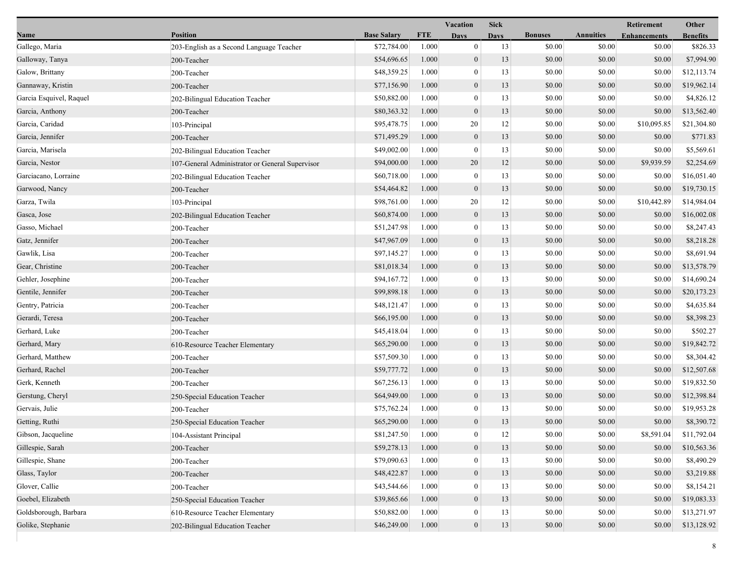|                         |                                                 |                    |            | Vacation         | <b>Sick</b> |                |                  | Retirement          | Other           |
|-------------------------|-------------------------------------------------|--------------------|------------|------------------|-------------|----------------|------------------|---------------------|-----------------|
| Name                    | <b>Position</b>                                 | <b>Base Salary</b> | <b>FTE</b> | <b>Days</b>      | <b>Days</b> | <b>Bonuses</b> | <b>Annuities</b> | <b>Enhancements</b> | <b>Benefits</b> |
| Gallego, Maria          | 203-English as a Second Language Teacher        | \$72,784.00        | 1.000      | $\mathbf{0}$     | 13          | \$0.00         | \$0.00           | \$0.00              | \$826.33        |
| Galloway, Tanya         | 200-Teacher                                     | \$54,696.65        | 1.000      | $\boldsymbol{0}$ | 13          | \$0.00         | \$0.00           | \$0.00              | \$7,994.90      |
| Galow, Brittany         | 200-Teacher                                     | \$48,359.25        | 1.000      | $\boldsymbol{0}$ | 13          | \$0.00         | \$0.00           | \$0.00              | \$12,113.74     |
| Gannaway, Kristin       | 200-Teacher                                     | \$77,156.90        | 1.000      | $\boldsymbol{0}$ | 13          | \$0.00         | \$0.00           | \$0.00              | \$19,962.14     |
| Garcia Esquivel, Raquel | 202-Bilingual Education Teacher                 | \$50,882.00        | 1.000      | $\mathbf{0}$     | 13          | \$0.00         | \$0.00           | \$0.00              | \$4,826.12      |
| Garcia, Anthony         | 200-Teacher                                     | \$80,363.32        | 1.000      | $\boldsymbol{0}$ | 13          | \$0.00         | \$0.00           | \$0.00              | \$13,562.40     |
| Garcia, Caridad         | 103-Principal                                   | \$95,478.75        | 1.000      | 20               | 12          | \$0.00         | \$0.00           | \$10,095.85         | \$21,304.80     |
| Garcia, Jennifer        | 200-Teacher                                     | \$71,495.29        | 1.000      | $\mathbf{0}$     | 13          | \$0.00         | \$0.00           | \$0.00              | \$771.83        |
| Garcia, Marisela        | 202-Bilingual Education Teacher                 | \$49,002.00        | 1.000      | $\bf{0}$         | 13          | \$0.00         | \$0.00           | \$0.00              | \$5,569.61      |
| Garcia, Nestor          | 107-General Administrator or General Supervisor | \$94,000.00        | 1.000      | 20               | 12          | \$0.00         | \$0.00           | \$9,939.59          | \$2,254.69      |
| Garciacano, Lorraine    | 202-Bilingual Education Teacher                 | \$60,718.00        | 1.000      | $\boldsymbol{0}$ | 13          | \$0.00         | \$0.00           | \$0.00              | \$16,051.40     |
| Garwood, Nancy          | 200-Teacher                                     | \$54,464.82        | 1.000      | $\boldsymbol{0}$ | 13          | \$0.00         | \$0.00           | \$0.00              | \$19,730.15     |
| Garza, Twila            | 103-Principal                                   | \$98,761.00        | 1.000      | 20               | 12          | \$0.00         | \$0.00           | \$10,442.89         | \$14,984.04     |
| Gasca, Jose             | 202-Bilingual Education Teacher                 | \$60,874.00        | 1.000      | $\mathbf{0}$     | 13          | \$0.00         | \$0.00           | \$0.00              | \$16,002.08     |
| Gasso, Michael          | 200-Teacher                                     | \$51,247.98        | 1.000      | $\boldsymbol{0}$ | 13          | \$0.00         | \$0.00           | \$0.00              | \$8,247.43      |
| Gatz, Jennifer          | 200-Teacher                                     | \$47,967.09        | 1.000      | $\boldsymbol{0}$ | 13          | \$0.00         | \$0.00           | \$0.00              | \$8,218.28      |
| Gawlik, Lisa            | 200-Teacher                                     | \$97,145.27        | 1.000      | $\bf{0}$         | 13          | \$0.00         | \$0.00           | \$0.00              | \$8,691.94      |
| Gear, Christine         | 200-Teacher                                     | \$81,018.34        | 1.000      | $\boldsymbol{0}$ | 13          | \$0.00         | \$0.00           | \$0.00              | \$13,578.79     |
| Gehler, Josephine       | 200-Teacher                                     | \$94,167.72        | 1.000      | $\mathbf{0}$     | 13          | \$0.00         | \$0.00           | \$0.00              | \$14,690.24     |
| Gentile, Jennifer       | 200-Teacher                                     | \$99,898.18        | 1.000      | $\mathbf{0}$     | 13          | \$0.00         | \$0.00           | \$0.00              | \$20,173.23     |
| Gentry, Patricia        | 200-Teacher                                     | \$48,121.47        | 1.000      | $\mathbf{0}$     | 13          | \$0.00         | \$0.00           | \$0.00              | \$4,635.84      |
| Gerardi, Teresa         | 200-Teacher                                     | \$66,195.00        | 1.000      | $\boldsymbol{0}$ | 13          | \$0.00         | \$0.00           | \$0.00              | \$8,398.23      |
| Gerhard, Luke           | 200-Teacher                                     | \$45,418.04        | 1.000      | $\bf{0}$         | 13          | \$0.00         | \$0.00           | \$0.00              | \$502.27        |
| Gerhard, Mary           | 610-Resource Teacher Elementary                 | \$65,290.00        | 1.000      | $\boldsymbol{0}$ | 13          | \$0.00         | \$0.00           | \$0.00              | \$19,842.72     |
| Gerhard, Matthew        | 200-Teacher                                     | \$57,509.30        | 1.000      | $\mathbf{0}$     | 13          | \$0.00         | \$0.00           | \$0.00              | \$8,304.42      |
| Gerhard, Rachel         | 200-Teacher                                     | \$59,777.72        | 1.000      | $\mathbf{0}$     | 13          | \$0.00         | \$0.00           | \$0.00              | \$12,507.68     |
| Gerk, Kenneth           | 200-Teacher                                     | \$67,256.13        | 1.000      | $\boldsymbol{0}$ | 13          | \$0.00         | \$0.00           | \$0.00              | \$19,832.50     |
| Gerstung, Cheryl        | 250-Special Education Teacher                   | \$64,949.00        | 1.000      | $\boldsymbol{0}$ | 13          | \$0.00         | \$0.00           | \$0.00              | \$12,398.84     |
| Gervais, Julie          | 200-Teacher                                     | \$75,762.24        | 1.000      | $\bf{0}$         | 13          | \$0.00         | \$0.00           | \$0.00              | \$19,953.28     |
| Getting, Ruthi          | 250-Special Education Teacher                   | \$65,290.00        | 1.000      | $\mathbf{0}$     | 13          | \$0.00         | \$0.00           | \$0.00              | \$8,390.72      |
| Gibson, Jacqueline      | 104-Assistant Principal                         | \$81,247.50        | 1.000      | $\theta$         | 12          | \$0.00         | \$0.00           | \$8,591.04          | \$11,792.04     |
| Gillespie, Sarah        | 200-Teacher                                     | \$59,278.13        | 1.000      | $\boldsymbol{0}$ | 13          | \$0.00         | \$0.00           | \$0.00              | \$10,563.36     |
| Gillespie, Shane        | 200-Teacher                                     | \$79,090.63        | 1.000      | $\bf{0}$         | 13          | \$0.00         | \$0.00           | \$0.00              | \$8,490.29      |
| Glass, Taylor           | 200-Teacher                                     | \$48,422.87        | 1.000      | $\boldsymbol{0}$ | 13          | \$0.00         | \$0.00           | \$0.00              | \$3,219.88      |
| Glover, Callie          | 200-Teacher                                     | \$43,544.66        | 1.000      | $\theta$         | 13          | \$0.00         | \$0.00           | \$0.00              | \$8,154.21      |
| Goebel, Elizabeth       | 250-Special Education Teacher                   | \$39,865.66        | 1.000      | $\mathbf{0}$     | 13          | \$0.00         | \$0.00           | \$0.00              | \$19,083.33     |
| Goldsborough, Barbara   | 610-Resource Teacher Elementary                 | \$50,882.00        | 1.000      | 0                | 13          | \$0.00         | \$0.00           | \$0.00              | \$13,271.97     |
| Golike, Stephanie       | 202-Bilingual Education Teacher                 | \$46,249.00        | 1.000      | $\boldsymbol{0}$ | 13          | \$0.00         | \$0.00           | \$0.00              | \$13,128.92     |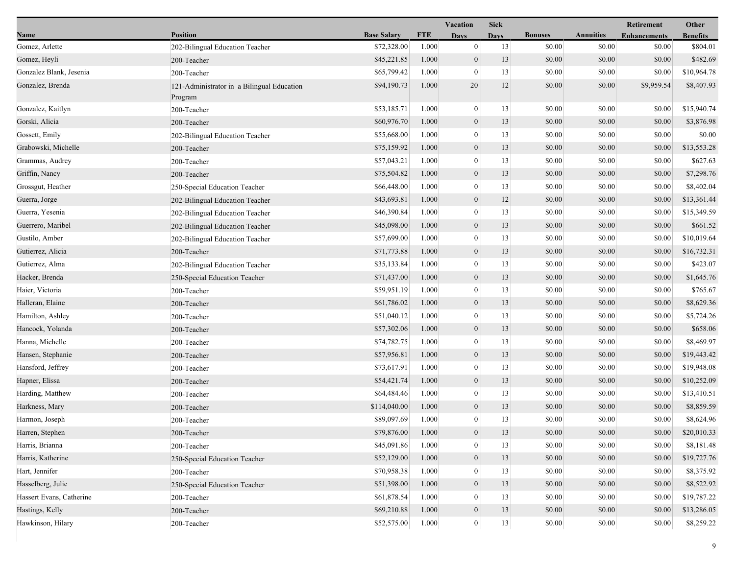|                          |                                                       |                    |            | Vacation         | <b>Sick</b> |                |                  | <b>Retirement</b>   | Other           |
|--------------------------|-------------------------------------------------------|--------------------|------------|------------------|-------------|----------------|------------------|---------------------|-----------------|
| Name                     | <b>Position</b>                                       | <b>Base Salary</b> | <b>FTE</b> | <b>Days</b>      | <b>Days</b> | <b>Bonuses</b> | <b>Annuities</b> | <b>Enhancements</b> | <b>Benefits</b> |
| Gomez, Arlette           | 202-Bilingual Education Teacher                       | \$72,328.00        | 1.000      | $\mathbf{0}$     | 13          | \$0.00         | \$0.00           | \$0.00              | \$804.01        |
| Gomez, Heyli             | 200-Teacher                                           | \$45,221.85        | 1.000      | $\mathbf{0}$     | 13          | \$0.00         | \$0.00           | \$0.00              | \$482.69        |
| Gonzalez Blank, Jesenia  | 200-Teacher                                           | \$65,799.42        | 1.000      | $\overline{0}$   | 13          | \$0.00         | \$0.00           | \$0.00              | \$10,964.78     |
| Gonzalez, Brenda         | 121-Administrator in a Bilingual Education<br>Program | \$94,190.73        | 1.000      | 20               | 12          | \$0.00         | \$0.00           | \$9,959.54          | \$8,407.93      |
| Gonzalez, Kaitlyn        | 200-Teacher                                           | \$53,185.71        | 1.000      | $\mathbf{0}$     | 13          | \$0.00         | \$0.00           | \$0.00              | \$15,940.74     |
| Gorski, Alicia           | 200-Teacher                                           | \$60,976.70        | 1.000      | $\boldsymbol{0}$ | 13          | \$0.00         | \$0.00           | \$0.00              | \$3,876.98      |
| Gossett, Emily           | 202-Bilingual Education Teacher                       | \$55,668.00        | 1.000      | $\overline{0}$   | 13          | \$0.00         | \$0.00           | \$0.00              | \$0.00          |
| Grabowski, Michelle      | 200-Teacher                                           | \$75,159.92        | 1.000      | $\boldsymbol{0}$ | 13          | \$0.00         | \$0.00           | \$0.00              | \$13,553.28     |
| Grammas, Audrey          | 200-Teacher                                           | \$57,043.21        | 1.000      | $\mathbf{0}$     | 13          | \$0.00         | \$0.00           | \$0.00              | \$627.63        |
| Griffin, Nancy           | 200-Teacher                                           | \$75,504.82        | 1.000      | $\boldsymbol{0}$ | 13          | \$0.00         | \$0.00           | \$0.00              | \$7,298.76      |
| Grossgut, Heather        | 250-Special Education Teacher                         | \$66,448.00        | 1.000      | $\overline{0}$   | 13          | \$0.00         | \$0.00           | \$0.00              | \$8,402.04      |
| Guerra, Jorge            | 202-Bilingual Education Teacher                       | \$43,693.81        | 1.000      | $\mathbf{0}$     | 12          | \$0.00         | \$0.00           | \$0.00              | \$13,361.44     |
| Guerra, Yesenia          | 202-Bilingual Education Teacher                       | \$46,390.84        | 1.000      | $\overline{0}$   | 13          | \$0.00         | \$0.00           | \$0.00              | \$15,349.59     |
| Guerrero, Maribel        | 202-Bilingual Education Teacher                       | \$45,098.00        | 1.000      | $\mathbf{0}$     | 13          | \$0.00         | \$0.00           | \$0.00              | \$661.52        |
| Gustilo, Amber           | 202-Bilingual Education Teacher                       | \$57,699.00        | 1.000      | $\overline{0}$   | 13          | \$0.00         | \$0.00           | \$0.00              | \$10,019.64     |
| Gutierrez, Alicia        | 200-Teacher                                           | \$71,773.88        | 1.000      | $\boldsymbol{0}$ | 13          | \$0.00         | \$0.00           | \$0.00              | \$16,732.31     |
| Gutierrez, Alma          | 202-Bilingual Education Teacher                       | \$35,133.84        | 1.000      | $\mathbf{0}$     | 13          | \$0.00         | \$0.00           | \$0.00              | \$423.07        |
| Hacker, Brenda           | 250-Special Education Teacher                         | \$71,437.00        | 1.000      | $\mathbf{0}$     | 13          | \$0.00         | \$0.00           | \$0.00              | \$1,645.76      |
| Haier, Victoria          | 200-Teacher                                           | \$59,951.19        | 1.000      | $\overline{0}$   | 13          | \$0.00         | \$0.00           | \$0.00              | \$765.67        |
| Halleran, Elaine         | 200-Teacher                                           | \$61,786.02        | 1.000      | $\mathbf{0}$     | 13          | \$0.00         | \$0.00           | \$0.00              | \$8,629.36      |
| Hamilton, Ashley         | 200-Teacher                                           | \$51,040.12        | 1.000      | $\overline{0}$   | 13          | \$0.00         | \$0.00           | \$0.00              | \$5,724.26      |
| Hancock, Yolanda         | 200-Teacher                                           | \$57,302.06        | 1.000      | $\boldsymbol{0}$ | 13          | \$0.00         | \$0.00           | \$0.00              | \$658.06        |
| Hanna, Michelle          | 200-Teacher                                           | \$74,782.75        | 1.000      | $\overline{0}$   | 13          | \$0.00         | \$0.00           | \$0.00              | \$8,469.97      |
| Hansen, Stephanie        | 200-Teacher                                           | \$57,956.81        | 1.000      | $\mathbf{0}$     | 13          | \$0.00         | \$0.00           | \$0.00              | \$19,443.42     |
| Hansford, Jeffrey        | 200-Teacher                                           | \$73,617.91        | 1.000      | $\overline{0}$   | 13          | \$0.00         | \$0.00           | \$0.00              | \$19,948.08     |
| Hapner, Elissa           | 200-Teacher                                           | \$54,421.74        | 1.000      | $\mathbf{0}$     | 13          | \$0.00         | \$0.00           | \$0.00              | \$10,252.09     |
| Harding, Matthew         | 200-Teacher                                           | \$64,484.46        | 1.000      | $\overline{0}$   | 13          | \$0.00         | \$0.00           | \$0.00              | \$13,410.51     |
| Harkness, Mary           | 200-Teacher                                           | \$114,040.00       | 1.000      | $\boldsymbol{0}$ | 13          | \$0.00         | \$0.00           | \$0.00              | \$8,859.59      |
| Harmon, Joseph           | 200-Teacher                                           | \$89,097.69        | 1.000      | $\theta$         | 13          | \$0.00         | \$0.00           | \$0.00              | \$8,624.96      |
| Harren, Stephen          | 200-Teacher                                           | \$79,876.00        | 1.000      | $\mathbf{0}$     | 13          | \$0.00         | $\$0.00$         | \$0.00              | \$20,010.33     |
| Harris, Brianna          | 200-Teacher                                           | \$45,091.86        | 1.000      | $\mathbf{0}$     | 13          | \$0.00         | \$0.00           | \$0.00              | \$8,181.48      |
| Harris, Katherine        | 250-Special Education Teacher                         | \$52,129.00        | 1.000      | $\mathbf{0}$     | 13          | \$0.00         | \$0.00           | \$0.00              | \$19,727.76     |
| Hart, Jennifer           | 200-Teacher                                           | \$70,958.38        | 1.000      | 0                | 13          | \$0.00         | \$0.00           | \$0.00              | \$8,375.92      |
| Hasselberg, Julie        | 250-Special Education Teacher                         | \$51,398.00        | 1.000      | $\mathbf{0}$     | 13          | \$0.00         | \$0.00           | \$0.00              | \$8,522.92      |
| Hassert Evans, Catherine | 200-Teacher                                           | \$61,878.54        | 1.000      | $\Omega$         | 13          | \$0.00         | \$0.00           | \$0.00              | \$19,787.22     |
| Hastings, Kelly          | 200-Teacher                                           | \$69,210.88        | 1.000      | $\boldsymbol{0}$ | 13          | \$0.00         | \$0.00           | \$0.00              | \$13,286.05     |
| Hawkinson, Hilary        | 200-Teacher                                           | \$52,575.00        | 1.000      | $\mathbf{0}$     | 13          | \$0.00         | \$0.00           | \$0.00              | \$8,259.22      |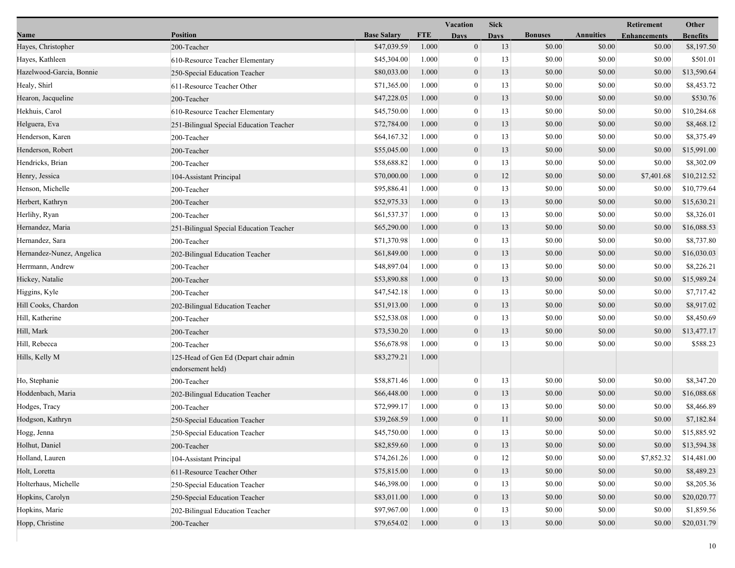|                           |                                                             |                    |            | Vacation         | <b>Sick</b> |                |                  | Retirement          | Other           |
|---------------------------|-------------------------------------------------------------|--------------------|------------|------------------|-------------|----------------|------------------|---------------------|-----------------|
| Name                      | <b>Position</b>                                             | <b>Base Salary</b> | <b>FTE</b> | <b>Days</b>      | Davs        | <b>Bonuses</b> | <b>Annuities</b> | <b>Enhancements</b> | <b>Benefits</b> |
| Hayes, Christopher        | 200-Teacher                                                 | \$47,039.59        | 1.000      | $\mathbf{0}$     | 13          | \$0.00         | \$0.00           | \$0.00              | \$8,197.50      |
| Hayes, Kathleen           | 610-Resource Teacher Elementary                             | \$45,304.00        | 1.000      | $\mathbf{0}$     | 13          | \$0.00         | \$0.00           | \$0.00              | \$501.01        |
| Hazelwood-Garcia, Bonnie  | 250-Special Education Teacher                               | \$80,033.00        | 1.000      | $\boldsymbol{0}$ | 13          | \$0.00         | \$0.00           | \$0.00              | \$13,590.64     |
| Healy, Shirl              | 611-Resource Teacher Other                                  | \$71,365.00        | 1.000      | $\mathbf{0}$     | 13          | \$0.00         | \$0.00           | \$0.00              | \$8,453.72      |
| Hearon, Jacqueline        | 200-Teacher                                                 | \$47,228.05        | 1.000      | $\boldsymbol{0}$ | 13          | \$0.00         | \$0.00           | \$0.00              | \$530.76        |
| Hekhuis, Carol            | 610-Resource Teacher Elementary                             | \$45,750.00        | 1.000      | $\mathbf{0}$     | 13          | \$0.00         | \$0.00           | \$0.00              | \$10,284.68     |
| Helguera, Eva             | 251-Bilingual Special Education Teacher                     | \$72,784.00        | 1.000      | $\mathbf{0}$     | 13          | \$0.00         | \$0.00           | \$0.00              | \$8,468.12      |
| Henderson, Karen          | 200-Teacher                                                 | \$64,167.32        | 1.000      | $\mathbf{0}$     | 13          | \$0.00         | \$0.00           | \$0.00              | \$8,375.49      |
| Henderson, Robert         | 200-Teacher                                                 | \$55,045.00        | 1.000      | $\boldsymbol{0}$ | 13          | \$0.00         | \$0.00           | \$0.00              | \$15,991.00     |
| Hendricks, Brian          | 200-Teacher                                                 | \$58,688.82        | 1.000      | $\mathbf{0}$     | 13          | \$0.00         | \$0.00           | \$0.00              | \$8,302.09      |
| Henry, Jessica            | 104-Assistant Principal                                     | \$70,000.00        | 1.000      | $\boldsymbol{0}$ | 12          | \$0.00         | \$0.00           | \$7,401.68          | \$10,212.52     |
| Henson, Michelle          | 200-Teacher                                                 | \$95,886.41        | 1.000      | $\boldsymbol{0}$ | 13          | \$0.00         | \$0.00           | \$0.00              | \$10,779.64     |
| Herbert, Kathryn          | 200-Teacher                                                 | \$52,975.33        | 1.000      | $\mathbf{0}$     | 13          | \$0.00         | \$0.00           | \$0.00              | \$15,630.21     |
| Herlihy, Ryan             | 200-Teacher                                                 | \$61,537.37        | 1.000      | $\bf{0}$         | 13          | \$0.00         | \$0.00           | \$0.00              | \$8,326.01      |
| Hernandez, Maria          | 251-Bilingual Special Education Teacher                     | \$65,290.00        | 1.000      | $\boldsymbol{0}$ | 13          | \$0.00         | \$0.00           | \$0.00              | \$16,088.53     |
| Hernandez, Sara           | 200-Teacher                                                 | \$71,370.98        | 1.000      | $\overline{0}$   | 13          | \$0.00         | \$0.00           | \$0.00              | \$8,737.80      |
| Hernandez-Nunez, Angelica | 202-Bilingual Education Teacher                             | \$61,849.00        | 1.000      | $\mathbf{0}$     | 13          | \$0.00         | \$0.00           | \$0.00              | \$16,030.03     |
| Herrmann, Andrew          | 200-Teacher                                                 | \$48,897.04        | 1.000      | $\overline{0}$   | 13          | \$0.00         | \$0.00           | \$0.00              | \$8,226.21      |
| Hickey, Natalie           | 200-Teacher                                                 | \$53,890.88        | 1.000      | $\boldsymbol{0}$ | 13          | \$0.00         | \$0.00           | \$0.00              | \$15,989.24     |
| Higgins, Kyle             | 200-Teacher                                                 | \$47,542.18        | 1.000      | $\overline{0}$   | 13          | \$0.00         | \$0.00           | \$0.00              | \$7,717.42      |
| Hill Cooks, Chardon       | 202-Bilingual Education Teacher                             | \$51,913.00        | 1.000      | $\boldsymbol{0}$ | 13          | \$0.00         | \$0.00           | \$0.00              | \$8,917.02      |
| Hill, Katherine           | 200-Teacher                                                 | \$52,538.08        | 1.000      | $\mathbf{0}$     | 13          | \$0.00         | \$0.00           | \$0.00              | \$8,450.69      |
| Hill, Mark                | 200-Teacher                                                 | \$73,530.20        | 1.000      | $\mathbf{0}$     | 13          | \$0.00         | \$0.00           | \$0.00              | \$13,477.17     |
| Hill, Rebecca             | 200-Teacher                                                 | \$56,678.98        | 1.000      | $\overline{0}$   | 13          | \$0.00         | \$0.00           | \$0.00              | \$588.23        |
| Hills, Kelly M            | 125-Head of Gen Ed (Depart chair admin<br>endorsement held) | \$83,279.21        | 1.000      |                  |             |                |                  |                     |                 |
| Ho, Stephanie             | 200-Teacher                                                 | \$58,871.46        | 1.000      | $\mathbf{0}$     | 13          | \$0.00         | \$0.00           | \$0.00              | \$8,347.20      |
| Hoddenbach, Maria         | 202-Bilingual Education Teacher                             | \$66,448.00        | 1.000      | $\mathbf{0}$     | 13          | \$0.00         | \$0.00           | \$0.00              | \$16,088.68     |
| Hodges, Tracy             | 200-Teacher                                                 | \$72,999.17        | 1.000      | $\mathbf{0}$     | 13          | \$0.00         | \$0.00           | \$0.00              | \$8,466.89      |
| Hodgson, Kathryn          | 250-Special Education Teacher                               | \$39,268.59        | 1.000      | $\boldsymbol{0}$ | 11          | \$0.00         | \$0.00           | \$0.00              | \$7,182.84      |
| Hogg, Jenna               | 250-Special Education Teacher                               | \$45,750.00        | 1.000      | $\boldsymbol{0}$ | 13          | $\$0.00$       | $\$0.00$         | \$0.00              | \$15,885.92     |
| Holhut, Daniel            | 200-Teacher                                                 | \$82,859.60        | 1.000      | $\boldsymbol{0}$ | 13          | \$0.00         | \$0.00           | \$0.00              | \$13,594.38     |
| Holland, Lauren           | 104-Assistant Principal                                     | \$74,261.26        | 1.000      | $\boldsymbol{0}$ | 12          | \$0.00         | \$0.00           | \$7,852.32          | \$14,481.00     |
| Holt, Loretta             | 611-Resource Teacher Other                                  | \$75,815.00        | 1.000      | $\boldsymbol{0}$ | 13          | \$0.00         | \$0.00           | \$0.00              | \$8,489.23      |
| Holterhaus, Michelle      | 250-Special Education Teacher                               | \$46,398.00        | 1.000      | $\mathbf{0}$     | 13          | \$0.00         | \$0.00           | \$0.00              | \$8,205.36      |
| Hopkins, Carolyn          | 250-Special Education Teacher                               | \$83,011.00        | 1.000      | $\mathbf{0}$     | 13          | \$0.00         | \$0.00           | \$0.00              | \$20,020.77     |
| Hopkins, Marie            | 202-Bilingual Education Teacher                             | \$97,967.00        | 1.000      | $\mathbf{0}$     | 13          | \$0.00         | \$0.00           | \$0.00              | \$1,859.56      |
| Hopp, Christine           | 200-Teacher                                                 | \$79,654.02        | 1.000      | $\mathbf{0}$     | $13\,$      | \$0.00         | \$0.00           | \$0.00              | \$20,031.79     |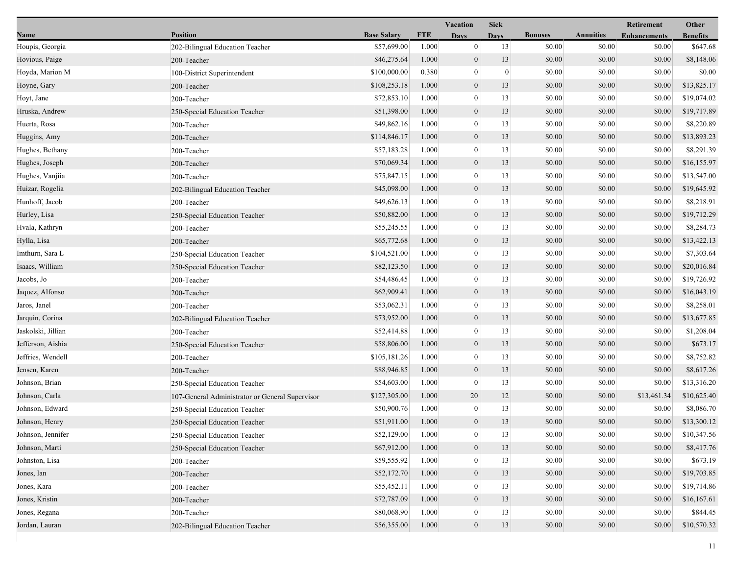|                    |                                                 |                    |            | <b>Vacation</b>  | <b>Sick</b>  |                |                  | Retirement          | Other           |
|--------------------|-------------------------------------------------|--------------------|------------|------------------|--------------|----------------|------------------|---------------------|-----------------|
| Name               | <b>Position</b>                                 | <b>Base Salary</b> | <b>FTE</b> | <b>Days</b>      | <b>Days</b>  | <b>Bonuses</b> | <b>Annuities</b> | <b>Enhancements</b> | <b>Benefits</b> |
| Houpis, Georgia    | 202-Bilingual Education Teacher                 | \$57,699.00        | 1.000      | $\mathbf{0}$     | 13           | \$0.00         | \$0.00           | \$0.00              | \$647.68        |
| Hovious, Paige     | 200-Teacher                                     | \$46,275.64        | 1.000      | $\mathbf{0}$     | 13           | \$0.00         | \$0.00           | \$0.00              | \$8,148.06      |
| Hoyda, Marion M    | 100-District Superintendent                     | \$100,000.00       | 0.380      | $\mathbf{0}$     | $\mathbf{0}$ | \$0.00         | \$0.00           | \$0.00              | \$0.00          |
| Hoyne, Gary        | 200-Teacher                                     | \$108,253.18       | 1.000      | $\mathbf{0}$     | 13           | \$0.00         | \$0.00           | \$0.00              | \$13,825.17     |
| Hoyt, Jane         | 200-Teacher                                     | \$72,853.10        | 1.000      | $\mathbf{0}$     | 13           | \$0.00         | \$0.00           | \$0.00              | \$19,074.02     |
| Hruska, Andrew     | 250-Special Education Teacher                   | \$51,398.00        | 1.000      | $\boldsymbol{0}$ | 13           | \$0.00         | \$0.00           | \$0.00              | \$19,717.89     |
| Huerta, Rosa       | 200-Teacher                                     | \$49,862.16        | 1.000      | $\mathbf{0}$     | 13           | \$0.00         | \$0.00           | \$0.00              | \$8,220.89      |
| Huggins, Amy       | 200-Teacher                                     | \$114,846.17       | 1.000      | $\mathbf{0}$     | 13           | \$0.00         | \$0.00           | \$0.00              | \$13,893.23     |
| Hughes, Bethany    | 200-Teacher                                     | \$57,183.28        | 1.000      | $\boldsymbol{0}$ | 13           | \$0.00         | \$0.00           | \$0.00              | \$8,291.39      |
| Hughes, Joseph     | 200-Teacher                                     | \$70,069.34        | 1.000      | $\mathbf{0}$     | 13           | \$0.00         | \$0.00           | \$0.00              | \$16,155.97     |
| Hughes, Vanjiia    | 200-Teacher                                     | \$75,847.15        | 1.000      | $\mathbf{0}$     | 13           | \$0.00         | \$0.00           | \$0.00              | \$13,547.00     |
| Huizar, Rogelia    | 202-Bilingual Education Teacher                 | \$45,098.00        | 1.000      | $\boldsymbol{0}$ | 13           | \$0.00         | \$0.00           | \$0.00              | \$19,645.92     |
| Hunhoff, Jacob     | 200-Teacher                                     | \$49,626.13        | 1.000      | $\mathbf{0}$     | 13           | \$0.00         | \$0.00           | \$0.00              | \$8,218.91      |
| Hurley, Lisa       | 250-Special Education Teacher                   | \$50,882.00        | 1.000      | $\mathbf{0}$     | 13           | \$0.00         | \$0.00           | \$0.00              | \$19,712.29     |
| Hvala, Kathryn     | 200-Teacher                                     | \$55,245.55        | 1.000      | $\boldsymbol{0}$ | 13           | \$0.00         | \$0.00           | \$0.00              | \$8,284.73      |
| Hylla, Lisa        | 200-Teacher                                     | \$65,772.68        | 1.000      | $\mathbf{0}$     | 13           | \$0.00         | \$0.00           | \$0.00              | \$13,422.13     |
| Imthurn, Sara L    | 250-Special Education Teacher                   | \$104,521.00       | 1.000      | $\mathbf{0}$     | 13           | \$0.00         | \$0.00           | \$0.00              | \$7,303.64      |
| Isaacs, William    | 250-Special Education Teacher                   | \$82,123.50        | 1.000      | $\mathbf{0}$     | 13           | \$0.00         | \$0.00           | \$0.00              | \$20,016.84     |
| Jacobs, Jo         | 200-Teacher                                     | \$54,486.45        | 1.000      | $\mathbf{0}$     | 13           | \$0.00         | \$0.00           | \$0.00              | \$19,726.92     |
| Jaquez, Alfonso    | 200-Teacher                                     | \$62,909.41        | 1.000      | $\mathbf{0}$     | 13           | \$0.00         | \$0.00           | \$0.00              | \$16,043.19     |
| Jaros, Janel       | 200-Teacher                                     | \$53,062.31        | 1.000      | $\boldsymbol{0}$ | 13           | \$0.00         | \$0.00           | \$0.00              | \$8,258.01      |
| Jarquin, Corina    | 202-Bilingual Education Teacher                 | \$73,952.00        | 1.000      | $\mathbf{0}$     | 13           | \$0.00         | \$0.00           | \$0.00              | \$13,677.85     |
| Jaskolski, Jillian | 200-Teacher                                     | \$52,414.88        | 1.000      | $\mathbf{0}$     | 13           | \$0.00         | \$0.00           | \$0.00              | \$1,208.04      |
| Jefferson, Aishia  | 250-Special Education Teacher                   | \$58,806.00        | 1.000      | $\mathbf{0}$     | 13           | \$0.00         | \$0.00           | \$0.00              | \$673.17        |
| Jeffries, Wendell  | 200-Teacher                                     | \$105,181.26       | 1.000      | $\mathbf{0}$     | 13           | \$0.00         | \$0.00           | \$0.00              | \$8,752.82      |
| Jensen, Karen      | 200-Teacher                                     | \$88,946.85        | 1.000      | $\mathbf{0}$     | 13           | \$0.00         | \$0.00           | \$0.00              | \$8,617.26      |
| Johnson, Brian     | 250-Special Education Teacher                   | \$54,603.00        | 1.000      | $\bf{0}$         | 13           | \$0.00         | \$0.00           | \$0.00              | \$13,316.20     |
| Johnson, Carla     | 107-General Administrator or General Supervisor | \$127,305.00       | 1.000      | 20               | 12           | \$0.00         | \$0.00           | \$13,461.34         | \$10,625.40     |
| Johnson, Edward    | 250-Special Education Teacher                   | \$50,900.76        | 1.000      | $\mathbf{0}$     | 13           | \$0.00         | \$0.00           | \$0.00              | \$8,086.70      |
| Johnson, Henry     | 250-Special Education Teacher                   | \$51,911.00        | 1.000      | $\mathbf{0}$     | 13           | \$0.00         | \$0.00           | \$0.00              | \$13,300.12     |
| Johnson, Jennifer  | 250-Special Education Teacher                   | \$52,129.00        | 1.000      | $\theta$         | 13           | \$0.00         | \$0.00           | \$0.00              | \$10,347.56     |
| Johnson, Marti     | 250-Special Education Teacher                   | \$67,912.00        | 1.000      | $\boldsymbol{0}$ | 13           | \$0.00         | \$0.00           | \$0.00              | \$8,417.76      |
| Johnston, Lisa     | 200-Teacher                                     | \$59,555.92        | 1.000      | $\mathbf{0}$     | 13           | \$0.00         | \$0.00           | \$0.00              | \$673.19        |
| Jones, Ian         | 200-Teacher                                     | \$52,172.70        | 1.000      | $\mathbf{0}$     | 13           | \$0.00         | \$0.00           | \$0.00              | \$19,703.85     |
| Jones, Kara        | 200-Teacher                                     | \$55,452.11        | 1.000      | $\theta$         | 13           | \$0.00         | \$0.00           | \$0.00              | \$19,714.86     |
| Jones, Kristin     | 200-Teacher                                     | \$72,787.09        | 1.000      | $\mathbf{0}$     | 13           | \$0.00         | \$0.00           | \$0.00              | \$16,167.61     |
| Jones, Regana      | 200-Teacher                                     | \$80,068.90        | 1.000      | $\mathbf{0}$     | 13           | \$0.00         | \$0.00           | \$0.00              | \$844.45        |
| Jordan, Lauran     | 202-Bilingual Education Teacher                 | \$56,355.00        | 1.000      | $\mathbf{0}$     | 13           | \$0.00         | \$0.00           | \$0.00              | \$10,570.32     |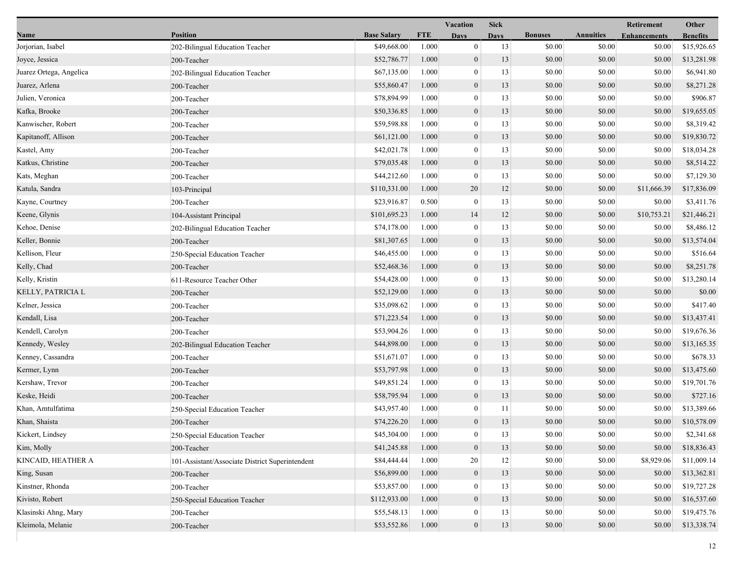| <b>Position</b><br><b>Base Salary</b><br><b>FTE</b><br><b>Bonuses</b><br><b>Annuities</b><br>Name<br><b>Enhancements</b><br><b>Days</b><br><b>Days</b><br>\$49,668.00<br>1.000<br>$\mathbf{0}$<br>13<br>\$0.00<br>\$0.00<br>Jorjorian, Isabel<br>202-Bilingual Education Teacher<br>$\mathbf{0}$<br>13<br>\$0.00<br>\$0.00<br>Joyce, Jessica<br>\$52,786.77<br>1.000<br>200-Teacher<br>\$0.00<br>\$67,135.00<br>1.000<br>$\bf{0}$<br>13<br>\$0.00<br>Juarez Ortega, Angelica<br>202-Bilingual Education Teacher<br>\$0.00<br>Juarez, Arlena<br>\$55,860.47<br>1.000<br>$\mathbf{0}$<br>13<br>\$0.00<br>200-Teacher<br>\$0.00<br>Julien, Veronica<br>\$78,894.99<br>1.000<br>$\boldsymbol{0}$<br>13<br>\$0.00<br>200-Teacher<br>Kafka, Brooke<br>\$50,336.85<br>1.000<br>$\boldsymbol{0}$<br>13<br>\$0.00<br>\$0.00<br>200-Teacher<br>Kanwischer, Robert<br>\$59,598.88<br>13<br>\$0.00<br>\$0.00<br>1.000<br>$\mathbf{0}$<br>200-Teacher<br>$\mathbf{0}$<br>\$0.00<br>Kapitanoff, Allison<br>\$61,121.00<br>1.000<br>13<br>\$0.00<br>200-Teacher<br>\$42,021.78<br>1.000<br>$\boldsymbol{0}$<br>13<br>\$0.00<br>\$0.00<br>Kastel, Amy<br>200-Teacher<br>\$79,035.48<br>\$0.00<br>Katkus, Christine<br>1.000<br>$\mathbf{0}$<br>13<br>\$0.00<br>200-Teacher<br>\$44,212.60<br>\$0.00<br>1.000<br>$\bf{0}$<br>13<br>\$0.00<br>Kats, Meghan<br>200-Teacher | <b>Benefits</b><br>\$15,926.65<br>\$0.00<br>\$0.00<br>\$13,281.98<br>\$0.00<br>\$6,941.80<br>\$0.00<br>\$8,271.28<br>\$906.87<br>\$0.00<br>\$19,655.05<br>\$0.00<br>\$8,319.42<br>\$0.00<br>\$0.00<br>\$19,830.72<br>\$18,034.28<br>\$0.00<br>\$0.00<br>\$8,514.22<br>\$0.00<br>\$7,129.30<br>\$17,836.09<br>\$11,666.39<br>\$3,411.76<br>\$0.00 |
|---------------------------------------------------------------------------------------------------------------------------------------------------------------------------------------------------------------------------------------------------------------------------------------------------------------------------------------------------------------------------------------------------------------------------------------------------------------------------------------------------------------------------------------------------------------------------------------------------------------------------------------------------------------------------------------------------------------------------------------------------------------------------------------------------------------------------------------------------------------------------------------------------------------------------------------------------------------------------------------------------------------------------------------------------------------------------------------------------------------------------------------------------------------------------------------------------------------------------------------------------------------------------------------------------------------------------------------------------------|--------------------------------------------------------------------------------------------------------------------------------------------------------------------------------------------------------------------------------------------------------------------------------------------------------------------------------------------------|
|                                                                                                                                                                                                                                                                                                                                                                                                                                                                                                                                                                                                                                                                                                                                                                                                                                                                                                                                                                                                                                                                                                                                                                                                                                                                                                                                                         |                                                                                                                                                                                                                                                                                                                                                  |
|                                                                                                                                                                                                                                                                                                                                                                                                                                                                                                                                                                                                                                                                                                                                                                                                                                                                                                                                                                                                                                                                                                                                                                                                                                                                                                                                                         |                                                                                                                                                                                                                                                                                                                                                  |
|                                                                                                                                                                                                                                                                                                                                                                                                                                                                                                                                                                                                                                                                                                                                                                                                                                                                                                                                                                                                                                                                                                                                                                                                                                                                                                                                                         |                                                                                                                                                                                                                                                                                                                                                  |
|                                                                                                                                                                                                                                                                                                                                                                                                                                                                                                                                                                                                                                                                                                                                                                                                                                                                                                                                                                                                                                                                                                                                                                                                                                                                                                                                                         |                                                                                                                                                                                                                                                                                                                                                  |
|                                                                                                                                                                                                                                                                                                                                                                                                                                                                                                                                                                                                                                                                                                                                                                                                                                                                                                                                                                                                                                                                                                                                                                                                                                                                                                                                                         |                                                                                                                                                                                                                                                                                                                                                  |
|                                                                                                                                                                                                                                                                                                                                                                                                                                                                                                                                                                                                                                                                                                                                                                                                                                                                                                                                                                                                                                                                                                                                                                                                                                                                                                                                                         |                                                                                                                                                                                                                                                                                                                                                  |
|                                                                                                                                                                                                                                                                                                                                                                                                                                                                                                                                                                                                                                                                                                                                                                                                                                                                                                                                                                                                                                                                                                                                                                                                                                                                                                                                                         |                                                                                                                                                                                                                                                                                                                                                  |
|                                                                                                                                                                                                                                                                                                                                                                                                                                                                                                                                                                                                                                                                                                                                                                                                                                                                                                                                                                                                                                                                                                                                                                                                                                                                                                                                                         |                                                                                                                                                                                                                                                                                                                                                  |
|                                                                                                                                                                                                                                                                                                                                                                                                                                                                                                                                                                                                                                                                                                                                                                                                                                                                                                                                                                                                                                                                                                                                                                                                                                                                                                                                                         |                                                                                                                                                                                                                                                                                                                                                  |
|                                                                                                                                                                                                                                                                                                                                                                                                                                                                                                                                                                                                                                                                                                                                                                                                                                                                                                                                                                                                                                                                                                                                                                                                                                                                                                                                                         |                                                                                                                                                                                                                                                                                                                                                  |
|                                                                                                                                                                                                                                                                                                                                                                                                                                                                                                                                                                                                                                                                                                                                                                                                                                                                                                                                                                                                                                                                                                                                                                                                                                                                                                                                                         |                                                                                                                                                                                                                                                                                                                                                  |
|                                                                                                                                                                                                                                                                                                                                                                                                                                                                                                                                                                                                                                                                                                                                                                                                                                                                                                                                                                                                                                                                                                                                                                                                                                                                                                                                                         |                                                                                                                                                                                                                                                                                                                                                  |
| \$0.00<br>Katula, Sandra<br>\$110,331.00<br>1.000<br>20<br>12<br>\$0.00<br>103-Principal                                                                                                                                                                                                                                                                                                                                                                                                                                                                                                                                                                                                                                                                                                                                                                                                                                                                                                                                                                                                                                                                                                                                                                                                                                                                |                                                                                                                                                                                                                                                                                                                                                  |
| \$23,916.87<br>13<br>\$0.00<br>\$0.00<br>Kayne, Courtney<br>0.500<br>$\mathbf{0}$<br>200-Teacher                                                                                                                                                                                                                                                                                                                                                                                                                                                                                                                                                                                                                                                                                                                                                                                                                                                                                                                                                                                                                                                                                                                                                                                                                                                        |                                                                                                                                                                                                                                                                                                                                                  |
| Keene, Glynis<br>\$101,695.23<br>1.000<br>14<br>12<br>\$0.00<br>\$0.00<br>104-Assistant Principal                                                                                                                                                                                                                                                                                                                                                                                                                                                                                                                                                                                                                                                                                                                                                                                                                                                                                                                                                                                                                                                                                                                                                                                                                                                       | \$10,753.21<br>\$21,446.21                                                                                                                                                                                                                                                                                                                       |
| 13<br>\$0.00<br>Kehoe, Denise<br>\$74,178.00<br>1.000<br>$\boldsymbol{0}$<br>\$0.00<br>202-Bilingual Education Teacher                                                                                                                                                                                                                                                                                                                                                                                                                                                                                                                                                                                                                                                                                                                                                                                                                                                                                                                                                                                                                                                                                                                                                                                                                                  | \$8,486.12<br>\$0.00                                                                                                                                                                                                                                                                                                                             |
| \$0.00<br>Keller, Bonnie<br>\$81,307.65<br>1.000<br>$\mathbf{0}$<br>13<br>\$0.00<br>200-Teacher                                                                                                                                                                                                                                                                                                                                                                                                                                                                                                                                                                                                                                                                                                                                                                                                                                                                                                                                                                                                                                                                                                                                                                                                                                                         | \$0.00<br>\$13,574.04                                                                                                                                                                                                                                                                                                                            |
| \$0.00<br>\$0.00<br>Kellison, Fleur<br>\$46,455.00<br>1.000<br>$\bf{0}$<br>13<br>250-Special Education Teacher                                                                                                                                                                                                                                                                                                                                                                                                                                                                                                                                                                                                                                                                                                                                                                                                                                                                                                                                                                                                                                                                                                                                                                                                                                          | \$0.00<br>\$516.64                                                                                                                                                                                                                                                                                                                               |
| \$0.00<br>Kelly, Chad<br>\$52,468.36<br>1.000<br>$\mathbf{0}$<br>13<br>\$0.00<br>200-Teacher                                                                                                                                                                                                                                                                                                                                                                                                                                                                                                                                                                                                                                                                                                                                                                                                                                                                                                                                                                                                                                                                                                                                                                                                                                                            | \$0.00<br>\$8,251.78                                                                                                                                                                                                                                                                                                                             |
| \$54,428.00<br>\$0.00<br>\$0.00<br>Kelly, Kristin<br>1.000<br>$\mathbf{0}$<br>13<br>611-Resource Teacher Other                                                                                                                                                                                                                                                                                                                                                                                                                                                                                                                                                                                                                                                                                                                                                                                                                                                                                                                                                                                                                                                                                                                                                                                                                                          | \$0.00<br>\$13,280.14                                                                                                                                                                                                                                                                                                                            |
| $\mathbf{0}$<br>KELLY, PATRICIA L<br>\$52,129.00<br>1.000<br>13<br>\$0.00<br>\$0.00<br>200-Teacher                                                                                                                                                                                                                                                                                                                                                                                                                                                                                                                                                                                                                                                                                                                                                                                                                                                                                                                                                                                                                                                                                                                                                                                                                                                      | \$0.00<br>\$0.00                                                                                                                                                                                                                                                                                                                                 |
| 1.000<br>$\boldsymbol{0}$<br>13<br>\$0.00<br>Kelner, Jessica<br>\$35,098.62<br>\$0.00<br>200-Teacher                                                                                                                                                                                                                                                                                                                                                                                                                                                                                                                                                                                                                                                                                                                                                                                                                                                                                                                                                                                                                                                                                                                                                                                                                                                    | \$0.00<br>\$417.40                                                                                                                                                                                                                                                                                                                               |
| \$0.00<br>Kendall, Lisa<br>\$71,223.54<br>1.000<br>$\mathbf{0}$<br>13<br>\$0.00<br>200-Teacher                                                                                                                                                                                                                                                                                                                                                                                                                                                                                                                                                                                                                                                                                                                                                                                                                                                                                                                                                                                                                                                                                                                                                                                                                                                          | \$13,437.41<br>\$0.00                                                                                                                                                                                                                                                                                                                            |
| \$53,904.26<br>\$0.00<br>\$0.00<br>Kendell, Carolyn<br>1.000<br>$\bf{0}$<br>13<br>200-Teacher                                                                                                                                                                                                                                                                                                                                                                                                                                                                                                                                                                                                                                                                                                                                                                                                                                                                                                                                                                                                                                                                                                                                                                                                                                                           | \$0.00<br>\$19,676.36                                                                                                                                                                                                                                                                                                                            |
| \$0.00<br>\$44,898.00<br>1.000<br>$\mathbf{0}$<br>13<br>\$0.00<br>Kennedy, Wesley<br>202-Bilingual Education Teacher                                                                                                                                                                                                                                                                                                                                                                                                                                                                                                                                                                                                                                                                                                                                                                                                                                                                                                                                                                                                                                                                                                                                                                                                                                    | \$0.00<br>\$13,165.35                                                                                                                                                                                                                                                                                                                            |
| \$51,671.07<br>\$0.00<br>Kenney, Cassandra<br>1.000<br>13<br>\$0.00<br>200-Teacher<br>$\mathbf{0}$                                                                                                                                                                                                                                                                                                                                                                                                                                                                                                                                                                                                                                                                                                                                                                                                                                                                                                                                                                                                                                                                                                                                                                                                                                                      | \$678.33<br>\$0.00                                                                                                                                                                                                                                                                                                                               |
| Kermer, Lynn<br>\$53,797.98<br>1.000<br>$\mathbf{0}$<br>13<br>\$0.00<br>\$0.00<br>200-Teacher                                                                                                                                                                                                                                                                                                                                                                                                                                                                                                                                                                                                                                                                                                                                                                                                                                                                                                                                                                                                                                                                                                                                                                                                                                                           | \$0.00<br>\$13,475.60                                                                                                                                                                                                                                                                                                                            |
| 1.000<br>$\boldsymbol{0}$<br>13<br>\$0.00<br>\$0.00<br>Kershaw, Trevor<br>\$49,851.24<br>200-Teacher                                                                                                                                                                                                                                                                                                                                                                                                                                                                                                                                                                                                                                                                                                                                                                                                                                                                                                                                                                                                                                                                                                                                                                                                                                                    | \$0.00<br>\$19,701.76                                                                                                                                                                                                                                                                                                                            |
| Keske, Heidi<br>\$58,795.94<br>1.000<br>$\mathbf{0}$<br>13<br>\$0.00<br>\$0.00<br>200-Teacher                                                                                                                                                                                                                                                                                                                                                                                                                                                                                                                                                                                                                                                                                                                                                                                                                                                                                                                                                                                                                                                                                                                                                                                                                                                           | \$0.00<br>\$727.16                                                                                                                                                                                                                                                                                                                               |
| \$0.00<br>Khan, Amtulfatima<br>\$43,957.40<br>11<br>\$0.00<br>1.000<br>$\bf{0}$<br>250-Special Education Teacher                                                                                                                                                                                                                                                                                                                                                                                                                                                                                                                                                                                                                                                                                                                                                                                                                                                                                                                                                                                                                                                                                                                                                                                                                                        | \$13,389.66<br>\$0.00                                                                                                                                                                                                                                                                                                                            |
| Khan, Shaista<br>\$74,226.20<br>1.000<br>$\overline{0}$<br>13<br>\$0.00<br>\$0.00<br>200-Teacher                                                                                                                                                                                                                                                                                                                                                                                                                                                                                                                                                                                                                                                                                                                                                                                                                                                                                                                                                                                                                                                                                                                                                                                                                                                        | \$0.00<br>\$10,578.09                                                                                                                                                                                                                                                                                                                            |
| Kickert, Lindsey<br>250-Special Education Teacher<br>\$45,304.00<br>1.000<br>$\bf{0}$<br>13<br>\$0.00<br>\$0.00                                                                                                                                                                                                                                                                                                                                                                                                                                                                                                                                                                                                                                                                                                                                                                                                                                                                                                                                                                                                                                                                                                                                                                                                                                         | \$0.00<br>\$2,341.68                                                                                                                                                                                                                                                                                                                             |
| Kim, Molly<br>\$41,245.88<br>1.000<br>$\mathbf{0}$<br>13<br>\$0.00<br>\$0.00<br>200-Teacher                                                                                                                                                                                                                                                                                                                                                                                                                                                                                                                                                                                                                                                                                                                                                                                                                                                                                                                                                                                                                                                                                                                                                                                                                                                             | \$18,836.43<br>\$0.00                                                                                                                                                                                                                                                                                                                            |
| 20<br>12<br>\$0.00<br>KINCAID, HEATHER A<br>\$84,444.44<br>1.000<br>\$0.00<br>101-Assistant/Associate District Superintendent                                                                                                                                                                                                                                                                                                                                                                                                                                                                                                                                                                                                                                                                                                                                                                                                                                                                                                                                                                                                                                                                                                                                                                                                                           | \$11,009.14<br>\$8,929.06                                                                                                                                                                                                                                                                                                                        |
| King, Susan<br>\$56,899.00<br>1.000<br>$\mathbf{0}$<br>13<br>\$0.00<br>\$0.00<br>200-Teacher                                                                                                                                                                                                                                                                                                                                                                                                                                                                                                                                                                                                                                                                                                                                                                                                                                                                                                                                                                                                                                                                                                                                                                                                                                                            | \$13,362.81<br>\$0.00                                                                                                                                                                                                                                                                                                                            |
| Kinstner, Rhonda<br>\$53,857.00<br>13<br>\$0.00<br>\$0.00<br>200-Teacher<br>1.000<br>$\mathbf{0}$                                                                                                                                                                                                                                                                                                                                                                                                                                                                                                                                                                                                                                                                                                                                                                                                                                                                                                                                                                                                                                                                                                                                                                                                                                                       | \$19,727.28<br>\$0.00                                                                                                                                                                                                                                                                                                                            |
| Kivisto, Robert<br>\$112,933.00<br>1.000<br>$\mathbf{0}$<br>13<br>\$0.00<br>\$0.00<br>250-Special Education Teacher                                                                                                                                                                                                                                                                                                                                                                                                                                                                                                                                                                                                                                                                                                                                                                                                                                                                                                                                                                                                                                                                                                                                                                                                                                     | \$0.00<br>\$16,537.60                                                                                                                                                                                                                                                                                                                            |
| Klasinski Ahng, Mary<br>13<br>\$0.00<br>\$55,548.13<br>1.000<br>\$0.00<br>$\bf{0}$<br>200-Teacher                                                                                                                                                                                                                                                                                                                                                                                                                                                                                                                                                                                                                                                                                                                                                                                                                                                                                                                                                                                                                                                                                                                                                                                                                                                       | \$0.00<br>\$19,475.76                                                                                                                                                                                                                                                                                                                            |
| \$0.00<br>Kleimola, Melanie<br>\$53,552.86<br>1.000<br>$\overline{0}$<br>13<br>\$0.00<br>200-Teacher                                                                                                                                                                                                                                                                                                                                                                                                                                                                                                                                                                                                                                                                                                                                                                                                                                                                                                                                                                                                                                                                                                                                                                                                                                                    | \$0.00<br>\$13,338.74                                                                                                                                                                                                                                                                                                                            |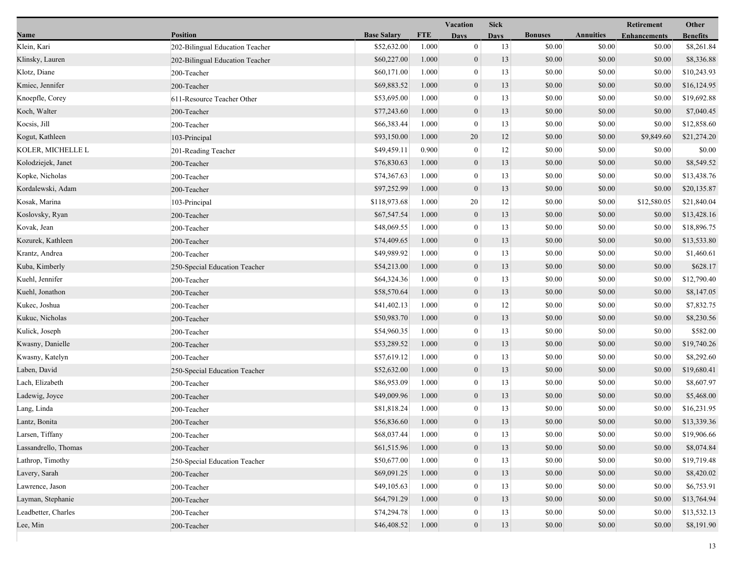| <b>Position</b><br><b>Base Salary</b><br><b>FTE</b><br><b>Bonuses</b><br><b>Annuities</b><br>Name<br><b>Enhancements</b><br><b>Days</b><br><b>Days</b><br><b>Benefits</b><br>Klein, Kari<br>\$52,632.00<br>1.000<br>$\boldsymbol{0}$<br>13<br>\$0.00<br>\$0.00<br>\$8,261.84<br>\$0.00<br>202-Bilingual Education Teacher<br>$\mathbf{0}$<br>Klinsky, Lauren<br>\$60,227.00<br>13<br>\$0.00<br>\$0.00<br>\$0.00<br>\$8,336.88<br>1.000<br>202-Bilingual Education Teacher<br>\$0.00<br>Klotz, Diane<br>\$60,171.00<br>1.000<br>$\bf{0}$<br>13<br>\$0.00<br>\$0.00<br>\$10,243.93<br>200-Teacher<br>\$0.00<br>\$69,883.52<br>1.000<br>$\mathbf{0}$<br>13<br>\$0.00<br>\$0.00<br>\$16,124.95<br>Kmiec, Jennifer<br>200-Teacher<br>\$0.00<br>Knoepfle, Corey<br>\$53,695.00<br>1.000<br>$\boldsymbol{0}$<br>13<br>\$0.00<br>\$0.00<br>\$19,692.88<br>611-Resource Teacher Other<br>Koch, Walter<br>\$77,243.60<br>1.000<br>$\boldsymbol{0}$<br>13<br>\$0.00<br>\$0.00<br>\$0.00<br>\$7,040.45<br>200-Teacher<br>Kocsis, Jill<br>\$66,383.44<br>13<br>\$0.00<br>\$0.00<br>\$12,858.60<br>1.000<br>$\mathbf{0}$<br>\$0.00<br>200-Teacher<br>\$0.00<br>Kogut, Kathleen<br>\$93,150.00<br>1.000<br>20<br>12<br>\$0.00<br>\$9,849.60<br>\$21,274.20<br>103-Principal<br>12<br>KOLER, MICHELLE L<br>\$49,459.11<br>0.900<br>$\boldsymbol{0}$<br>\$0.00<br>\$0.00<br>\$0.00<br>\$0.00<br>201-Reading Teacher<br>\$0.00<br>\$8,549.52<br>Kolodziejek, Janet<br>\$76,830.63<br>1.000<br>$\mathbf{0}$<br>13<br>\$0.00<br>\$0.00<br>200-Teacher<br>\$0.00<br>Kopke, Nicholas<br>\$74,367.63<br>1.000<br>$\bf{0}$<br>13<br>\$0.00<br>\$0.00<br>\$13,438.76<br>200-Teacher<br>\$0.00<br>\$97,252.99<br>1.000<br>$\boldsymbol{0}$<br>13<br>\$0.00<br>\$0.00<br>\$20,135.87<br>Kordalewski, Adam<br>200-Teacher<br>Kosak, Marina<br>\$118,973.68<br>20<br>\$0.00<br>\$0.00<br>\$12,580.05<br>\$21,840.04<br>1.000<br>12<br>103-Principal<br>$\mathbf{0}$<br>Koslovsky, Ryan<br>\$67,547.54<br>1.000<br>13<br>\$0.00<br>\$0.00<br>\$0.00<br>\$13,428.16<br>200-Teacher<br>\$0.00<br>Kovak, Jean<br>\$48,069.55<br>1.000<br>$\boldsymbol{0}$<br>13<br>\$0.00<br>\$18,896.75<br>200-Teacher<br>\$0.00<br>\$74,409.65<br>\$0.00<br>\$0.00<br>Kozurek, Kathleen<br>1.000<br>$\mathbf{0}$<br>13<br>\$0.00<br>\$13,533.80<br>200-Teacher<br>\$49,989.92<br>\$0.00<br>\$0.00<br>1.000<br>$\bf{0}$<br>13<br>\$0.00<br>\$1,460.61<br>Krantz, Andrea<br>200-Teacher<br>\$0.00<br>Kuba, Kimberly<br>\$54,213.00<br>1.000<br>$\mathbf{0}$<br>13<br>\$0.00<br>\$0.00<br>\$628.17<br>250-Special Education Teacher<br>\$64,324.36<br>\$0.00<br>\$0.00<br>Kuehl, Jennifer<br>1.000<br>$\mathbf{0}$<br>13<br>\$0.00<br>200-Teacher<br>\$0.00<br>Kuehl, Jonathon<br>\$58,570.64<br>1.000<br>$\mathbf{0}$<br>13<br>\$0.00<br>\$0.00<br>\$8,147.05<br>200-Teacher<br>1.000<br>$\boldsymbol{0}$<br>12<br>\$0.00<br>Kukec, Joshua<br>\$41,402.13<br>\$0.00<br>\$0.00<br>\$7,832.75<br>200-Teacher<br>\$50,983.70<br>\$0.00<br>Kukuc, Nicholas<br>1.000<br>$\mathbf{0}$<br>13<br>\$0.00<br>\$0.00<br>\$8,230.56<br>200-Teacher<br>\$54,960.35<br>\$0.00<br>\$0.00<br>\$582.00<br>Kulick, Joseph<br>1.000<br>$\bf{0}$<br>13<br>\$0.00<br>200-Teacher<br>\$0.00<br>\$53,289.52<br>1.000<br>$\mathbf{0}$<br>13<br>\$0.00<br>\$0.00<br>\$19,740.26<br>Kwasny, Danielle<br>200-Teacher<br>\$57,619.12<br>\$0.00<br>Kwasny, Katelyn<br>1.000<br>13<br>\$0.00<br>\$0.00<br>\$8,292.60<br>200-Teacher<br>$\mathbf{0}$<br>Laben, David<br>\$52,632.00<br>$\mathbf{0}$<br>13<br>\$0.00<br>\$0.00<br>\$19,680.41<br>1.000<br>\$0.00<br>250-Special Education Teacher<br>\$86,953.09<br>1.000<br>$\boldsymbol{0}$<br>13<br>\$0.00<br>\$0.00<br>\$8,607.97<br>Lach, Elizabeth<br>\$0.00<br>200-Teacher<br>\$49,009.96<br>Ladewig, Joyce<br>1.000<br>$\mathbf{0}$<br>13<br>\$0.00<br>\$0.00<br>\$5,468.00<br>\$0.00<br>200-Teacher<br>\$0.00<br>Lang, Linda<br>\$81,818.24<br>1.000<br>$\bf{0}$<br>13<br>\$0.00<br>\$16,231.95<br>\$0.00<br>200-Teacher<br>Lantz, Bonita<br>\$56,836.60<br>1.000<br>$\mathbf{0}$<br>13<br>\$0.00<br>\$0.00<br>\$0.00<br>\$13,339.36<br>200-Teacher<br>Larsen, Tiffany<br>200-Teacher<br>\$68,037.44<br>1.000<br>$\bf{0}$<br>13<br>\$0.00<br>\$0.00<br>\$0.00<br>\$19,906.66<br>Lassandrello, Thomas<br>\$61,515.96<br>1.000<br>$\mathbf{0}$<br>13<br>\$0.00<br>\$0.00<br>\$0.00<br>\$8,074.84<br>200-Teacher<br>13<br>\$0.00<br>Lathrop, Timothy<br>\$50,677.00<br>1.000<br>$\mathbf{0}$<br>\$0.00<br>\$0.00<br>250-Special Education Teacher<br>Lavery, Sarah<br>\$69,091.25<br>1.000<br>13<br>\$0.00<br>\$0.00<br>\$0.00<br>\$8,420.02<br>$\mathbf{0}$<br>200-Teacher<br>\$49,105.63<br>\$0.00<br>Lawrence, Jason<br>1.000<br>13<br>\$0.00<br>\$6,753.91<br>200-Teacher<br>$\mathbf{0}$<br>\$0.00<br>Layman, Stephanie<br>\$64,791.29<br>1.000<br>$\mathbf{0}$<br>13<br>\$0.00<br>\$0.00<br>\$0.00<br>\$13,764.94<br>200-Teacher<br>\$74,294.78<br>1.000<br>13<br>\$0.00<br>\$13,532.13<br>Leadbetter, Charles<br>\$0.00<br>\$0.00<br>$\bf{0}$<br>200-Teacher<br>\$0.00<br>Lee, Min<br>\$46,408.52<br>1.000<br> 0 <br>13<br>\$0.00<br>\$0.00<br>200-Teacher |  |  | Vacation | <b>Sick</b> |  | Other |             |
|----------------------------------------------------------------------------------------------------------------------------------------------------------------------------------------------------------------------------------------------------------------------------------------------------------------------------------------------------------------------------------------------------------------------------------------------------------------------------------------------------------------------------------------------------------------------------------------------------------------------------------------------------------------------------------------------------------------------------------------------------------------------------------------------------------------------------------------------------------------------------------------------------------------------------------------------------------------------------------------------------------------------------------------------------------------------------------------------------------------------------------------------------------------------------------------------------------------------------------------------------------------------------------------------------------------------------------------------------------------------------------------------------------------------------------------------------------------------------------------------------------------------------------------------------------------------------------------------------------------------------------------------------------------------------------------------------------------------------------------------------------------------------------------------------------------------------------------------------------------------------------------------------------------------------------------------------------------------------------------------------------------------------------------------------------------------------------------------------------------------------------------------------------------------------------------------------------------------------------------------------------------------------------------------------------------------------------------------------------------------------------------------------------------------------------------------------------------------------------------------------------------------------------------------------------------------------------------------------------------------------------------------------------------------------------------------------------------------------------------------------------------------------------------------------------------------------------------------------------------------------------------------------------------------------------------------------------------------------------------------------------------------------------------------------------------------------------------------------------------------------------------------------------------------------------------------------------------------------------------------------------------------------------------------------------------------------------------------------------------------------------------------------------------------------------------------------------------------------------------------------------------------------------------------------------------------------------------------------------------------------------------------------------------------------------------------------------------------------------------------------------------------------------------------------------------------------------------------------------------------------------------------------------------------------------------------------------------------------------------------------------------------------------------------------------------------------------------------------------------------------------------------------------------------------------------------------------------------------------------------------------------------------------------------------------------------------------------------------------------------------------------------------------------------------------------------------------------------------------------------------------------------------------------------------------------------------------------------------------------------------------------------------------------------------------------------------------------------------------------------------------------------------------------------------------------------------------------------------------------------------------------------------------------------------------------------------------------------------------------------------------------------------------------------------------------------------------------------------------------------------------------|--|--|----------|-------------|--|-------|-------------|
|                                                                                                                                                                                                                                                                                                                                                                                                                                                                                                                                                                                                                                                                                                                                                                                                                                                                                                                                                                                                                                                                                                                                                                                                                                                                                                                                                                                                                                                                                                                                                                                                                                                                                                                                                                                                                                                                                                                                                                                                                                                                                                                                                                                                                                                                                                                                                                                                                                                                                                                                                                                                                                                                                                                                                                                                                                                                                                                                                                                                                                                                                                                                                                                                                                                                                                                                                                                                                                                                                                                                                                                                                                                                                                                                                                                                                                                                                                                                                                                                                                                                                                                                                                                                                                                                                                                                                                                                                                                                                                                                                                                                                                                                                                                                                                                                                                                                                                                                                                                                                                                                                                                                        |  |  |          |             |  |       |             |
|                                                                                                                                                                                                                                                                                                                                                                                                                                                                                                                                                                                                                                                                                                                                                                                                                                                                                                                                                                                                                                                                                                                                                                                                                                                                                                                                                                                                                                                                                                                                                                                                                                                                                                                                                                                                                                                                                                                                                                                                                                                                                                                                                                                                                                                                                                                                                                                                                                                                                                                                                                                                                                                                                                                                                                                                                                                                                                                                                                                                                                                                                                                                                                                                                                                                                                                                                                                                                                                                                                                                                                                                                                                                                                                                                                                                                                                                                                                                                                                                                                                                                                                                                                                                                                                                                                                                                                                                                                                                                                                                                                                                                                                                                                                                                                                                                                                                                                                                                                                                                                                                                                                                        |  |  |          |             |  |       |             |
|                                                                                                                                                                                                                                                                                                                                                                                                                                                                                                                                                                                                                                                                                                                                                                                                                                                                                                                                                                                                                                                                                                                                                                                                                                                                                                                                                                                                                                                                                                                                                                                                                                                                                                                                                                                                                                                                                                                                                                                                                                                                                                                                                                                                                                                                                                                                                                                                                                                                                                                                                                                                                                                                                                                                                                                                                                                                                                                                                                                                                                                                                                                                                                                                                                                                                                                                                                                                                                                                                                                                                                                                                                                                                                                                                                                                                                                                                                                                                                                                                                                                                                                                                                                                                                                                                                                                                                                                                                                                                                                                                                                                                                                                                                                                                                                                                                                                                                                                                                                                                                                                                                                                        |  |  |          |             |  |       |             |
|                                                                                                                                                                                                                                                                                                                                                                                                                                                                                                                                                                                                                                                                                                                                                                                                                                                                                                                                                                                                                                                                                                                                                                                                                                                                                                                                                                                                                                                                                                                                                                                                                                                                                                                                                                                                                                                                                                                                                                                                                                                                                                                                                                                                                                                                                                                                                                                                                                                                                                                                                                                                                                                                                                                                                                                                                                                                                                                                                                                                                                                                                                                                                                                                                                                                                                                                                                                                                                                                                                                                                                                                                                                                                                                                                                                                                                                                                                                                                                                                                                                                                                                                                                                                                                                                                                                                                                                                                                                                                                                                                                                                                                                                                                                                                                                                                                                                                                                                                                                                                                                                                                                                        |  |  |          |             |  |       |             |
|                                                                                                                                                                                                                                                                                                                                                                                                                                                                                                                                                                                                                                                                                                                                                                                                                                                                                                                                                                                                                                                                                                                                                                                                                                                                                                                                                                                                                                                                                                                                                                                                                                                                                                                                                                                                                                                                                                                                                                                                                                                                                                                                                                                                                                                                                                                                                                                                                                                                                                                                                                                                                                                                                                                                                                                                                                                                                                                                                                                                                                                                                                                                                                                                                                                                                                                                                                                                                                                                                                                                                                                                                                                                                                                                                                                                                                                                                                                                                                                                                                                                                                                                                                                                                                                                                                                                                                                                                                                                                                                                                                                                                                                                                                                                                                                                                                                                                                                                                                                                                                                                                                                                        |  |  |          |             |  |       |             |
|                                                                                                                                                                                                                                                                                                                                                                                                                                                                                                                                                                                                                                                                                                                                                                                                                                                                                                                                                                                                                                                                                                                                                                                                                                                                                                                                                                                                                                                                                                                                                                                                                                                                                                                                                                                                                                                                                                                                                                                                                                                                                                                                                                                                                                                                                                                                                                                                                                                                                                                                                                                                                                                                                                                                                                                                                                                                                                                                                                                                                                                                                                                                                                                                                                                                                                                                                                                                                                                                                                                                                                                                                                                                                                                                                                                                                                                                                                                                                                                                                                                                                                                                                                                                                                                                                                                                                                                                                                                                                                                                                                                                                                                                                                                                                                                                                                                                                                                                                                                                                                                                                                                                        |  |  |          |             |  |       |             |
|                                                                                                                                                                                                                                                                                                                                                                                                                                                                                                                                                                                                                                                                                                                                                                                                                                                                                                                                                                                                                                                                                                                                                                                                                                                                                                                                                                                                                                                                                                                                                                                                                                                                                                                                                                                                                                                                                                                                                                                                                                                                                                                                                                                                                                                                                                                                                                                                                                                                                                                                                                                                                                                                                                                                                                                                                                                                                                                                                                                                                                                                                                                                                                                                                                                                                                                                                                                                                                                                                                                                                                                                                                                                                                                                                                                                                                                                                                                                                                                                                                                                                                                                                                                                                                                                                                                                                                                                                                                                                                                                                                                                                                                                                                                                                                                                                                                                                                                                                                                                                                                                                                                                        |  |  |          |             |  |       |             |
|                                                                                                                                                                                                                                                                                                                                                                                                                                                                                                                                                                                                                                                                                                                                                                                                                                                                                                                                                                                                                                                                                                                                                                                                                                                                                                                                                                                                                                                                                                                                                                                                                                                                                                                                                                                                                                                                                                                                                                                                                                                                                                                                                                                                                                                                                                                                                                                                                                                                                                                                                                                                                                                                                                                                                                                                                                                                                                                                                                                                                                                                                                                                                                                                                                                                                                                                                                                                                                                                                                                                                                                                                                                                                                                                                                                                                                                                                                                                                                                                                                                                                                                                                                                                                                                                                                                                                                                                                                                                                                                                                                                                                                                                                                                                                                                                                                                                                                                                                                                                                                                                                                                                        |  |  |          |             |  |       |             |
|                                                                                                                                                                                                                                                                                                                                                                                                                                                                                                                                                                                                                                                                                                                                                                                                                                                                                                                                                                                                                                                                                                                                                                                                                                                                                                                                                                                                                                                                                                                                                                                                                                                                                                                                                                                                                                                                                                                                                                                                                                                                                                                                                                                                                                                                                                                                                                                                                                                                                                                                                                                                                                                                                                                                                                                                                                                                                                                                                                                                                                                                                                                                                                                                                                                                                                                                                                                                                                                                                                                                                                                                                                                                                                                                                                                                                                                                                                                                                                                                                                                                                                                                                                                                                                                                                                                                                                                                                                                                                                                                                                                                                                                                                                                                                                                                                                                                                                                                                                                                                                                                                                                                        |  |  |          |             |  |       |             |
|                                                                                                                                                                                                                                                                                                                                                                                                                                                                                                                                                                                                                                                                                                                                                                                                                                                                                                                                                                                                                                                                                                                                                                                                                                                                                                                                                                                                                                                                                                                                                                                                                                                                                                                                                                                                                                                                                                                                                                                                                                                                                                                                                                                                                                                                                                                                                                                                                                                                                                                                                                                                                                                                                                                                                                                                                                                                                                                                                                                                                                                                                                                                                                                                                                                                                                                                                                                                                                                                                                                                                                                                                                                                                                                                                                                                                                                                                                                                                                                                                                                                                                                                                                                                                                                                                                                                                                                                                                                                                                                                                                                                                                                                                                                                                                                                                                                                                                                                                                                                                                                                                                                                        |  |  |          |             |  |       |             |
|                                                                                                                                                                                                                                                                                                                                                                                                                                                                                                                                                                                                                                                                                                                                                                                                                                                                                                                                                                                                                                                                                                                                                                                                                                                                                                                                                                                                                                                                                                                                                                                                                                                                                                                                                                                                                                                                                                                                                                                                                                                                                                                                                                                                                                                                                                                                                                                                                                                                                                                                                                                                                                                                                                                                                                                                                                                                                                                                                                                                                                                                                                                                                                                                                                                                                                                                                                                                                                                                                                                                                                                                                                                                                                                                                                                                                                                                                                                                                                                                                                                                                                                                                                                                                                                                                                                                                                                                                                                                                                                                                                                                                                                                                                                                                                                                                                                                                                                                                                                                                                                                                                                                        |  |  |          |             |  |       |             |
|                                                                                                                                                                                                                                                                                                                                                                                                                                                                                                                                                                                                                                                                                                                                                                                                                                                                                                                                                                                                                                                                                                                                                                                                                                                                                                                                                                                                                                                                                                                                                                                                                                                                                                                                                                                                                                                                                                                                                                                                                                                                                                                                                                                                                                                                                                                                                                                                                                                                                                                                                                                                                                                                                                                                                                                                                                                                                                                                                                                                                                                                                                                                                                                                                                                                                                                                                                                                                                                                                                                                                                                                                                                                                                                                                                                                                                                                                                                                                                                                                                                                                                                                                                                                                                                                                                                                                                                                                                                                                                                                                                                                                                                                                                                                                                                                                                                                                                                                                                                                                                                                                                                                        |  |  |          |             |  |       |             |
|                                                                                                                                                                                                                                                                                                                                                                                                                                                                                                                                                                                                                                                                                                                                                                                                                                                                                                                                                                                                                                                                                                                                                                                                                                                                                                                                                                                                                                                                                                                                                                                                                                                                                                                                                                                                                                                                                                                                                                                                                                                                                                                                                                                                                                                                                                                                                                                                                                                                                                                                                                                                                                                                                                                                                                                                                                                                                                                                                                                                                                                                                                                                                                                                                                                                                                                                                                                                                                                                                                                                                                                                                                                                                                                                                                                                                                                                                                                                                                                                                                                                                                                                                                                                                                                                                                                                                                                                                                                                                                                                                                                                                                                                                                                                                                                                                                                                                                                                                                                                                                                                                                                                        |  |  |          |             |  |       |             |
|                                                                                                                                                                                                                                                                                                                                                                                                                                                                                                                                                                                                                                                                                                                                                                                                                                                                                                                                                                                                                                                                                                                                                                                                                                                                                                                                                                                                                                                                                                                                                                                                                                                                                                                                                                                                                                                                                                                                                                                                                                                                                                                                                                                                                                                                                                                                                                                                                                                                                                                                                                                                                                                                                                                                                                                                                                                                                                                                                                                                                                                                                                                                                                                                                                                                                                                                                                                                                                                                                                                                                                                                                                                                                                                                                                                                                                                                                                                                                                                                                                                                                                                                                                                                                                                                                                                                                                                                                                                                                                                                                                                                                                                                                                                                                                                                                                                                                                                                                                                                                                                                                                                                        |  |  |          |             |  |       |             |
|                                                                                                                                                                                                                                                                                                                                                                                                                                                                                                                                                                                                                                                                                                                                                                                                                                                                                                                                                                                                                                                                                                                                                                                                                                                                                                                                                                                                                                                                                                                                                                                                                                                                                                                                                                                                                                                                                                                                                                                                                                                                                                                                                                                                                                                                                                                                                                                                                                                                                                                                                                                                                                                                                                                                                                                                                                                                                                                                                                                                                                                                                                                                                                                                                                                                                                                                                                                                                                                                                                                                                                                                                                                                                                                                                                                                                                                                                                                                                                                                                                                                                                                                                                                                                                                                                                                                                                                                                                                                                                                                                                                                                                                                                                                                                                                                                                                                                                                                                                                                                                                                                                                                        |  |  |          |             |  |       |             |
|                                                                                                                                                                                                                                                                                                                                                                                                                                                                                                                                                                                                                                                                                                                                                                                                                                                                                                                                                                                                                                                                                                                                                                                                                                                                                                                                                                                                                                                                                                                                                                                                                                                                                                                                                                                                                                                                                                                                                                                                                                                                                                                                                                                                                                                                                                                                                                                                                                                                                                                                                                                                                                                                                                                                                                                                                                                                                                                                                                                                                                                                                                                                                                                                                                                                                                                                                                                                                                                                                                                                                                                                                                                                                                                                                                                                                                                                                                                                                                                                                                                                                                                                                                                                                                                                                                                                                                                                                                                                                                                                                                                                                                                                                                                                                                                                                                                                                                                                                                                                                                                                                                                                        |  |  |          |             |  |       |             |
|                                                                                                                                                                                                                                                                                                                                                                                                                                                                                                                                                                                                                                                                                                                                                                                                                                                                                                                                                                                                                                                                                                                                                                                                                                                                                                                                                                                                                                                                                                                                                                                                                                                                                                                                                                                                                                                                                                                                                                                                                                                                                                                                                                                                                                                                                                                                                                                                                                                                                                                                                                                                                                                                                                                                                                                                                                                                                                                                                                                                                                                                                                                                                                                                                                                                                                                                                                                                                                                                                                                                                                                                                                                                                                                                                                                                                                                                                                                                                                                                                                                                                                                                                                                                                                                                                                                                                                                                                                                                                                                                                                                                                                                                                                                                                                                                                                                                                                                                                                                                                                                                                                                                        |  |  |          |             |  |       |             |
|                                                                                                                                                                                                                                                                                                                                                                                                                                                                                                                                                                                                                                                                                                                                                                                                                                                                                                                                                                                                                                                                                                                                                                                                                                                                                                                                                                                                                                                                                                                                                                                                                                                                                                                                                                                                                                                                                                                                                                                                                                                                                                                                                                                                                                                                                                                                                                                                                                                                                                                                                                                                                                                                                                                                                                                                                                                                                                                                                                                                                                                                                                                                                                                                                                                                                                                                                                                                                                                                                                                                                                                                                                                                                                                                                                                                                                                                                                                                                                                                                                                                                                                                                                                                                                                                                                                                                                                                                                                                                                                                                                                                                                                                                                                                                                                                                                                                                                                                                                                                                                                                                                                                        |  |  |          |             |  |       |             |
|                                                                                                                                                                                                                                                                                                                                                                                                                                                                                                                                                                                                                                                                                                                                                                                                                                                                                                                                                                                                                                                                                                                                                                                                                                                                                                                                                                                                                                                                                                                                                                                                                                                                                                                                                                                                                                                                                                                                                                                                                                                                                                                                                                                                                                                                                                                                                                                                                                                                                                                                                                                                                                                                                                                                                                                                                                                                                                                                                                                                                                                                                                                                                                                                                                                                                                                                                                                                                                                                                                                                                                                                                                                                                                                                                                                                                                                                                                                                                                                                                                                                                                                                                                                                                                                                                                                                                                                                                                                                                                                                                                                                                                                                                                                                                                                                                                                                                                                                                                                                                                                                                                                                        |  |  |          |             |  |       |             |
|                                                                                                                                                                                                                                                                                                                                                                                                                                                                                                                                                                                                                                                                                                                                                                                                                                                                                                                                                                                                                                                                                                                                                                                                                                                                                                                                                                                                                                                                                                                                                                                                                                                                                                                                                                                                                                                                                                                                                                                                                                                                                                                                                                                                                                                                                                                                                                                                                                                                                                                                                                                                                                                                                                                                                                                                                                                                                                                                                                                                                                                                                                                                                                                                                                                                                                                                                                                                                                                                                                                                                                                                                                                                                                                                                                                                                                                                                                                                                                                                                                                                                                                                                                                                                                                                                                                                                                                                                                                                                                                                                                                                                                                                                                                                                                                                                                                                                                                                                                                                                                                                                                                                        |  |  |          |             |  |       | \$12,790.40 |
|                                                                                                                                                                                                                                                                                                                                                                                                                                                                                                                                                                                                                                                                                                                                                                                                                                                                                                                                                                                                                                                                                                                                                                                                                                                                                                                                                                                                                                                                                                                                                                                                                                                                                                                                                                                                                                                                                                                                                                                                                                                                                                                                                                                                                                                                                                                                                                                                                                                                                                                                                                                                                                                                                                                                                                                                                                                                                                                                                                                                                                                                                                                                                                                                                                                                                                                                                                                                                                                                                                                                                                                                                                                                                                                                                                                                                                                                                                                                                                                                                                                                                                                                                                                                                                                                                                                                                                                                                                                                                                                                                                                                                                                                                                                                                                                                                                                                                                                                                                                                                                                                                                                                        |  |  |          |             |  |       |             |
|                                                                                                                                                                                                                                                                                                                                                                                                                                                                                                                                                                                                                                                                                                                                                                                                                                                                                                                                                                                                                                                                                                                                                                                                                                                                                                                                                                                                                                                                                                                                                                                                                                                                                                                                                                                                                                                                                                                                                                                                                                                                                                                                                                                                                                                                                                                                                                                                                                                                                                                                                                                                                                                                                                                                                                                                                                                                                                                                                                                                                                                                                                                                                                                                                                                                                                                                                                                                                                                                                                                                                                                                                                                                                                                                                                                                                                                                                                                                                                                                                                                                                                                                                                                                                                                                                                                                                                                                                                                                                                                                                                                                                                                                                                                                                                                                                                                                                                                                                                                                                                                                                                                                        |  |  |          |             |  |       |             |
|                                                                                                                                                                                                                                                                                                                                                                                                                                                                                                                                                                                                                                                                                                                                                                                                                                                                                                                                                                                                                                                                                                                                                                                                                                                                                                                                                                                                                                                                                                                                                                                                                                                                                                                                                                                                                                                                                                                                                                                                                                                                                                                                                                                                                                                                                                                                                                                                                                                                                                                                                                                                                                                                                                                                                                                                                                                                                                                                                                                                                                                                                                                                                                                                                                                                                                                                                                                                                                                                                                                                                                                                                                                                                                                                                                                                                                                                                                                                                                                                                                                                                                                                                                                                                                                                                                                                                                                                                                                                                                                                                                                                                                                                                                                                                                                                                                                                                                                                                                                                                                                                                                                                        |  |  |          |             |  |       |             |
|                                                                                                                                                                                                                                                                                                                                                                                                                                                                                                                                                                                                                                                                                                                                                                                                                                                                                                                                                                                                                                                                                                                                                                                                                                                                                                                                                                                                                                                                                                                                                                                                                                                                                                                                                                                                                                                                                                                                                                                                                                                                                                                                                                                                                                                                                                                                                                                                                                                                                                                                                                                                                                                                                                                                                                                                                                                                                                                                                                                                                                                                                                                                                                                                                                                                                                                                                                                                                                                                                                                                                                                                                                                                                                                                                                                                                                                                                                                                                                                                                                                                                                                                                                                                                                                                                                                                                                                                                                                                                                                                                                                                                                                                                                                                                                                                                                                                                                                                                                                                                                                                                                                                        |  |  |          |             |  |       |             |
|                                                                                                                                                                                                                                                                                                                                                                                                                                                                                                                                                                                                                                                                                                                                                                                                                                                                                                                                                                                                                                                                                                                                                                                                                                                                                                                                                                                                                                                                                                                                                                                                                                                                                                                                                                                                                                                                                                                                                                                                                                                                                                                                                                                                                                                                                                                                                                                                                                                                                                                                                                                                                                                                                                                                                                                                                                                                                                                                                                                                                                                                                                                                                                                                                                                                                                                                                                                                                                                                                                                                                                                                                                                                                                                                                                                                                                                                                                                                                                                                                                                                                                                                                                                                                                                                                                                                                                                                                                                                                                                                                                                                                                                                                                                                                                                                                                                                                                                                                                                                                                                                                                                                        |  |  |          |             |  |       |             |
|                                                                                                                                                                                                                                                                                                                                                                                                                                                                                                                                                                                                                                                                                                                                                                                                                                                                                                                                                                                                                                                                                                                                                                                                                                                                                                                                                                                                                                                                                                                                                                                                                                                                                                                                                                                                                                                                                                                                                                                                                                                                                                                                                                                                                                                                                                                                                                                                                                                                                                                                                                                                                                                                                                                                                                                                                                                                                                                                                                                                                                                                                                                                                                                                                                                                                                                                                                                                                                                                                                                                                                                                                                                                                                                                                                                                                                                                                                                                                                                                                                                                                                                                                                                                                                                                                                                                                                                                                                                                                                                                                                                                                                                                                                                                                                                                                                                                                                                                                                                                                                                                                                                                        |  |  |          |             |  |       |             |
|                                                                                                                                                                                                                                                                                                                                                                                                                                                                                                                                                                                                                                                                                                                                                                                                                                                                                                                                                                                                                                                                                                                                                                                                                                                                                                                                                                                                                                                                                                                                                                                                                                                                                                                                                                                                                                                                                                                                                                                                                                                                                                                                                                                                                                                                                                                                                                                                                                                                                                                                                                                                                                                                                                                                                                                                                                                                                                                                                                                                                                                                                                                                                                                                                                                                                                                                                                                                                                                                                                                                                                                                                                                                                                                                                                                                                                                                                                                                                                                                                                                                                                                                                                                                                                                                                                                                                                                                                                                                                                                                                                                                                                                                                                                                                                                                                                                                                                                                                                                                                                                                                                                                        |  |  |          |             |  |       |             |
|                                                                                                                                                                                                                                                                                                                                                                                                                                                                                                                                                                                                                                                                                                                                                                                                                                                                                                                                                                                                                                                                                                                                                                                                                                                                                                                                                                                                                                                                                                                                                                                                                                                                                                                                                                                                                                                                                                                                                                                                                                                                                                                                                                                                                                                                                                                                                                                                                                                                                                                                                                                                                                                                                                                                                                                                                                                                                                                                                                                                                                                                                                                                                                                                                                                                                                                                                                                                                                                                                                                                                                                                                                                                                                                                                                                                                                                                                                                                                                                                                                                                                                                                                                                                                                                                                                                                                                                                                                                                                                                                                                                                                                                                                                                                                                                                                                                                                                                                                                                                                                                                                                                                        |  |  |          |             |  |       |             |
|                                                                                                                                                                                                                                                                                                                                                                                                                                                                                                                                                                                                                                                                                                                                                                                                                                                                                                                                                                                                                                                                                                                                                                                                                                                                                                                                                                                                                                                                                                                                                                                                                                                                                                                                                                                                                                                                                                                                                                                                                                                                                                                                                                                                                                                                                                                                                                                                                                                                                                                                                                                                                                                                                                                                                                                                                                                                                                                                                                                                                                                                                                                                                                                                                                                                                                                                                                                                                                                                                                                                                                                                                                                                                                                                                                                                                                                                                                                                                                                                                                                                                                                                                                                                                                                                                                                                                                                                                                                                                                                                                                                                                                                                                                                                                                                                                                                                                                                                                                                                                                                                                                                                        |  |  |          |             |  |       |             |
|                                                                                                                                                                                                                                                                                                                                                                                                                                                                                                                                                                                                                                                                                                                                                                                                                                                                                                                                                                                                                                                                                                                                                                                                                                                                                                                                                                                                                                                                                                                                                                                                                                                                                                                                                                                                                                                                                                                                                                                                                                                                                                                                                                                                                                                                                                                                                                                                                                                                                                                                                                                                                                                                                                                                                                                                                                                                                                                                                                                                                                                                                                                                                                                                                                                                                                                                                                                                                                                                                                                                                                                                                                                                                                                                                                                                                                                                                                                                                                                                                                                                                                                                                                                                                                                                                                                                                                                                                                                                                                                                                                                                                                                                                                                                                                                                                                                                                                                                                                                                                                                                                                                                        |  |  |          |             |  |       |             |
|                                                                                                                                                                                                                                                                                                                                                                                                                                                                                                                                                                                                                                                                                                                                                                                                                                                                                                                                                                                                                                                                                                                                                                                                                                                                                                                                                                                                                                                                                                                                                                                                                                                                                                                                                                                                                                                                                                                                                                                                                                                                                                                                                                                                                                                                                                                                                                                                                                                                                                                                                                                                                                                                                                                                                                                                                                                                                                                                                                                                                                                                                                                                                                                                                                                                                                                                                                                                                                                                                                                                                                                                                                                                                                                                                                                                                                                                                                                                                                                                                                                                                                                                                                                                                                                                                                                                                                                                                                                                                                                                                                                                                                                                                                                                                                                                                                                                                                                                                                                                                                                                                                                                        |  |  |          |             |  |       |             |
|                                                                                                                                                                                                                                                                                                                                                                                                                                                                                                                                                                                                                                                                                                                                                                                                                                                                                                                                                                                                                                                                                                                                                                                                                                                                                                                                                                                                                                                                                                                                                                                                                                                                                                                                                                                                                                                                                                                                                                                                                                                                                                                                                                                                                                                                                                                                                                                                                                                                                                                                                                                                                                                                                                                                                                                                                                                                                                                                                                                                                                                                                                                                                                                                                                                                                                                                                                                                                                                                                                                                                                                                                                                                                                                                                                                                                                                                                                                                                                                                                                                                                                                                                                                                                                                                                                                                                                                                                                                                                                                                                                                                                                                                                                                                                                                                                                                                                                                                                                                                                                                                                                                                        |  |  |          |             |  |       |             |
|                                                                                                                                                                                                                                                                                                                                                                                                                                                                                                                                                                                                                                                                                                                                                                                                                                                                                                                                                                                                                                                                                                                                                                                                                                                                                                                                                                                                                                                                                                                                                                                                                                                                                                                                                                                                                                                                                                                                                                                                                                                                                                                                                                                                                                                                                                                                                                                                                                                                                                                                                                                                                                                                                                                                                                                                                                                                                                                                                                                                                                                                                                                                                                                                                                                                                                                                                                                                                                                                                                                                                                                                                                                                                                                                                                                                                                                                                                                                                                                                                                                                                                                                                                                                                                                                                                                                                                                                                                                                                                                                                                                                                                                                                                                                                                                                                                                                                                                                                                                                                                                                                                                                        |  |  |          |             |  |       |             |
|                                                                                                                                                                                                                                                                                                                                                                                                                                                                                                                                                                                                                                                                                                                                                                                                                                                                                                                                                                                                                                                                                                                                                                                                                                                                                                                                                                                                                                                                                                                                                                                                                                                                                                                                                                                                                                                                                                                                                                                                                                                                                                                                                                                                                                                                                                                                                                                                                                                                                                                                                                                                                                                                                                                                                                                                                                                                                                                                                                                                                                                                                                                                                                                                                                                                                                                                                                                                                                                                                                                                                                                                                                                                                                                                                                                                                                                                                                                                                                                                                                                                                                                                                                                                                                                                                                                                                                                                                                                                                                                                                                                                                                                                                                                                                                                                                                                                                                                                                                                                                                                                                                                                        |  |  |          |             |  |       | \$19,719.48 |
|                                                                                                                                                                                                                                                                                                                                                                                                                                                                                                                                                                                                                                                                                                                                                                                                                                                                                                                                                                                                                                                                                                                                                                                                                                                                                                                                                                                                                                                                                                                                                                                                                                                                                                                                                                                                                                                                                                                                                                                                                                                                                                                                                                                                                                                                                                                                                                                                                                                                                                                                                                                                                                                                                                                                                                                                                                                                                                                                                                                                                                                                                                                                                                                                                                                                                                                                                                                                                                                                                                                                                                                                                                                                                                                                                                                                                                                                                                                                                                                                                                                                                                                                                                                                                                                                                                                                                                                                                                                                                                                                                                                                                                                                                                                                                                                                                                                                                                                                                                                                                                                                                                                                        |  |  |          |             |  |       |             |
|                                                                                                                                                                                                                                                                                                                                                                                                                                                                                                                                                                                                                                                                                                                                                                                                                                                                                                                                                                                                                                                                                                                                                                                                                                                                                                                                                                                                                                                                                                                                                                                                                                                                                                                                                                                                                                                                                                                                                                                                                                                                                                                                                                                                                                                                                                                                                                                                                                                                                                                                                                                                                                                                                                                                                                                                                                                                                                                                                                                                                                                                                                                                                                                                                                                                                                                                                                                                                                                                                                                                                                                                                                                                                                                                                                                                                                                                                                                                                                                                                                                                                                                                                                                                                                                                                                                                                                                                                                                                                                                                                                                                                                                                                                                                                                                                                                                                                                                                                                                                                                                                                                                                        |  |  |          |             |  |       |             |
|                                                                                                                                                                                                                                                                                                                                                                                                                                                                                                                                                                                                                                                                                                                                                                                                                                                                                                                                                                                                                                                                                                                                                                                                                                                                                                                                                                                                                                                                                                                                                                                                                                                                                                                                                                                                                                                                                                                                                                                                                                                                                                                                                                                                                                                                                                                                                                                                                                                                                                                                                                                                                                                                                                                                                                                                                                                                                                                                                                                                                                                                                                                                                                                                                                                                                                                                                                                                                                                                                                                                                                                                                                                                                                                                                                                                                                                                                                                                                                                                                                                                                                                                                                                                                                                                                                                                                                                                                                                                                                                                                                                                                                                                                                                                                                                                                                                                                                                                                                                                                                                                                                                                        |  |  |          |             |  |       |             |
|                                                                                                                                                                                                                                                                                                                                                                                                                                                                                                                                                                                                                                                                                                                                                                                                                                                                                                                                                                                                                                                                                                                                                                                                                                                                                                                                                                                                                                                                                                                                                                                                                                                                                                                                                                                                                                                                                                                                                                                                                                                                                                                                                                                                                                                                                                                                                                                                                                                                                                                                                                                                                                                                                                                                                                                                                                                                                                                                                                                                                                                                                                                                                                                                                                                                                                                                                                                                                                                                                                                                                                                                                                                                                                                                                                                                                                                                                                                                                                                                                                                                                                                                                                                                                                                                                                                                                                                                                                                                                                                                                                                                                                                                                                                                                                                                                                                                                                                                                                                                                                                                                                                                        |  |  |          |             |  |       |             |
|                                                                                                                                                                                                                                                                                                                                                                                                                                                                                                                                                                                                                                                                                                                                                                                                                                                                                                                                                                                                                                                                                                                                                                                                                                                                                                                                                                                                                                                                                                                                                                                                                                                                                                                                                                                                                                                                                                                                                                                                                                                                                                                                                                                                                                                                                                                                                                                                                                                                                                                                                                                                                                                                                                                                                                                                                                                                                                                                                                                                                                                                                                                                                                                                                                                                                                                                                                                                                                                                                                                                                                                                                                                                                                                                                                                                                                                                                                                                                                                                                                                                                                                                                                                                                                                                                                                                                                                                                                                                                                                                                                                                                                                                                                                                                                                                                                                                                                                                                                                                                                                                                                                                        |  |  |          |             |  |       | \$8,191.90  |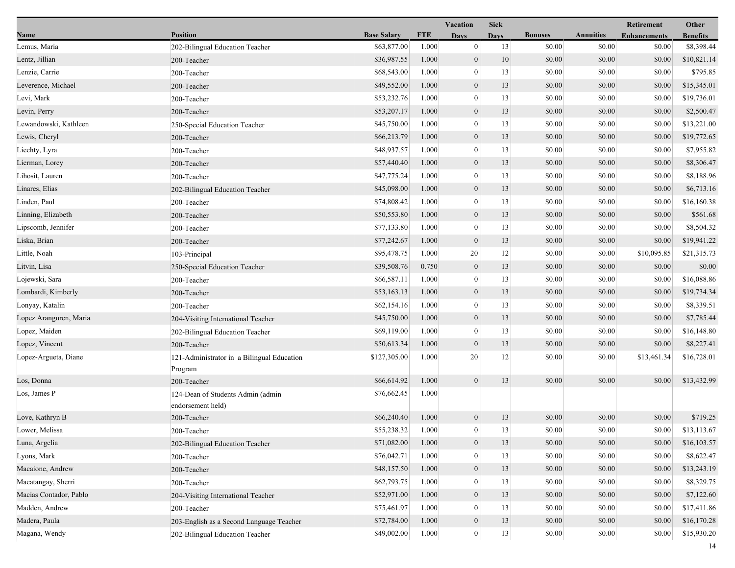|                        |                                                        |                    |            | Vacation         | <b>Sick</b> |                |                  | Retirement          | Other           |
|------------------------|--------------------------------------------------------|--------------------|------------|------------------|-------------|----------------|------------------|---------------------|-----------------|
| Name                   | <b>Position</b>                                        | <b>Base Salary</b> | <b>FTE</b> | <b>Days</b>      | <b>Days</b> | <b>Bonuses</b> | <b>Annuities</b> | <b>Enhancements</b> | <b>Benefits</b> |
| Lemus, Maria           | 202-Bilingual Education Teacher                        | \$63,877.00        | 1.000      | $\mathbf{0}$     | 13          | \$0.00         | \$0.00           | \$0.00              | \$8,398.44      |
| Lentz, Jillian         | 200-Teacher                                            | \$36,987.55        | 1.000      | $\boldsymbol{0}$ | 10          | \$0.00         | \$0.00           | \$0.00              | \$10,821.14     |
| Lenzie, Carrie         | 200-Teacher                                            | \$68,543.00        | 1.000      | $\mathbf{0}$     | 13          | \$0.00         | \$0.00           | \$0.00              | \$795.85        |
| Leverence, Michael     | 200-Teacher                                            | \$49,552.00        | 1.000      | $\boldsymbol{0}$ | 13          | \$0.00         | \$0.00           | \$0.00              | \$15,345.01     |
| Levi, Mark             | 200-Teacher                                            | \$53,232.76        | 1.000      | $\mathbf{0}$     | 13          | \$0.00         | \$0.00           | \$0.00              | \$19,736.01     |
| Levin, Perry           | 200-Teacher                                            | \$53,207.17        | 1.000      | $\boldsymbol{0}$ | 13          | \$0.00         | \$0.00           | \$0.00              | \$2,500.47      |
| Lewandowski, Kathleen  | 250-Special Education Teacher                          | \$45,750.00        | 1.000      | $\overline{0}$   | 13          | \$0.00         | \$0.00           | \$0.00              | \$13,221.00     |
| Lewis, Cheryl          | 200-Teacher                                            | \$66,213.79        | 1.000      | $\boldsymbol{0}$ | 13          | \$0.00         | \$0.00           | \$0.00              | \$19,772.65     |
| Liechty, Lyra          | 200-Teacher                                            | \$48,937.57        | 1.000      | $\mathbf{0}$     | 13          | \$0.00         | \$0.00           | \$0.00              | \$7,955.82      |
| Lierman, Lorey         | 200-Teacher                                            | \$57,440.40        | 1.000      | $\boldsymbol{0}$ | 13          | \$0.00         | \$0.00           | \$0.00              | \$8,306.47      |
| Lihosit, Lauren        | 200-Teacher                                            | \$47,775.24        | 1.000      | $\mathbf{0}$     | 13          | \$0.00         | \$0.00           | \$0.00              | \$8,188.96      |
| Linares, Elias         | 202-Bilingual Education Teacher                        | \$45,098.00        | 1.000      | $\mathbf{0}$     | 13          | \$0.00         | \$0.00           | \$0.00              | \$6,713.16      |
| Linden, Paul           | 200-Teacher                                            | \$74,808.42        | 1.000      | $\overline{0}$   | 13          | \$0.00         | \$0.00           | \$0.00              | \$16,160.38     |
| Linning, Elizabeth     | 200-Teacher                                            | \$50,553.80        | 1.000      | $\boldsymbol{0}$ | 13          | \$0.00         | \$0.00           | \$0.00              | \$561.68        |
| Lipscomb, Jennifer     | 200-Teacher                                            | \$77,133.80        | 1.000      | $\mathbf{0}$     | 13          | \$0.00         | \$0.00           | \$0.00              | \$8,504.32      |
| Liska, Brian           | 200-Teacher                                            | \$77,242.67        | 1.000      | $\mathbf{0}$     | 13          | \$0.00         | \$0.00           | \$0.00              | \$19,941.22     |
| Little, Noah           | 103-Principal                                          | \$95,478.75        | 1.000      | 20               | 12          | \$0.00         | \$0.00           | \$10,095.85         | \$21,315.73     |
| Litvin, Lisa           | 250-Special Education Teacher                          | \$39,508.76        | 0.750      | $\boldsymbol{0}$ | 13          | \$0.00         | \$0.00           | \$0.00              | \$0.00          |
| Lojewski, Sara         | 200-Teacher                                            | \$66,587.11        | 1.000      | $\overline{0}$   | 13          | \$0.00         | \$0.00           | \$0.00              | \$16,088.86     |
| Lombardi, Kimberly     | 200-Teacher                                            | \$53,163.13        | 1.000      | $\boldsymbol{0}$ | 13          | \$0.00         | \$0.00           | \$0.00              | \$19,734.34     |
| Lonyay, Katalin        | 200-Teacher                                            | \$62,154.16        | 1.000      | $\mathbf{0}$     | 13          | \$0.00         | \$0.00           | \$0.00              | \$8,339.51      |
| Lopez Aranguren, Maria | 204-Visiting International Teacher                     | \$45,750.00        | 1.000      | $\mathbf{0}$     | 13          | \$0.00         | \$0.00           | \$0.00              | \$7,785.44      |
| Lopez, Maiden          | 202-Bilingual Education Teacher                        | \$69,119.00        | 1.000      | $\bf{0}$         | 13          | \$0.00         | \$0.00           | \$0.00              | \$16,148.80     |
| Lopez, Vincent         | 200-Teacher                                            | \$50,613.34        | 1.000      | $\mathbf{0}$     | 13          | \$0.00         | \$0.00           | \$0.00              | \$8,227.41      |
| Lopez-Argueta, Diane   | 121-Administrator in a Bilingual Education<br>Program  | \$127,305.00       | 1.000      | 20               | 12          | \$0.00         | \$0.00           | \$13,461.34         | \$16,728.01     |
| Los, Donna             | 200-Teacher                                            | \$66,614.92        | 1.000      | $\boldsymbol{0}$ | 13          | \$0.00         | \$0.00           | \$0.00              | \$13,432.99     |
| Los, James P           | 124-Dean of Students Admin (admin<br>endorsement held) | \$76,662.45        | 1.000      |                  |             |                |                  |                     |                 |
| Love, Kathryn B        | 200-Teacher                                            | \$66,240.40        | 1.000      | $\boldsymbol{0}$ | 13          | \$0.00         | \$0.00           | \$0.00              | \$719.25        |
| Lower, Melissa         | 200-Teacher                                            | \$55,238.32        | 1.000      | $\overline{0}$   | 13          | \$0.00         | \$0.00           | \$0.00              | \$13,113.67     |
| Luna, Argelia          | 202-Bilingual Education Teacher                        | \$71,082.00        | 1.000      | $\boldsymbol{0}$ | 13          | \$0.00         | \$0.00           | \$0.00              | \$16,103.57     |
| Lyons, Mark            | 200-Teacher                                            | \$76,042.71        | 1.000      | $\bf{0}$         | 13          | \$0.00         | \$0.00           | \$0.00              | \$8,622.47      |
| Macaione, Andrew       | 200-Teacher                                            | \$48,157.50        | 1.000      | $\mathbf{0}$     | 13          | \$0.00         | \$0.00           | \$0.00              | \$13,243.19     |
| Macatangay, Sherri     | 200-Teacher                                            | \$62,793.75        | 1.000      | $\bf{0}$         | 13          | \$0.00         | \$0.00           | \$0.00              | \$8,329.75      |
| Macias Contador, Pablo | 204-Visiting International Teacher                     | \$52,971.00        | 1.000      | $\boldsymbol{0}$ | 13          | \$0.00         | \$0.00           | \$0.00              | \$7,122.60      |
| Madden, Andrew         | 200-Teacher                                            | \$75,461.97        | 1.000      | $\theta$         | 13          | \$0.00         | \$0.00           | \$0.00              | \$17,411.86     |
| Madera, Paula          | 203-English as a Second Language Teacher               | \$72,784.00        | 1.000      | $\mathbf{0}$     | 13          | \$0.00         | \$0.00           | \$0.00              | \$16,170.28     |
| Magana, Wendy          | 202-Bilingual Education Teacher                        | \$49,002.00        | 1.000      | $\mathbf{0}$     | 13          | \$0.00         | \$0.00           | \$0.00              | \$15,930.20     |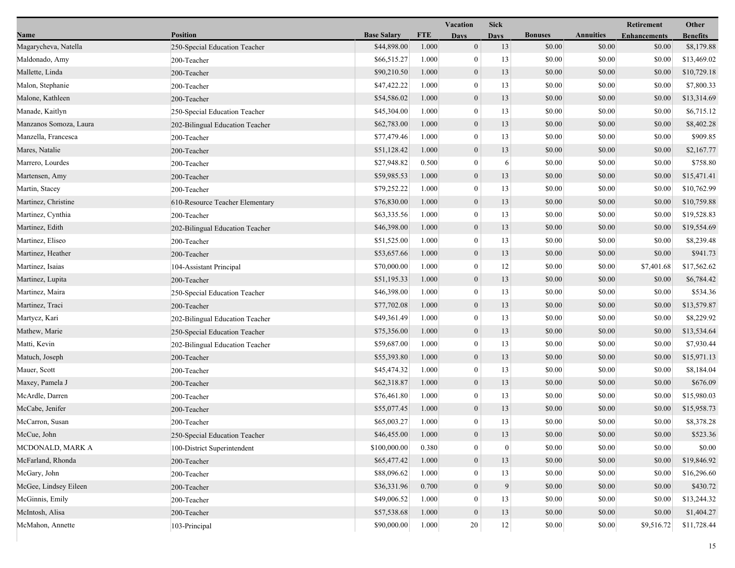|                        |                                 |                    |            | <b>Vacation</b>  | <b>Sick</b>      |                |                  | Retirement          | Other           |
|------------------------|---------------------------------|--------------------|------------|------------------|------------------|----------------|------------------|---------------------|-----------------|
| Name                   | <b>Position</b>                 | <b>Base Salary</b> | <b>FTE</b> | <b>Days</b>      | <b>Days</b>      | <b>Bonuses</b> | <b>Annuities</b> | <b>Enhancements</b> | <b>Benefits</b> |
| Magarycheva, Natella   | 250-Special Education Teacher   | \$44,898.00        | 1.000      | $\boldsymbol{0}$ | 13               | \$0.00         | \$0.00           | \$0.00              | \$8,179.88      |
| Maldonado, Amy         | 200-Teacher                     | \$66,515.27        | 1.000      | $\boldsymbol{0}$ | 13               | \$0.00         | \$0.00           | \$0.00              | \$13,469.02     |
| Mallette, Linda        | 200-Teacher                     | \$90,210.50        | 1.000      | $\boldsymbol{0}$ | 13               | \$0.00         | \$0.00           | \$0.00              | \$10,729.18     |
| Malon, Stephanie       | 200-Teacher                     | \$47,422.22        | 1.000      | $\mathbf{0}$     | 13               | \$0.00         | \$0.00           | \$0.00              | \$7,800.33      |
| Malone, Kathleen       | 200-Teacher                     | \$54,586.02        | 1.000      | $\boldsymbol{0}$ | 13               | \$0.00         | \$0.00           | \$0.00              | \$13,314.69     |
| Manade, Kaitlyn        | 250-Special Education Teacher   | \$45,304.00        | 1.000      | $\boldsymbol{0}$ | 13               | \$0.00         | \$0.00           | \$0.00              | \$6,715.12      |
| Manzanos Somoza, Laura | 202-Bilingual Education Teacher | \$62,783.00        | 1.000      | $\mathbf{0}$     | 13               | \$0.00         | \$0.00           | \$0.00              | \$8,402.28      |
| Manzella, Francesca    | 200-Teacher                     | \$77,479.46        | 1.000      | $\boldsymbol{0}$ | 13               | \$0.00         | \$0.00           | \$0.00              | \$909.85        |
| Mares, Natalie         | 200-Teacher                     | \$51,128.42        | 1.000      | $\boldsymbol{0}$ | 13               | \$0.00         | \$0.00           | \$0.00              | \$2,167.77      |
| Marrero, Lourdes       | 200-Teacher                     | \$27,948.82        | 0.500      | $\boldsymbol{0}$ | 6                | \$0.00         | \$0.00           | \$0.00              | \$758.80        |
| Martensen, Amy         | 200-Teacher                     | \$59,985.53        | 1.000      | $\boldsymbol{0}$ | 13               | \$0.00         | \$0.00           | \$0.00              | \$15,471.41     |
| Martin, Stacey         | 200-Teacher                     | \$79,252.22        | 1.000      | $\boldsymbol{0}$ | 13               | \$0.00         | \$0.00           | \$0.00              | \$10,762.99     |
| Martinez, Christine    | 610-Resource Teacher Elementary | \$76,830.00        | 1.000      | $\mathbf{0}$     | 13               | \$0.00         | \$0.00           | \$0.00              | \$10,759.88     |
| Martinez, Cynthia      | 200-Teacher                     | \$63,335.56        | 1.000      | $\boldsymbol{0}$ | 13               | \$0.00         | \$0.00           | \$0.00              | \$19,528.83     |
| Martinez, Edith        | 202-Bilingual Education Teacher | \$46,398.00        | 1.000      | $\boldsymbol{0}$ | 13               | \$0.00         | \$0.00           | \$0.00              | \$19,554.69     |
| Martinez, Eliseo       | 200-Teacher                     | \$51,525.00        | 1.000      | $\boldsymbol{0}$ | 13               | \$0.00         | \$0.00           | \$0.00              | \$8,239.48      |
| Martinez, Heather      | 200-Teacher                     | \$53,657.66        | 1.000      | $\boldsymbol{0}$ | 13               | \$0.00         | \$0.00           | \$0.00              | \$941.73        |
| Martinez, Isaias       | 104-Assistant Principal         | \$70,000.00        | 1.000      | $\boldsymbol{0}$ | 12               | \$0.00         | \$0.00           | \$7,401.68          | \$17,562.62     |
| Martinez, Lupita       | 200-Teacher                     | \$51,195.33        | 1.000      | $\boldsymbol{0}$ | 13               | \$0.00         | \$0.00           | \$0.00              | \$6,784.42      |
| Martinez, Maira        | 250-Special Education Teacher   | \$46,398.00        | 1.000      | $\boldsymbol{0}$ | 13               | \$0.00         | \$0.00           | \$0.00              | \$534.36        |
| Martinez, Traci        | 200-Teacher                     | \$77,702.08        | 1.000      | $\boldsymbol{0}$ | 13               | \$0.00         | \$0.00           | \$0.00              | \$13,579.87     |
| Martycz, Kari          | 202-Bilingual Education Teacher | \$49,361.49        | 1.000      | $\boldsymbol{0}$ | 13               | \$0.00         | \$0.00           | \$0.00              | \$8,229.92      |
| Mathew, Marie          | 250-Special Education Teacher   | \$75,356.00        | 1.000      | $\boldsymbol{0}$ | 13               | \$0.00         | \$0.00           | \$0.00              | \$13,534.64     |
| Matti, Kevin           | 202-Bilingual Education Teacher | \$59,687.00        | 1.000      | $\boldsymbol{0}$ | 13               | \$0.00         | \$0.00           | \$0.00              | \$7,930.44      |
| Matuch, Joseph         | 200-Teacher                     | \$55,393.80        | 1.000      | $\boldsymbol{0}$ | 13               | \$0.00         | \$0.00           | \$0.00              | \$15,971.13     |
| Mauer, Scott           | 200-Teacher                     | \$45,474.32        | 1.000      | $\boldsymbol{0}$ | 13               | \$0.00         | \$0.00           | \$0.00              | \$8,184.04      |
| Maxey, Pamela J        | 200-Teacher                     | \$62,318.87        | 1.000      | $\boldsymbol{0}$ | 13               | \$0.00         | \$0.00           | \$0.00              | \$676.09        |
| McArdle, Darren        | 200-Teacher                     | \$76,461.80        | 1.000      | $\boldsymbol{0}$ | 13               | \$0.00         | \$0.00           | \$0.00              | \$15,980.03     |
| McCabe, Jenifer        | 200-Teacher                     | \$55,077.45        | 1.000      | $\boldsymbol{0}$ | 13               | \$0.00         | \$0.00           | \$0.00              | \$15,958.73     |
| McCarron, Susan        | 200-Teacher                     | \$65,003.27        | 1.000      | $\boldsymbol{0}$ | 13               | \$0.00         | \$0.00           | \$0.00              | \$8,378.28      |
| McCue, John            | 250-Special Education Teacher   | \$46,455.00        | 1.000      | $\boldsymbol{0}$ | 13               | \$0.00         | $\$0.00$         | \$0.00              | \$523.36        |
| MCDONALD, MARK A       | 100-District Superintendent     | \$100,000.00       | 0.380      | $\boldsymbol{0}$ | $\boldsymbol{0}$ | \$0.00         | \$0.00           | \$0.00              | \$0.00          |
| McFarland, Rhonda      | 200-Teacher                     | \$65,477.42        | 1.000      | $\boldsymbol{0}$ | 13               | \$0.00         | \$0.00           | \$0.00              | \$19,846.92     |
| McGary, John           | 200-Teacher                     | \$88,096.62        | 1.000      | $\boldsymbol{0}$ | 13               | \$0.00         | \$0.00           | \$0.00              | \$16,296.60     |
| McGee, Lindsey Eileen  | 200-Teacher                     | \$36,331.96        | 0.700      | $\mathbf{0}$     | 9                | \$0.00         | \$0.00           | \$0.00              | \$430.72        |
| McGinnis, Emily        | 200-Teacher                     | \$49,006.52        | 1.000      | $\boldsymbol{0}$ | 13               | \$0.00         | \$0.00           | \$0.00              | \$13,244.32     |
| McIntosh, Alisa        | 200-Teacher                     | \$57,538.68        | 1.000      | $\boldsymbol{0}$ | 13               | \$0.00         | \$0.00           | \$0.00              | \$1,404.27      |
| McMahon, Annette       | 103-Principal                   | \$90,000.00        | 1.000      | 20               | $12 \mid$        | \$0.00         | \$0.00           | \$9,516.72          | \$11,728.44     |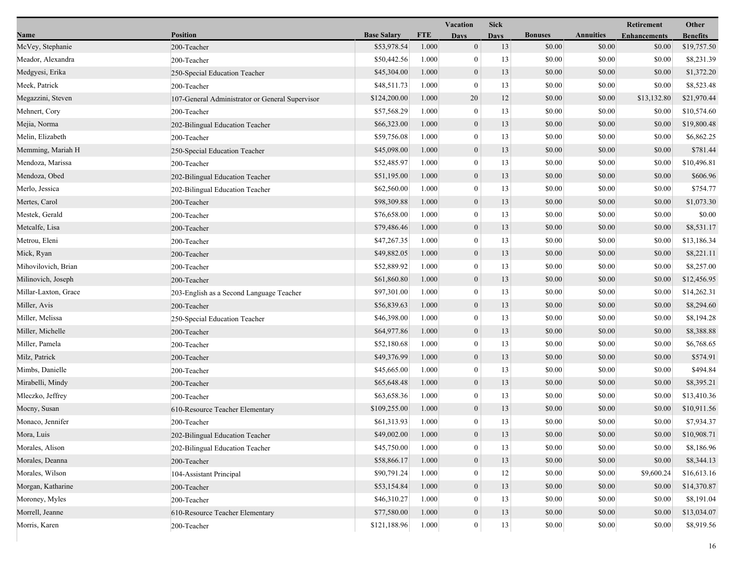|                      |                                                 |                    |            | <b>Vacation</b>  | <b>Sick</b> |                |                  | Retirement          | Other           |
|----------------------|-------------------------------------------------|--------------------|------------|------------------|-------------|----------------|------------------|---------------------|-----------------|
| Name                 | <b>Position</b>                                 | <b>Base Salary</b> | <b>FTE</b> | <b>Days</b>      | <b>Days</b> | <b>Bonuses</b> | <b>Annuities</b> | <b>Enhancements</b> | <b>Benefits</b> |
| McVey, Stephanie     | 200-Teacher                                     | \$53,978.54        | 1.000      | $\boldsymbol{0}$ | 13          | \$0.00         | \$0.00           | \$0.00              | \$19,757.50     |
| Meador, Alexandra    | 200-Teacher                                     | \$50,442.56        | 1.000      | $\bf{0}$         | 13          | \$0.00         | \$0.00           | \$0.00              | \$8,231.39      |
| Medgyesi, Erika      | 250-Special Education Teacher                   | \$45,304.00        | 1.000      | $\boldsymbol{0}$ | 13          | \$0.00         | \$0.00           | \$0.00              | \$1,372.20      |
| Meek, Patrick        | 200-Teacher                                     | \$48,511.73        | 1.000      | $\mathbf{0}$     | 13          | \$0.00         | \$0.00           | \$0.00              | \$8,523.48      |
| Megazzini, Steven    | 107-General Administrator or General Supervisor | \$124,200.00       | 1.000      | 20               | 12          | \$0.00         | \$0.00           | \$13,132.80         | \$21,970.44     |
| Mehnert, Cory        | 200-Teacher                                     | \$57,568.29        | 1.000      | $\bf{0}$         | 13          | \$0.00         | \$0.00           | \$0.00              | \$10,574.60     |
| Mejia, Norma         | 202-Bilingual Education Teacher                 | \$66,323.00        | 1.000      | $\mathbf{0}$     | 13          | \$0.00         | \$0.00           | \$0.00              | \$19,800.48     |
| Melin, Elizabeth     | 200-Teacher                                     | \$59,756.08        | 1.000      | $\bf{0}$         | 13          | \$0.00         | \$0.00           | \$0.00              | \$6,862.25      |
| Memming, Mariah H    | 250-Special Education Teacher                   | \$45,098.00        | 1.000      | $\boldsymbol{0}$ | 13          | \$0.00         | \$0.00           | \$0.00              | \$781.44        |
| Mendoza, Marissa     | 200-Teacher                                     | \$52,485.97        | 1.000      | $\mathbf{0}$     | 13          | \$0.00         | \$0.00           | \$0.00              | \$10,496.81     |
| Mendoza, Obed        | 202-Bilingual Education Teacher                 | \$51,195.00        | 1.000      | $\mathbf{0}$     | 13          | \$0.00         | \$0.00           | \$0.00              | \$606.96        |
| Merlo, Jessica       | 202-Bilingual Education Teacher                 | \$62,560.00        | 1.000      | $\bf{0}$         | 13          | \$0.00         | \$0.00           | \$0.00              | \$754.77        |
| Mertes, Carol        | 200-Teacher                                     | \$98,309.88        | 1.000      | $\mathbf{0}$     | 13          | \$0.00         | \$0.00           | \$0.00              | \$1,073.30      |
| Mestek, Gerald       | 200-Teacher                                     | \$76,658.00        | 1.000      | $\bf{0}$         | 13          | \$0.00         | \$0.00           | \$0.00              | \$0.00          |
| Metcalfe, Lisa       | 200-Teacher                                     | \$79,486.46        | 1.000      | $\mathbf{0}$     | 13          | \$0.00         | \$0.00           | \$0.00              | \$8,531.17      |
| Metrou, Eleni        | 200-Teacher                                     | \$47,267.35        | 1.000      | $\mathbf{0}$     | 13          | \$0.00         | \$0.00           | \$0.00              | \$13,186.34     |
| Mick, Ryan           | 200-Teacher                                     | \$49,882.05        | 1.000      | $\mathbf{0}$     | 13          | \$0.00         | \$0.00           | \$0.00              | \$8,221.11      |
| Mihovilovich, Brian  | 200-Teacher                                     | \$52,889.92        | 1.000      | $\bf{0}$         | 13          | \$0.00         | \$0.00           | \$0.00              | \$8,257.00      |
| Milinovich, Joseph   | 200-Teacher                                     | \$61,860.80        | 1.000      | $\mathbf{0}$     | 13          | \$0.00         | \$0.00           | \$0.00              | \$12,456.95     |
| Millar-Laxton, Grace | 203-English as a Second Language Teacher        | \$97,301.00        | 1.000      | $\mathbf{0}$     | 13          | \$0.00         | \$0.00           | \$0.00              | \$14,262.31     |
| Miller, Avis         | 200-Teacher                                     | \$56,839.63        | 1.000      | $\mathbf{0}$     | 13          | \$0.00         | \$0.00           | \$0.00              | \$8,294.60      |
| Miller, Melissa      | 250-Special Education Teacher                   | \$46,398.00        | 1.000      | $\bf{0}$         | 13          | \$0.00         | \$0.00           | \$0.00              | \$8,194.28      |
| Miller, Michelle     | 200-Teacher                                     | \$64,977.86        | 1.000      | $\mathbf{0}$     | 13          | \$0.00         | \$0.00           | \$0.00              | \$8,388.88      |
| Miller, Pamela       | 200-Teacher                                     | \$52,180.68        | 1.000      | $\bf{0}$         | 13          | \$0.00         | \$0.00           | \$0.00              | \$6,768.65      |
| Milz, Patrick        | 200-Teacher                                     | \$49,376.99        | 1.000      | $\mathbf{0}$     | 13          | \$0.00         | \$0.00           | \$0.00              | \$574.91        |
| Mimbs, Danielle      | 200-Teacher                                     | \$45,665.00        | 1.000      | $\bf{0}$         | 13          | \$0.00         | \$0.00           | \$0.00              | \$494.84        |
| Mirabelli, Mindy     | 200-Teacher                                     | \$65,648.48        | 1.000      | $\mathbf{0}$     | 13          | \$0.00         | \$0.00           | \$0.00              | \$8,395.21      |
| Mleczko, Jeffrey     | 200-Teacher                                     | \$63,658.36        | 1.000      | $\bf{0}$         | 13          | \$0.00         | \$0.00           | \$0.00              | \$13,410.36     |
| Mocny, Susan         | 610-Resource Teacher Elementary                 | \$109,255.00       | 1.000      | $\mathbf{0}$     | 13          | \$0.00         | \$0.00           | \$0.00              | \$10,911.56     |
| Monaco, Jennifer     | 200-Teacher                                     | \$61,313.93        | 1.000      | $\bf{0}$         | 13          | \$0.00         | \$0.00           | \$0.00              | \$7,934.37      |
| Mora, Luis           | 202-Bilingual Education Teacher                 | \$49,002.00        | $1.000\,$  | $\boldsymbol{0}$ | 13          | \$0.00         | \$0.00           | $\$0.00$            | \$10,908.71     |
| Morales, Alison      | 202-Bilingual Education Teacher                 | \$45,750.00        | 1.000      | $\bf{0}$         | 13          | \$0.00         | \$0.00           | \$0.00              | \$8,186.96      |
| Morales, Deanna      | 200-Teacher                                     | \$58,866.17        | 1.000      | $\mathbf{0}$     | 13          | \$0.00         | \$0.00           | \$0.00              | \$8,344.13      |
| Morales, Wilson      | 104-Assistant Principal                         | \$90,791.24        | 1.000      | $\mathbf{0}$     | 12          | \$0.00         | \$0.00           | \$9,600.24          | \$16,613.16     |
| Morgan, Katharine    | 200-Teacher                                     | \$53,154.84        | 1.000      | $\mathbf{0}$     | 13          | \$0.00         | \$0.00           | \$0.00              | \$14,370.87     |
| Moroney, Myles       | 200-Teacher                                     | \$46,310.27        | 1.000      | $\mathbf{0}$     | 13          | \$0.00         | \$0.00           | \$0.00              | \$8,191.04      |
| Morrell, Jeanne      | 610-Resource Teacher Elementary                 | \$77,580.00        | 1.000      | $\boldsymbol{0}$ | 13          | \$0.00         | \$0.00           | \$0.00              | \$13,034.07     |
| Morris, Karen        | 200-Teacher                                     | \$121,188.96       | 1.000      | $\boldsymbol{0}$ | 13          | \$0.00         | \$0.00           | \$0.00              | \$8,919.56      |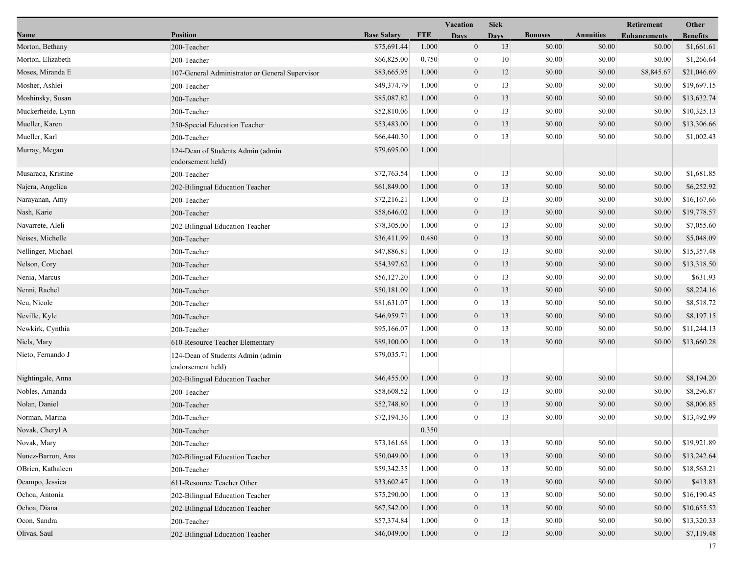|                    |                                                        |                    |            | Vacation         | <b>Sick</b> |                |                  | <b>Retirement</b>   | Other           |
|--------------------|--------------------------------------------------------|--------------------|------------|------------------|-------------|----------------|------------------|---------------------|-----------------|
| Name               | <b>Position</b>                                        | <b>Base Salary</b> | <b>FTE</b> | <b>Days</b>      | <b>Days</b> | <b>Bonuses</b> | <b>Annuities</b> | <b>Enhancements</b> | <b>Benefits</b> |
| Morton, Bethany    | 200-Teacher                                            | \$75,691.44        | 1.000      | $\boldsymbol{0}$ | 13          | \$0.00         | \$0.00           | \$0.00              | \$1,661.61      |
| Morton, Elizabeth  | 200-Teacher                                            | \$66,825.00        | 0.750      | $\mathbf{0}$     | 10          | \$0.00         | \$0.00           | \$0.00              | \$1,266.64      |
| Moses, Miranda E   | 107-General Administrator or General Supervisor        | \$83,665.95        | 1.000      | $\boldsymbol{0}$ | 12          | \$0.00         | \$0.00           | \$8,845.67          | \$21,046.69     |
| Mosher, Ashlei     | 200-Teacher                                            | \$49,374.79        | 1.000      | $\mathbf{0}$     | 13          | \$0.00         | \$0.00           | \$0.00              | \$19,697.15     |
| Moshinsky, Susan   | 200-Teacher                                            | \$85,087.82        | 1.000      | $\boldsymbol{0}$ | 13          | \$0.00         | \$0.00           | \$0.00              | \$13,632.74     |
| Muckerheide, Lynn  | 200-Teacher                                            | \$52,810.06        | 1.000      | $\mathbf{0}$     | 13          | \$0.00         | \$0.00           | \$0.00              | \$10,325.13     |
| Mueller, Karen     | 250-Special Education Teacher                          | \$53,483.00        | 1.000      | $\mathbf{0}$     | 13          | \$0.00         | \$0.00           | \$0.00              | \$13,306.66     |
| Mueller, Karl      | 200-Teacher                                            | \$66,440.30        | 1.000      | $\mathbf{0}$     | 13          | \$0.00         | \$0.00           | \$0.00              | \$1,002.43      |
| Murray, Megan      | 124-Dean of Students Admin (admin<br>endorsement held) | \$79,695.00        | 1.000      |                  |             |                |                  |                     |                 |
| Musaraca, Kristine | 200-Teacher                                            | \$72,763.54        | 1.000      | $\mathbf{0}$     | 13          | \$0.00         | \$0.00           | \$0.00              | \$1,681.85      |
| Najera, Angelica   | 202-Bilingual Education Teacher                        | \$61,849.00        | 1.000      | $\mathbf{0}$     | 13          | \$0.00         | \$0.00           | \$0.00              | \$6,252.92      |
| Narayanan, Amy     | 200-Teacher                                            | \$72,216.21        | 1.000      | $\mathbf{0}$     | 13          | \$0.00         | \$0.00           | \$0.00              | \$16,167.66     |
| Nash, Karie        | 200-Teacher                                            | \$58,646.02        | 1.000      | $\mathbf{0}$     | 13          | \$0.00         | \$0.00           | \$0.00              | \$19,778.57     |
| Navarrete, Aleli   | 202-Bilingual Education Teacher                        | \$78,305.00        | 1.000      | $\bf{0}$         | 13          | \$0.00         | \$0.00           | \$0.00              | \$7,055.60      |
| Neises, Michelle   | 200-Teacher                                            | \$36,411.99        | 0.480      | $\boldsymbol{0}$ | 13          | \$0.00         | \$0.00           | \$0.00              | \$5,048.09      |
| Nellinger, Michael | 200-Teacher                                            | \$47,886.81        | 1.000      | $\mathbf{0}$     | 13          | \$0.00         | \$0.00           | \$0.00              | \$15,357.48     |
| Nelson, Cory       | 200-Teacher                                            | \$54,397.62        | 1.000      | $\mathbf{0}$     | 13          | \$0.00         | \$0.00           | \$0.00              | \$13,318.50     |
| Nenia, Marcus      | 200-Teacher                                            | \$56,127.20        | 1.000      | $\mathbf{0}$     | 13          | \$0.00         | \$0.00           | \$0.00              | \$631.93        |
| Nenni, Rachel      | 200-Teacher                                            | \$50,181.09        | 1.000      | $\mathbf{0}$     | 13          | \$0.00         | \$0.00           | \$0.00              | \$8,224.16      |
| Neu, Nicole        | 200-Teacher                                            | \$81,631.07        | 1.000      | $\mathbf{0}$     | 13          | \$0.00         | \$0.00           | \$0.00              | \$8,518.72      |
| Neville, Kyle      | 200-Teacher                                            | \$46,959.71        | 1.000      | $\boldsymbol{0}$ | 13          | \$0.00         | \$0.00           | \$0.00              | \$8,197.15      |
| Newkirk, Cynthia   | 200-Teacher                                            | \$95,166.07        | 1.000      | $\mathbf{0}$     | 13          | \$0.00         | \$0.00           | \$0.00              | \$11,244.13     |
| Niels, Mary        | 610-Resource Teacher Elementary                        | \$89,100.00        | 1.000      | $\mathbf{0}$     | 13          | \$0.00         | \$0.00           | \$0.00              | \$13,660.28     |
| Nieto, Fernando J  | 124-Dean of Students Admin (admin<br>endorsement held) | \$79,035.71        | 1.000      |                  |             |                |                  |                     |                 |
| Nightingale, Anna  | 202-Bilingual Education Teacher                        | \$46,455.00        | 1.000      | $\boldsymbol{0}$ | 13          | \$0.00         | \$0.00           | \$0.00              | \$8,194.20      |
| Nobles, Amanda     | 200-Teacher                                            | \$58,608.52        | 1.000      | $\mathbf{0}$     | 13          | \$0.00         | \$0.00           | \$0.00              | \$8,296.87      |
| Nolan, Daniel      | 200-Teacher                                            | \$52,748.80        | 1.000      | $\mathbf{0}$     | 13          | \$0.00         | \$0.00           | \$0.00              | \$8,006.85      |
| Norman, Marina     | 200-Teacher                                            | \$72,194.36        | 1.000      | $\mathbf{0}$     | 13          | \$0.00         | \$0.00           | \$0.00              | \$13,492.99     |
| Novak, Cheryl A    | 200-Teacher                                            |                    | 0.350      |                  |             |                |                  |                     |                 |
| Novak, Mary        | 200-Teacher                                            | \$73,161.68        | 1.000      | $\mathbf{0}$     | 13          | \$0.00         | \$0.00           | \$0.00              | \$19,921.89     |
| Nunez-Barron, Ana  | 202-Bilingual Education Teacher                        | \$50,049.00        | 1.000      | $\boldsymbol{0}$ | 13          | \$0.00         | \$0.00           | \$0.00              | \$13,242.64     |
| OBrien, Kathaleen  | 200-Teacher                                            | \$59,342.35        | 1.000      | $\boldsymbol{0}$ | 13          | \$0.00         | \$0.00           | \$0.00              | \$18,563.21     |
| Ocampo, Jessica    | 611-Resource Teacher Other                             | \$33,602.47        | 1.000      | $\boldsymbol{0}$ | 13          | \$0.00         | \$0.00           | \$0.00              | \$413.83        |
| Ochoa, Antonia     | 202-Bilingual Education Teacher                        | \$75,290.00        | 1.000      | $\mathbf{0}$     | 13          | \$0.00         | \$0.00           | \$0.00              | \$16,190.45     |
| Ochoa, Diana       | 202-Bilingual Education Teacher                        | \$67,542.00        | 1.000      | $\mathbf{0}$     | 13          | \$0.00         | \$0.00           | \$0.00              | \$10,655.52     |
| Ocon, Sandra       | 200-Teacher                                            | \$57,374.84        | 1.000      | $\mathbf{0}$     | 13          | \$0.00         | \$0.00           | \$0.00              | \$13,320.33     |
| Olivas, Saul       | 202-Bilingual Education Teacher                        | \$46,049.00        | 1.000      | $\boldsymbol{0}$ | $13\,$      | \$0.00         | \$0.00           | \$0.00              | \$7,119.48      |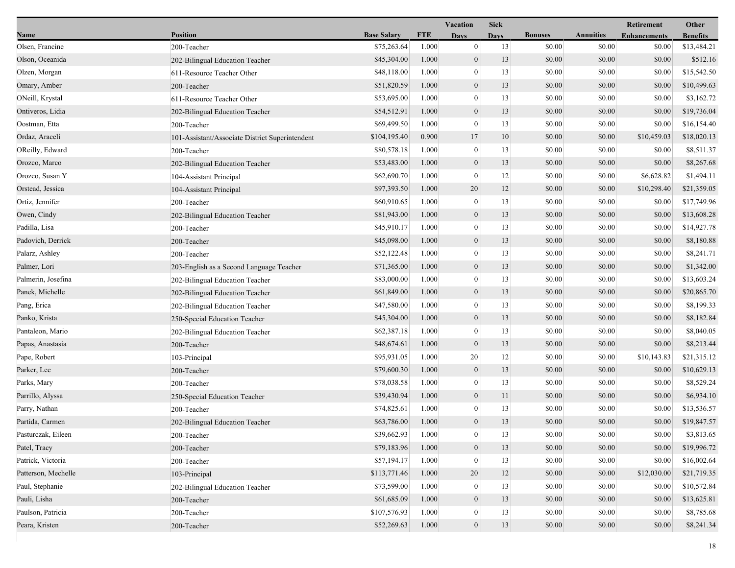|                     |                                                 |                    |            | <b>Vacation</b>  | <b>Sick</b> |                |                  | Retirement          | Other           |
|---------------------|-------------------------------------------------|--------------------|------------|------------------|-------------|----------------|------------------|---------------------|-----------------|
| Name                | <b>Position</b>                                 | <b>Base Salary</b> | <b>FTE</b> | <b>Days</b>      | <b>Days</b> | <b>Bonuses</b> | <b>Annuities</b> | <b>Enhancements</b> | <b>Benefits</b> |
| Olsen, Francine     | 200-Teacher                                     | \$75,263.64        | 1.000      | $\mathbf{0}$     | 13          | \$0.00         | \$0.00           | \$0.00              | \$13,484.21     |
| Olson, Oceanida     | 202-Bilingual Education Teacher                 | \$45,304.00        | 1.000      | $\mathbf{0}$     | 13          | \$0.00         | \$0.00           | \$0.00              | \$512.16        |
| Olzen, Morgan       | 611-Resource Teacher Other                      | \$48,118.00        | 1.000      | $\mathbf{0}$     | 13          | \$0.00         | \$0.00           | \$0.00              | \$15,542.50     |
| Omary, Amber        | 200-Teacher                                     | \$51,820.59        | 1.000      | $\mathbf{0}$     | 13          | \$0.00         | \$0.00           | \$0.00              | \$10,499.63     |
| ONeill, Krystal     | 611-Resource Teacher Other                      | \$53,695.00        | 1.000      | $\mathbf{0}$     | 13          | \$0.00         | \$0.00           | \$0.00              | \$3,162.72      |
| Ontiveros, Lidia    | 202-Bilingual Education Teacher                 | \$54,512.91        | 1.000      | $\boldsymbol{0}$ | 13          | \$0.00         | \$0.00           | \$0.00              | \$19,736.04     |
| Oostman, Etta       | 200-Teacher                                     | \$69,499.50        | 1.000      | $\mathbf{0}$     | 13          | \$0.00         | \$0.00           | \$0.00              | \$16,154.40     |
| Ordaz, Araceli      | 101-Assistant/Associate District Superintendent | \$104,195.40       | 0.900      | 17               | 10          | \$0.00         | \$0.00           | \$10,459.03         | \$18,020.13     |
| OReilly, Edward     | 200-Teacher                                     | \$80,578.18        | 1.000      | $\mathbf{0}$     | 13          | \$0.00         | \$0.00           | \$0.00              | \$8,511.37      |
| Orozco, Marco       | 202-Bilingual Education Teacher                 | \$53,483.00        | 1.000      | $\mathbf{0}$     | 13          | \$0.00         | \$0.00           | \$0.00              | \$8,267.68      |
| Orozco, Susan Y     | 104-Assistant Principal                         | \$62,690.70        | 1.000      | $\mathbf{0}$     | 12          | \$0.00         | \$0.00           | \$6,628.82          | \$1,494.11      |
| Orstead, Jessica    | 104-Assistant Principal                         | \$97,393.50        | 1.000      | 20               | 12          | \$0.00         | \$0.00           | \$10,298.40         | \$21,359.05     |
| Ortiz, Jennifer     | 200-Teacher                                     | \$60,910.65        | 1.000      | $\mathbf{0}$     | 13          | \$0.00         | \$0.00           | \$0.00              | \$17,749.96     |
| Owen, Cindy         | 202-Bilingual Education Teacher                 | \$81,943.00        | 1.000      | $\mathbf{0}$     | 13          | \$0.00         | \$0.00           | \$0.00              | \$13,608.28     |
| Padilla, Lisa       | 200-Teacher                                     | \$45,910.17        | 1.000      | $\boldsymbol{0}$ | 13          | \$0.00         | \$0.00           | \$0.00              | \$14,927.78     |
| Padovich, Derrick   | 200-Teacher                                     | \$45,098.00        | 1.000      | $\mathbf{0}$     | 13          | \$0.00         | \$0.00           | \$0.00              | \$8,180.88      |
| Palarz, Ashley      | 200-Teacher                                     | \$52,122.48        | 1.000      | $\mathbf{0}$     | 13          | \$0.00         | \$0.00           | \$0.00              | \$8,241.71      |
| Palmer, Lori        | 203-English as a Second Language Teacher        | \$71,365.00        | 1.000      | $\mathbf{0}$     | 13          | \$0.00         | \$0.00           | \$0.00              | \$1,342.00      |
| Palmerin, Josefina  | 202-Bilingual Education Teacher                 | \$83,000.00        | 1.000      | $\mathbf{0}$     | 13          | \$0.00         | \$0.00           | \$0.00              | \$13,603.24     |
| Panek, Michelle     | 202-Bilingual Education Teacher                 | \$61,849.00        | 1.000      | $\mathbf{0}$     | 13          | \$0.00         | \$0.00           | \$0.00              | \$20,865.70     |
| Pang, Erica         | 202-Bilingual Education Teacher                 | \$47,580.00        | 1.000      | $\boldsymbol{0}$ | 13          | \$0.00         | \$0.00           | \$0.00              | \$8,199.33      |
| Panko, Krista       | 250-Special Education Teacher                   | \$45,304.00        | 1.000      | $\mathbf{0}$     | 13          | \$0.00         | \$0.00           | \$0.00              | \$8,182.84      |
| Pantaleon, Mario    | 202-Bilingual Education Teacher                 | \$62,387.18        | 1.000      | $\mathbf{0}$     | 13          | \$0.00         | \$0.00           | \$0.00              | \$8,040.05      |
| Papas, Anastasia    | 200-Teacher                                     | \$48,674.61        | 1.000      | $\mathbf{0}$     | 13          | \$0.00         | \$0.00           | \$0.00              | \$8,213.44      |
| Pape, Robert        | 103-Principal                                   | \$95,931.05        | 1.000      | 20               | 12          | \$0.00         | \$0.00           | \$10,143.83         | \$21,315.12     |
| Parker, Lee         | 200-Teacher                                     | \$79,600.30        | 1.000      | $\mathbf{0}$     | 13          | \$0.00         | \$0.00           | \$0.00              | \$10,629.13     |
| Parks, Mary         | 200-Teacher                                     | \$78,038.58        | 1.000      | $\mathbf{0}$     | 13          | \$0.00         | \$0.00           | \$0.00              | \$8,529.24      |
| Parrillo, Alyssa    | 250-Special Education Teacher                   | \$39,430.94        | 1.000      | $\boldsymbol{0}$ | 11          | \$0.00         | \$0.00           | \$0.00              | \$6,934.10      |
| Parry, Nathan       | 200-Teacher                                     | \$74,825.61        | 1.000      | $\mathbf{0}$     | 13          | \$0.00         | \$0.00           | \$0.00              | \$13,536.57     |
| Partida, Carmen     | 202-Bilingual Education Teacher                 | \$63,786.00        | 1.000      | $\mathbf{0}$     | 13          | \$0.00         | \$0.00           | \$0.00              | \$19,847.57     |
| Pasturczak, Eileen  | 200-Teacher                                     | \$39,662.93        | 1.000      | $\theta$         | 13          | \$0.00         | \$0.00           | \$0.00              | \$3,813.65      |
| Patel, Tracy        | 200-Teacher                                     | \$79,183.96        | 1.000      | $\mathbf{0}$     | 13          | \$0.00         | \$0.00           | \$0.00              | \$19,996.72     |
| Patrick, Victoria   | 200-Teacher                                     | \$57,194.17        | 1.000      | $\mathbf{0}$     | 13          | \$0.00         | \$0.00           | \$0.00              | \$16,002.64     |
| Patterson, Mechelle | 103-Principal                                   | \$113,771.46       | 1.000      | 20               | 12          | \$0.00         | \$0.00           | \$12,030.00         | \$21,719.35     |
| Paul, Stephanie     | 202-Bilingual Education Teacher                 | \$73,599.00        | 1.000      | $\theta$         | 13          | \$0.00         | \$0.00           | \$0.00              | \$10,572.84     |
| Pauli, Lisha        | 200-Teacher                                     | \$61,685.09        | 1.000      | $\mathbf{0}$     | 13          | \$0.00         | \$0.00           | \$0.00              | \$13,625.81     |
| Paulson, Patricia   | 200-Teacher                                     | \$107,576.93       | 1.000      | $\mathbf{0}$     | 13          | \$0.00         | \$0.00           | \$0.00              | \$8,785.68      |
| Peara, Kristen      | 200-Teacher                                     | \$52,269.63        | 1.000      | $\mathbf{0}$     | 13          | \$0.00         | \$0.00           | \$0.00              | \$8,241.34      |
|                     |                                                 |                    |            |                  |             |                |                  |                     |                 |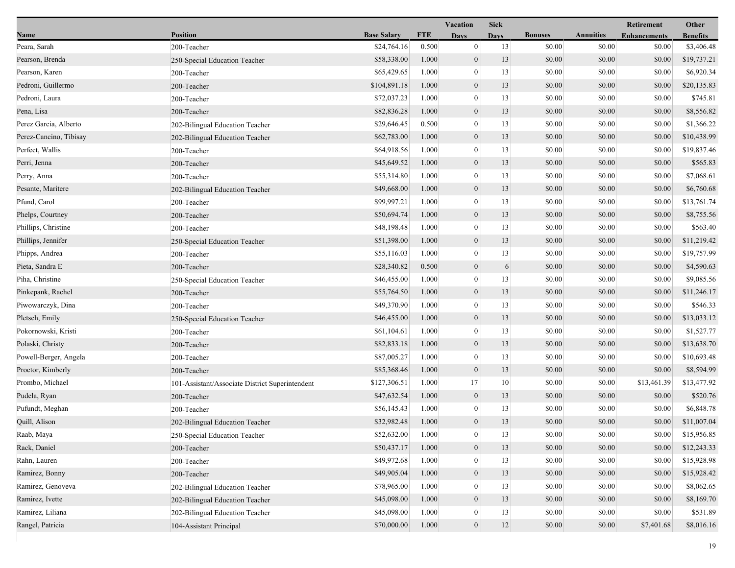|                        |                                                 |                    |            | <b>Vacation</b>  | <b>Sick</b> |                |                  | Retirement          | Other           |
|------------------------|-------------------------------------------------|--------------------|------------|------------------|-------------|----------------|------------------|---------------------|-----------------|
| Name                   | <b>Position</b>                                 | <b>Base Salary</b> | <b>FTE</b> | <b>Days</b>      | <b>Days</b> | <b>Bonuses</b> | <b>Annuities</b> | <b>Enhancements</b> | <b>Benefits</b> |
| Peara, Sarah           | 200-Teacher                                     | \$24,764.16        | 0.500      | $\mathbf{0}$     | 13          | \$0.00         | \$0.00           | \$0.00              | \$3,406.48      |
| Pearson, Brenda        | 250-Special Education Teacher                   | \$58,338.00        | 1.000      | $\boldsymbol{0}$ | 13          | \$0.00         | \$0.00           | \$0.00              | \$19,737.21     |
| Pearson, Karen         | 200-Teacher                                     | \$65,429.65        | 1.000      | $\boldsymbol{0}$ | 13          | \$0.00         | \$0.00           | \$0.00              | \$6,920.34      |
| Pedroni, Guillermo     | 200-Teacher                                     | \$104,891.18       | 1.000      | $\boldsymbol{0}$ | 13          | \$0.00         | \$0.00           | \$0.00              | \$20,135.83     |
| Pedroni, Laura         | 200-Teacher                                     | \$72,037.23        | 1.000      | $\boldsymbol{0}$ | 13          | \$0.00         | \$0.00           | \$0.00              | \$745.81        |
| Pena, Lisa             | 200-Teacher                                     | \$82,836.28        | 1.000      | $\boldsymbol{0}$ | 13          | \$0.00         | \$0.00           | \$0.00              | \$8,556.82      |
| Perez Garcia, Alberto  | 202-Bilingual Education Teacher                 | \$29,646.45        | 0.500      | $\mathbf{0}$     | 13          | \$0.00         | \$0.00           | \$0.00              | \$1,366.22      |
| Perez-Cancino, Tibisay | 202-Bilingual Education Teacher                 | \$62,783.00        | 1.000      | $\boldsymbol{0}$ | 13          | \$0.00         | \$0.00           | \$0.00              | \$10,438.99     |
| Perfect, Wallis        | 200-Teacher                                     | \$64,918.56        | 1.000      | $\boldsymbol{0}$ | 13          | \$0.00         | \$0.00           | \$0.00              | \$19,837.46     |
| Perri, Jenna           | 200-Teacher                                     | \$45,649.52        | 1.000      | $\mathbf{0}$     | 13          | \$0.00         | \$0.00           | \$0.00              | \$565.83        |
| Perry, Anna            | 200-Teacher                                     | \$55,314.80        | 1.000      | $\boldsymbol{0}$ | 13          | \$0.00         | \$0.00           | \$0.00              | \$7,068.61      |
| Pesante, Maritere      | 202-Bilingual Education Teacher                 | \$49,668.00        | 1.000      | $\boldsymbol{0}$ | 13          | \$0.00         | \$0.00           | \$0.00              | \$6,760.68      |
| Pfund, Carol           | 200-Teacher                                     | \$99,997.21        | 1.000      | $\mathbf{0}$     | 13          | \$0.00         | \$0.00           | \$0.00              | \$13,761.74     |
| Phelps, Courtney       | 200-Teacher                                     | \$50,694.74        | 1.000      | $\boldsymbol{0}$ | 13          | \$0.00         | \$0.00           | \$0.00              | \$8,755.56      |
| Phillips, Christine    | 200-Teacher                                     | \$48,198.48        | 1.000      | $\boldsymbol{0}$ | 13          | \$0.00         | \$0.00           | \$0.00              | \$563.40        |
| Phillips, Jennifer     | 250-Special Education Teacher                   | \$51,398.00        | 1.000      | $\boldsymbol{0}$ | 13          | \$0.00         | \$0.00           | \$0.00              | \$11,219.42     |
| Phipps, Andrea         | 200-Teacher                                     | \$55,116.03        | 1.000      | $\boldsymbol{0}$ | 13          | \$0.00         | \$0.00           | \$0.00              | \$19,757.99     |
| Pieta, Sandra E        | 200-Teacher                                     | \$28,340.82        | 0.500      | $\boldsymbol{0}$ | 6           | \$0.00         | \$0.00           | \$0.00              | \$4,590.63      |
| Piha, Christine        | 250-Special Education Teacher                   | \$46,455.00        | 1.000      | $\boldsymbol{0}$ | 13          | \$0.00         | \$0.00           | \$0.00              | \$9,085.56      |
| Pinkepank, Rachel      | 200-Teacher                                     | \$55,764.50        | 1.000      | $\boldsymbol{0}$ | 13          | \$0.00         | \$0.00           | \$0.00              | \$11,246.17     |
| Piwowarczyk, Dina      | 200-Teacher                                     | \$49,370.90        | 1.000      | $\boldsymbol{0}$ | 13          | \$0.00         | \$0.00           | \$0.00              | \$546.33        |
| Pletsch, Emily         | 250-Special Education Teacher                   | \$46,455.00        | 1.000      | $\boldsymbol{0}$ | 13          | \$0.00         | \$0.00           | \$0.00              | \$13,033.12     |
| Pokornowski, Kristi    | 200-Teacher                                     | \$61,104.61        | 1.000      | $\boldsymbol{0}$ | 13          | \$0.00         | \$0.00           | \$0.00              | \$1,527.77      |
| Polaski, Christy       | 200-Teacher                                     | \$82,833.18        | 1.000      | $\mathbf{0}$     | 13          | \$0.00         | \$0.00           | \$0.00              | \$13,638.70     |
| Powell-Berger, Angela  | 200-Teacher                                     | \$87,005.27        | 1.000      | $\boldsymbol{0}$ | 13          | \$0.00         | \$0.00           | \$0.00              | \$10,693.48     |
| Proctor, Kimberly      | 200-Teacher                                     | \$85,368.46        | 1.000      | $\boldsymbol{0}$ | 13          | \$0.00         | \$0.00           | \$0.00              | \$8,594.99      |
| Prombo, Michael        | 101-Assistant/Associate District Superintendent | \$127,306.51       | 1.000      | 17               | 10          | \$0.00         | \$0.00           | \$13,461.39         | \$13,477.92     |
| Pudela, Ryan           | 200-Teacher                                     | \$47,632.54        | 1.000      | $\boldsymbol{0}$ | 13          | \$0.00         | \$0.00           | \$0.00              | \$520.76        |
| Pufundt, Meghan        | 200-Teacher                                     | \$56,145.43        | 1.000      | $\mathbf{0}$     | 13          | \$0.00         | \$0.00           | \$0.00              | \$6,848.78      |
| Quill, Alison          | 202-Bilingual Education Teacher                 | \$32,982.48        | 1.000      | $\mathbf{0}$     | 13          | \$0.00         | \$0.00           | \$0.00              | \$11,007.04     |
| Raab, Maya             | 250-Special Education Teacher                   | \$52,632.00        | 1.000      | $\bf{0}$         | 13          | \$0.00         | \$0.00           | \$0.00              | \$15,956.85     |
| Rack, Daniel           | 200-Teacher                                     | \$50,437.17        | 1.000      | $\boldsymbol{0}$ | 13          | \$0.00         | \$0.00           | \$0.00              | \$12,243.33     |
| Rahn, Lauren           | 200-Teacher                                     | \$49,972.68        | 1.000      | $\boldsymbol{0}$ | 13          | \$0.00         | \$0.00           | \$0.00              | \$15,928.98     |
| Ramirez, Bonny         | 200-Teacher                                     | \$49,905.04        | 1.000      | $\boldsymbol{0}$ | 13          | \$0.00         | \$0.00           | \$0.00              | \$15,928.42     |
| Ramirez, Genoveva      | 202-Bilingual Education Teacher                 | \$78,965.00        | 1.000      | $\mathbf{0}$     | 13          | \$0.00         | \$0.00           | \$0.00              | \$8,062.65      |
| Ramirez, Ivette        | 202-Bilingual Education Teacher                 | \$45,098.00        | 1.000      | $\boldsymbol{0}$ | 13          | \$0.00         | \$0.00           | \$0.00              | \$8,169.70      |
| Ramirez, Liliana       | 202-Bilingual Education Teacher                 | \$45,098.00        | 1.000      | $\boldsymbol{0}$ | 13          | \$0.00         | \$0.00           | \$0.00              | \$531.89        |
| Rangel, Patricia       | 104-Assistant Principal                         | \$70,000.00        | 1.000      | $\mathbf{0}$     | 12          | \$0.00         | \$0.00           | \$7,401.68          | \$8,016.16      |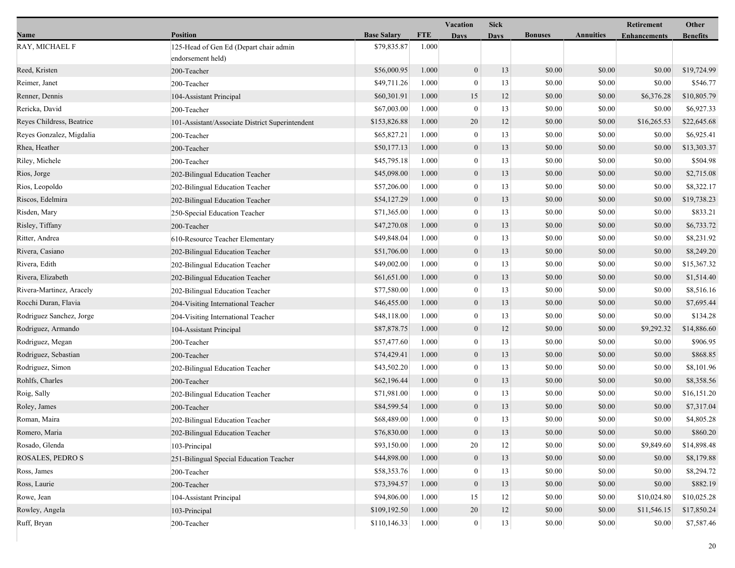|                           |                                                             |                    |            | Vacation         | <b>Sick</b> |                |                  | <b>Retirement</b>   | Other           |
|---------------------------|-------------------------------------------------------------|--------------------|------------|------------------|-------------|----------------|------------------|---------------------|-----------------|
| Name                      | <b>Position</b>                                             | <b>Base Salary</b> | <b>FTE</b> | <b>Days</b>      | Davs        | <b>Bonuses</b> | <b>Annuities</b> | <b>Enhancements</b> | <b>Benefits</b> |
| RAY, MICHAEL F            | 125-Head of Gen Ed (Depart chair admin<br>endorsement held) | \$79,835.87        | 1.000      |                  |             |                |                  |                     |                 |
| Reed, Kristen             | 200-Teacher                                                 | \$56,000.95        | 1.000      | $\boldsymbol{0}$ | 13          | \$0.00         | \$0.00           | \$0.00              | \$19,724.99     |
| Reimer, Janet             | 200-Teacher                                                 | \$49,711.26        | 1.000      | $\boldsymbol{0}$ | 13          | \$0.00         | \$0.00           | \$0.00              | \$546.77        |
| Renner, Dennis            | 104-Assistant Principal                                     | \$60,301.91        | 1.000      | 15               | 12          | \$0.00         | \$0.00           | \$6,376.28          | \$10,805.79     |
| Rericka, David            | 200-Teacher                                                 | \$67,003.00        | 1.000      | $\boldsymbol{0}$ | 13          | \$0.00         | \$0.00           | \$0.00              | \$6,927.33      |
| Reyes Childress, Beatrice | 101-Assistant/Associate District Superintendent             | \$153,826.88       | 1.000      | 20               | 12          | \$0.00         | \$0.00           | \$16,265.53         | \$22,645.68     |
| Reyes Gonzalez, Migdalia  | 200-Teacher                                                 | \$65,827.21        | 1.000      | $\bf{0}$         | 13          | \$0.00         | \$0.00           | \$0.00              | \$6,925.41      |
| Rhea, Heather             | 200-Teacher                                                 | \$50,177.13        | 1.000      | $\boldsymbol{0}$ | 13          | \$0.00         | \$0.00           | \$0.00              | \$13,303.37     |
| Riley, Michele            | 200-Teacher                                                 | \$45,795.18        | 1.000      | $\bf{0}$         | 13          | \$0.00         | \$0.00           | \$0.00              | \$504.98        |
| Rios, Jorge               | 202-Bilingual Education Teacher                             | \$45,098.00        | 1.000      | $\boldsymbol{0}$ | 13          | \$0.00         | \$0.00           | \$0.00              | \$2,715.08      |
| Rios, Leopoldo            | 202-Bilingual Education Teacher                             | \$57,206.00        | 1.000      | $\boldsymbol{0}$ | 13          | \$0.00         | \$0.00           | \$0.00              | \$8,322.17      |
| Riscos, Edelmira          | 202-Bilingual Education Teacher                             | \$54,127.29        | 1.000      | $\mathbf{0}$     | 13          | \$0.00         | \$0.00           | \$0.00              | \$19,738.23     |
| Risden, Mary              | 250-Special Education Teacher                               | \$71,365.00        | 1.000      | $\boldsymbol{0}$ | 13          | \$0.00         | \$0.00           | \$0.00              | \$833.21        |
| Risley, Tiffany           | 200-Teacher                                                 | \$47,270.08        | 1.000      | $\mathbf{0}$     | 13          | \$0.00         | \$0.00           | \$0.00              | \$6,733.72      |
| Ritter, Andrea            | 610-Resource Teacher Elementary                             | \$49,848.04        | 1.000      | $\bf{0}$         | 13          | \$0.00         | \$0.00           | \$0.00              | \$8,231.92      |
| Rivera, Casiano           | 202-Bilingual Education Teacher                             | \$51,706.00        | 1.000      | $\boldsymbol{0}$ | 13          | \$0.00         | \$0.00           | \$0.00              | \$8,249.20      |
| Rivera, Edith             | 202-Bilingual Education Teacher                             | \$49,002.00        | 1.000      | $\mathbf{0}$     | 13          | \$0.00         | \$0.00           | \$0.00              | \$15,367.32     |
| Rivera, Elizabeth         | 202-Bilingual Education Teacher                             | \$61,651.00        | 1.000      | $\boldsymbol{0}$ | 13          | \$0.00         | \$0.00           | \$0.00              | \$1,514.40      |
| Rivera-Martinez, Aracely  | 202-Bilingual Education Teacher                             | \$77,580.00        | 1.000      | $\boldsymbol{0}$ | 13          | \$0.00         | \$0.00           | \$0.00              | \$8,516.16      |
| Rocchi Duran, Flavia      | 204-Visiting International Teacher                          | \$46,455.00        | 1.000      | $\mathbf{0}$     | 13          | \$0.00         | \$0.00           | \$0.00              | \$7,695.44      |
| Rodriguez Sanchez, Jorge  | 204-Visiting International Teacher                          | \$48,118.00        | 1.000      | $\bf{0}$         | 13          | \$0.00         | \$0.00           | \$0.00              | \$134.28        |
| Rodriguez, Armando        | 104-Assistant Principal                                     | \$87,878.75        | 1.000      | $\boldsymbol{0}$ | 12          | \$0.00         | \$0.00           | \$9,292.32          | \$14,886.60     |
| Rodriguez, Megan          | 200-Teacher                                                 | \$57,477.60        | 1.000      | $\bf{0}$         | 13          | \$0.00         | \$0.00           | \$0.00              | \$906.95        |
| Rodriguez, Sebastian      | 200-Teacher                                                 | \$74,429.41        | 1.000      | $\boldsymbol{0}$ | 13          | \$0.00         | \$0.00           | \$0.00              | \$868.85        |
| Rodriguez, Simon          | 202-Bilingual Education Teacher                             | \$43,502.20        | 1.000      | $\boldsymbol{0}$ | 13          | \$0.00         | \$0.00           | \$0.00              | \$8,101.96      |
| Rohlfs, Charles           | 200-Teacher                                                 | \$62,196.44        | 1.000      | $\mathbf{0}$     | 13          | \$0.00         | \$0.00           | \$0.00              | \$8,358.56      |
| Roig, Sally               | 202-Bilingual Education Teacher                             | \$71,981.00        | 1.000      | $\bf{0}$         | 13          | \$0.00         | \$0.00           | \$0.00              | \$16,151.20     |
| Roley, James              | 200-Teacher                                                 | \$84,599.54        | 1.000      | $\mathbf{0}$     | 13          | \$0.00         | \$0.00           | \$0.00              | \$7,317.04      |
| Roman, Maira              | 202-Bilingual Education Teacher                             | \$68,489.00        | 1.000      | $\bf{0}$         | 13          | \$0.00         | \$0.00           | \$0.00              | \$4,805.28      |
| Romero, Maria             | 202-Bilingual Education Teacher                             | \$76,830.00        | 1.000      | $\Omega$         | 13          | \$0.00         | \$0.00           | $\$0.00$            | \$860.20        |
| Rosado, Glenda            | 103-Principal                                               | \$93,150.00        | 1.000      | 20               | 12          | \$0.00         | \$0.00           | \$9,849.60          | \$14,898.48     |
| ROSALES, PEDRO S          | 251-Bilingual Special Education Teacher                     | \$44,898.00        | 1.000      | $\boldsymbol{0}$ | 13          | \$0.00         | \$0.00           | \$0.00              | \$8,179.88      |
| Ross, James               | 200-Teacher                                                 | \$58,353.76        | 1.000      | $\theta$         | 13          | \$0.00         | \$0.00           | \$0.00              | \$8,294.72      |
| Ross, Laurie              | 200-Teacher                                                 | \$73,394.57        | 1.000      | $\mathbf{0}$     | 13          | \$0.00         | \$0.00           | \$0.00              | \$882.19        |
| Rowe, Jean                | 104-Assistant Principal                                     | \$94,806.00        | 1.000      | 15               | 12          | \$0.00         | \$0.00           | \$10,024.80         | \$10,025.28     |
| Rowley, Angela            | 103-Principal                                               | \$109,192.50       | 1.000      | 20               | 12          | \$0.00         | \$0.00           | \$11,546.15         | \$17,850.24     |
| Ruff, Bryan               | 200-Teacher                                                 | \$110,146.33       | 1.000      | $\mathbf{0}$     | 13          | \$0.00         | \$0.00           | \$0.00              | \$7,587.46      |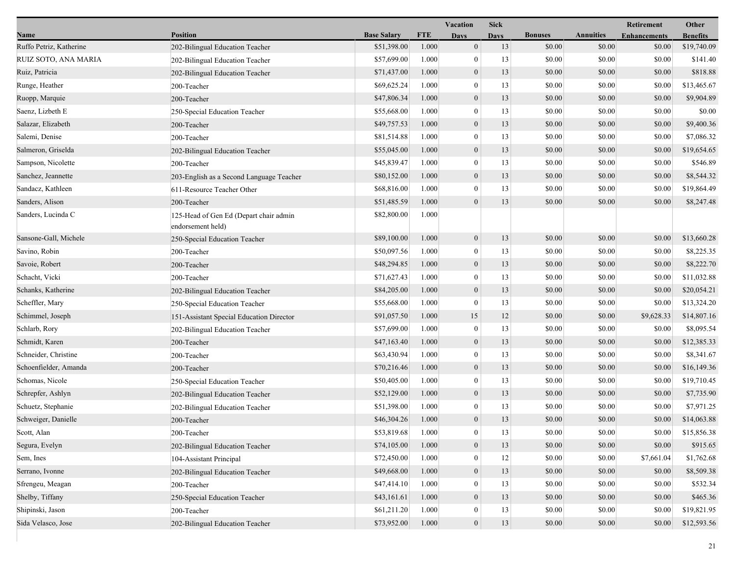|                         |                                                             |                    |            | Vacation         | <b>Sick</b> |                |                  | <b>Retirement</b>   | Other           |
|-------------------------|-------------------------------------------------------------|--------------------|------------|------------------|-------------|----------------|------------------|---------------------|-----------------|
| Name                    | <b>Position</b>                                             | <b>Base Salary</b> | <b>FTE</b> | Days             | Davs        | <b>Bonuses</b> | <b>Annuities</b> | <b>Enhancements</b> | <b>Benefits</b> |
| Ruffo Petriz, Katherine | 202-Bilingual Education Teacher                             | \$51,398.00        | 1.000      | $\mathbf{0}$     | 13          | \$0.00         | \$0.00           | \$0.00              | \$19,740.09     |
| RUIZ SOTO, ANA MARIA    | 202-Bilingual Education Teacher                             | \$57,699.00        | 1.000      | 0                | 13          | \$0.00         | \$0.00           | \$0.00              | \$141.40        |
| Ruiz, Patricia          | 202-Bilingual Education Teacher                             | \$71,437.00        | 1.000      | $\boldsymbol{0}$ | 13          | \$0.00         | \$0.00           | \$0.00              | \$818.88        |
| Runge, Heather          | 200-Teacher                                                 | \$69,625.24        | 1.000      | $\mathbf{0}$     | 13          | \$0.00         | \$0.00           | \$0.00              | \$13,465.67     |
| Ruopp, Marquie          | 200-Teacher                                                 | \$47,806.34        | 1.000      | $\boldsymbol{0}$ | 13          | \$0.00         | \$0.00           | \$0.00              | \$9,904.89      |
| Saenz, Lizbeth E        | 250-Special Education Teacher                               | \$55,668.00        | 1.000      | $\boldsymbol{0}$ | 13          | \$0.00         | \$0.00           | \$0.00              | \$0.00          |
| Salazar, Elizabeth      | 200-Teacher                                                 | \$49,757.53        | 1.000      | $\mathbf{0}$     | 13          | \$0.00         | \$0.00           | \$0.00              | \$9,400.36      |
| Salemi, Denise          | 200-Teacher                                                 | \$81,514.88        | 1.000      | 0                | 13          | \$0.00         | \$0.00           | \$0.00              | \$7,086.32      |
| Salmeron, Griselda      | 202-Bilingual Education Teacher                             | \$55,045.00        | 1.000      | $\overline{0}$   | 13          | \$0.00         | \$0.00           | \$0.00              | \$19,654.65     |
| Sampson, Nicolette      | 200-Teacher                                                 | \$45,839.47        | 1.000      | $\mathbf{0}$     | 13          | \$0.00         | \$0.00           | \$0.00              | \$546.89        |
| Sanchez, Jeannette      | 203-English as a Second Language Teacher                    | \$80,152.00        | 1.000      | $\boldsymbol{0}$ | 13          | \$0.00         | \$0.00           | \$0.00              | \$8,544.32      |
| Sandacz, Kathleen       | 611-Resource Teacher Other                                  | \$68,816.00        | 1.000      | $\mathbf{0}$     | 13          | \$0.00         | \$0.00           | \$0.00              | \$19,864.49     |
| Sanders, Alison         | 200-Teacher                                                 | \$51,485.59        | 1.000      | $\mathbf{0}$     | 13          | \$0.00         | \$0.00           | \$0.00              | \$8,247.48      |
| Sanders, Lucinda C      | 125-Head of Gen Ed (Depart chair admin<br>endorsement held) | \$82,800.00        | 1.000      |                  |             |                |                  |                     |                 |
| Sansone-Gall, Michele   | 250-Special Education Teacher                               | \$89,100.00        | 1.000      | $\overline{0}$   | 13          | \$0.00         | \$0.00           | \$0.00              | \$13,660.28     |
| Savino, Robin           | 200-Teacher                                                 | \$50,097.56        | 1.000      | $\bf{0}$         | 13          | \$0.00         | \$0.00           | \$0.00              | \$8,225.35      |
| Savoie, Robert          | 200-Teacher                                                 | \$48,294.85        | 1.000      | $\boldsymbol{0}$ | 13          | \$0.00         | \$0.00           | \$0.00              | \$8,222.70      |
| Schacht, Vicki          | 200-Teacher                                                 | \$71,627.43        | 1.000      | $\bf{0}$         | 13          | \$0.00         | \$0.00           | \$0.00              | \$11,032.88     |
| Schanks, Katherine      | 202-Bilingual Education Teacher                             | \$84,205.00        | 1.000      | $\mathbf{0}$     | 13          | \$0.00         | \$0.00           | \$0.00              | \$20,054.21     |
| Scheffler, Mary         | 250-Special Education Teacher                               | \$55,668.00        | 1.000      | $\mathbf{0}$     | 13          | \$0.00         | \$0.00           | \$0.00              | \$13,324.20     |
| Schimmel, Joseph        | 151-Assistant Special Education Director                    | \$91,057.50        | 1.000      | 15               | 12          | \$0.00         | \$0.00           | \$9,628.33          | \$14,807.16     |
| Schlarb, Rory           | 202-Bilingual Education Teacher                             | \$57,699.00        | 1.000      | $\boldsymbol{0}$ | 13          | \$0.00         | \$0.00           | \$0.00              | \$8,095.54      |
| Schmidt, Karen          | 200-Teacher                                                 | \$47,163.40        | 1.000      | $\boldsymbol{0}$ | 13          | \$0.00         | \$0.00           | \$0.00              | \$12,385.33     |
| Schneider, Christine    | 200-Teacher                                                 | \$63,430.94        | 1.000      | $\bf{0}$         | 13          | \$0.00         | \$0.00           | \$0.00              | \$8,341.67      |
| Schoenfielder, Amanda   | 200-Teacher                                                 | \$70,216.46        | 1.000      | $\mathbf{0}$     | 13          | \$0.00         | \$0.00           | \$0.00              | \$16,149.36     |
| Schomas, Nicole         | 250-Special Education Teacher                               | \$50,405.00        | 1.000      | $\mathbf{0}$     | 13          | \$0.00         | \$0.00           | \$0.00              | \$19,710.45     |
| Schrepfer, Ashlyn       | 202-Bilingual Education Teacher                             | \$52,129.00        | 1.000      | $\overline{0}$   | 13          | \$0.00         | \$0.00           | \$0.00              | \$7,735.90      |
| Schuetz, Stephanie      | 202-Bilingual Education Teacher                             | \$51,398.00        | 1.000      | $\bf{0}$         | 13          | \$0.00         | \$0.00           | \$0.00              | \$7,971.25      |
| Schweiger, Danielle     | 200-Teacher                                                 | \$46,304.26        | 1.000      | $\boldsymbol{0}$ | 13          | \$0.00         | \$0.00           | \$0.00              | \$14,063.88     |
| Scott, Alan             | 200-Teacher                                                 | \$53,819.68        | 1.000      | $\boldsymbol{0}$ | 13          | $\$0.00$       | \$0.00           | \$0.00              | \$15,856.38     |
| Segura, Evelyn          | 202-Bilingual Education Teacher                             | \$74,105.00        | 1.000      | $\overline{0}$   | 13          | \$0.00         | \$0.00           | \$0.00              | \$915.65        |
| Sem, Ines               | 104-Assistant Principal                                     | \$72,450.00        | 1.000      | $\mathbf{0}$     | 12          | \$0.00         | \$0.00           | \$7,661.04          | \$1,762.68      |
| Serrano, Ivonne         | 202-Bilingual Education Teacher                             | \$49,668.00        | 1.000      | $\boldsymbol{0}$ | 13          | \$0.00         | \$0.00           | \$0.00              | \$8,509.38      |
| Sfrengeu, Meagan        | 200-Teacher                                                 | \$47,414.10        | 1.000      | 0                | 13          | \$0.00         | \$0.00           | \$0.00              | \$532.34        |
| Shelby, Tiffany         | 250-Special Education Teacher                               | \$43,161.61        | 1.000      | $\mathbf{0}$     | 13          | \$0.00         | \$0.00           | \$0.00              | \$465.36        |
| Shipinski, Jason        | 200-Teacher                                                 | \$61,211.20        | 1.000      | 0                | 13          | \$0.00         | \$0.00           | \$0.00              | \$19,821.95     |
| Sida Velasco, Jose      | 202-Bilingual Education Teacher                             | \$73,952.00        | 1.000      | $\boldsymbol{0}$ | 13          | \$0.00         | \$0.00           | \$0.00              | \$12,593.56     |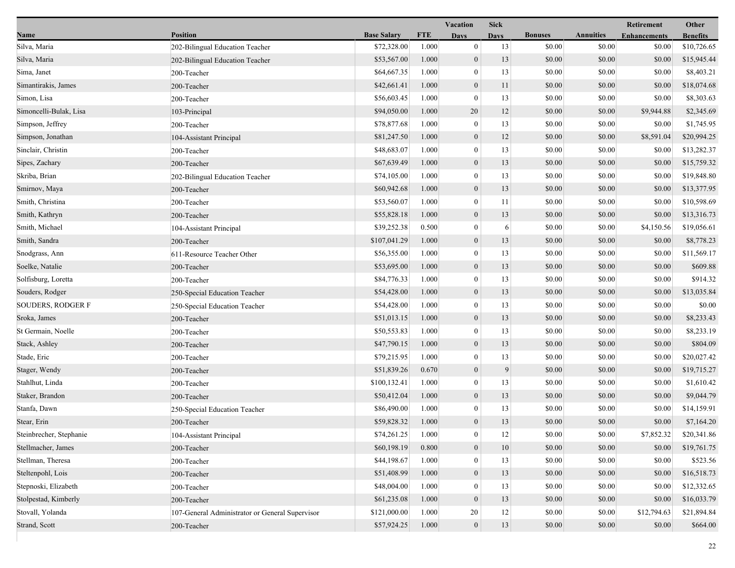|                          | Vacation<br><b>Retirement</b><br><b>Sick</b>    |                    |            |                  |             |                |                  |                     |                 |
|--------------------------|-------------------------------------------------|--------------------|------------|------------------|-------------|----------------|------------------|---------------------|-----------------|
| Name                     | <b>Position</b>                                 | <b>Base Salary</b> | <b>FTE</b> | <b>Days</b>      | <b>Days</b> | <b>Bonuses</b> | <b>Annuities</b> | <b>Enhancements</b> | <b>Benefits</b> |
| Silva, Maria             | 202-Bilingual Education Teacher                 | \$72,328.00        | 1.000      | $\mathbf{0}$     | 13          | \$0.00         | \$0.00           | \$0.00              | \$10,726.65     |
| Silva, Maria             | 202-Bilingual Education Teacher                 | \$53,567.00        | 1.000      | $\mathbf{0}$     | 13          | \$0.00         | \$0.00           | \$0.00              | \$15,945.44     |
| Sima, Janet              | 200-Teacher                                     | \$64,667.35        | 1.000      | $\bf{0}$         | 13          | \$0.00         | \$0.00           | \$0.00              | \$8,403.21      |
| Simantirakis, James      | 200-Teacher                                     | \$42,661.41        | 1.000      | $\mathbf{0}$     | 11          | \$0.00         | \$0.00           | \$0.00              | \$18,074.68     |
| Simon, Lisa              | 200-Teacher                                     | \$56,603.45        | 1.000      | $\bf{0}$         | 13          | \$0.00         | \$0.00           | \$0.00              | \$8,303.63      |
| Simoncelli-Bulak, Lisa   | 103-Principal                                   | \$94,050.00        | 1.000      | 20               | 12          | \$0.00         | \$0.00           | \$9,944.88          | \$2,345.69      |
| Simpson, Jeffrey         | 200-Teacher                                     | \$78,877.68        | 1.000      | $\mathbf{0}$     | 13          | \$0.00         | \$0.00           | \$0.00              | \$1,745.95      |
| Simpson, Jonathan        | 104-Assistant Principal                         | \$81,247.50        | 1.000      | $\mathbf{0}$     | 12          | \$0.00         | \$0.00           | \$8,591.04          | \$20,994.25     |
| Sinclair, Christin       | 200-Teacher                                     | \$48,683.07        | 1.000      | $\bf{0}$         | 13          | \$0.00         | \$0.00           | \$0.00              | \$13,282.37     |
| Sipes, Zachary           | 200-Teacher                                     | \$67,639.49        | 1.000      | $\mathbf{0}$     | 13          | \$0.00         | \$0.00           | \$0.00              | \$15,759.32     |
| Skriba, Brian            | 202-Bilingual Education Teacher                 | \$74,105.00        | 1.000      | $\bf{0}$         | 13          | \$0.00         | \$0.00           | \$0.00              | \$19,848.80     |
| Smirnov, Maya            | 200-Teacher                                     | \$60,942.68        | 1.000      | $\boldsymbol{0}$ | 13          | \$0.00         | \$0.00           | \$0.00              | \$13,377.95     |
| Smith, Christina         | 200-Teacher                                     | \$53,560.07        | 1.000      | $\mathbf{0}$     | 11          | \$0.00         | \$0.00           | \$0.00              | \$10,598.69     |
| Smith, Kathryn           | 200-Teacher                                     | \$55,828.18        | 1.000      | $\mathbf{0}$     | 13          | \$0.00         | \$0.00           | \$0.00              | \$13,316.73     |
| Smith, Michael           | 104-Assistant Principal                         | \$39,252.38        | 0.500      | $\boldsymbol{0}$ | 6           | \$0.00         | \$0.00           | \$4,150.56          | \$19,056.61     |
| Smith, Sandra            | 200-Teacher                                     | \$107,041.29       | 1.000      | $\mathbf{0}$     | 13          | \$0.00         | \$0.00           | \$0.00              | \$8,778.23      |
| Snodgrass, Ann           | 611-Resource Teacher Other                      | \$56,355.00        | 1.000      | $\bf{0}$         | 13          | \$0.00         | \$0.00           | \$0.00              | \$11,569.17     |
| Soelke, Natalie          | 200-Teacher                                     | \$53,695.00        | 1.000      | $\mathbf{0}$     | 13          | \$0.00         | \$0.00           | \$0.00              | \$609.88        |
| Solfisburg, Loretta      | 200-Teacher                                     | \$84,776.33        | 1.000      | $\mathbf{0}$     | 13          | \$0.00         | \$0.00           | \$0.00              | \$914.32        |
| Souders, Rodger          | 250-Special Education Teacher                   | \$54,428.00        | 1.000      | $\mathbf{0}$     | 13          | \$0.00         | \$0.00           | \$0.00              | \$13,035.84     |
| <b>SOUDERS, RODGER F</b> | 250-Special Education Teacher                   | \$54,428.00        | 1.000      | $\boldsymbol{0}$ | 13          | \$0.00         | \$0.00           | \$0.00              | \$0.00          |
| Sroka, James             | 200-Teacher                                     | \$51,013.15        | 1.000      | $\mathbf{0}$     | 13          | \$0.00         | \$0.00           | \$0.00              | \$8,233.43      |
| St Germain, Noelle       | 200-Teacher                                     | \$50,553.83        | 1.000      | $\bf{0}$         | 13          | \$0.00         | \$0.00           | \$0.00              | \$8,233.19      |
| Stack, Ashley            | 200-Teacher                                     | \$47,790.15        | 1.000      | $\mathbf{0}$     | 13          | \$0.00         | \$0.00           | \$0.00              | \$804.09        |
| Stade, Eric              | 200-Teacher                                     | \$79,215.95        | 1.000      | $\mathbf{0}$     | 13          | \$0.00         | \$0.00           | \$0.00              | \$20,027.42     |
| Stager, Wendy            | 200-Teacher                                     | \$51,839.26        | 0.670      | $\mathbf{0}$     | 9           | \$0.00         | \$0.00           | \$0.00              | \$19,715.27     |
| Stahlhut, Linda          | 200-Teacher                                     | \$100,132.41       | 1.000      | $\boldsymbol{0}$ | 13          | \$0.00         | \$0.00           | \$0.00              | \$1,610.42      |
| Staker, Brandon          | 200-Teacher                                     | \$50,412.04        | 1.000      | $\mathbf{0}$     | 13          | \$0.00         | \$0.00           | \$0.00              | \$9,044.79      |
| Stanfa, Dawn             | 250-Special Education Teacher                   | \$86,490.00        | 1.000      | $\bf{0}$         | 13          | \$0.00         | \$0.00           | \$0.00              | \$14,159.91     |
| Stear, Erin              | 200-Teacher                                     | \$59,828.32        | 1.000      | $\mathbf{0}$     | 13          | \$0.00         | \$0.00           | \$0.00              | \$7,164.20      |
| Steinbrecher, Stephanie  | 104-Assistant Principal                         | \$74,261.25        | 1.000      | $\bf{0}$         | 12          | \$0.00         | \$0.00           | \$7,852.32          | \$20,341.86     |
| Stellmacher, James       | 200-Teacher                                     | \$60,198.19        | 0.800      | $\mathbf{0}$     | 10          | \$0.00         | \$0.00           | \$0.00              | \$19,761.75     |
| Stellman, Theresa        | 200-Teacher                                     | \$44,198.67        | 1.000      | $\mathbf{0}$     | 13          | \$0.00         | \$0.00           | \$0.00              | \$523.56        |
| Steltenpohl, Lois        | 200-Teacher                                     | \$51,408.99        | 1.000      | $\mathbf{0}$     | 13          | \$0.00         | \$0.00           | \$0.00              | \$16,518.73     |
| Stepnoski, Elizabeth     | 200-Teacher                                     | \$48,004.00        | 1.000      | $\mathbf{0}$     | 13          | \$0.00         | \$0.00           | \$0.00              | \$12,332.65     |
| Stolpestad, Kimberly     | 200-Teacher                                     | \$61,235.08        | 1.000      | $\mathbf{0}$     | 13          | \$0.00         | \$0.00           | \$0.00              | \$16,033.79     |
| Stovall, Yolanda         | 107-General Administrator or General Supervisor | \$121,000.00       | 1.000      | 20               | 12          | \$0.00         | \$0.00           | \$12,794.63         | \$21,894.84     |
| Strand, Scott            | 200-Teacher                                     | \$57,924.25        | 1.000      | 0                | 13          | \$0.00         | \$0.00           | \$0.00              | \$664.00        |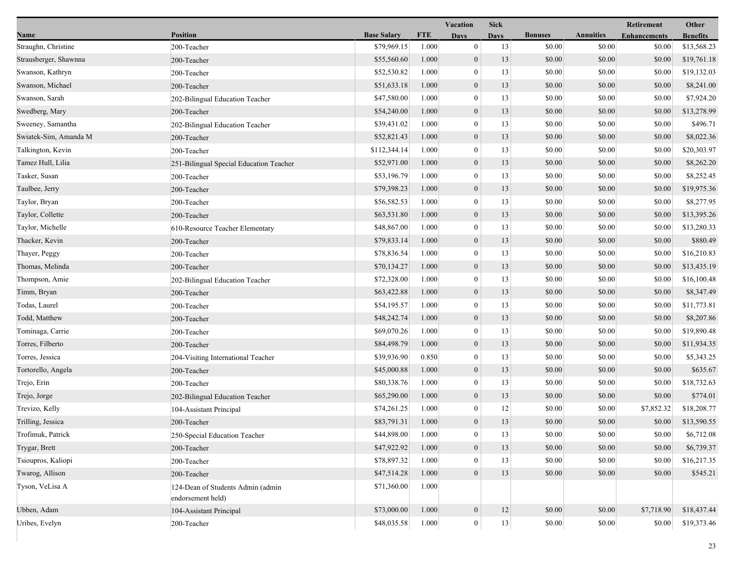|                       |                                                        |                    |            | Vacation         | <b>Sick</b> |                |                  | Retirement          | Other           |  |
|-----------------------|--------------------------------------------------------|--------------------|------------|------------------|-------------|----------------|------------------|---------------------|-----------------|--|
| Name                  | <b>Position</b>                                        | <b>Base Salary</b> | <b>FTE</b> | <b>Days</b>      | Davs        | <b>Bonuses</b> | <b>Annuities</b> | <b>Enhancements</b> | <b>Benefits</b> |  |
| Straughn, Christine   | 200-Teacher                                            | \$79,969.15        | 1.000      | $\mathbf{0}$     | 13          | \$0.00         | \$0.00           | \$0.00              | \$13,568.23     |  |
| Strausberger, Shawnna | 200-Teacher                                            | \$55,560.60        | 1.000      | $\boldsymbol{0}$ | 13          | \$0.00         | \$0.00           | \$0.00              | \$19,761.18     |  |
| Swanson, Kathryn      | 200-Teacher                                            | \$52,530.82        | 1.000      | $\boldsymbol{0}$ | 13          | \$0.00         | \$0.00           | \$0.00              | \$19,132.03     |  |
| Swanson, Michael      | 200-Teacher                                            | \$51,633.18        | 1.000      | $\boldsymbol{0}$ | 13          | \$0.00         | \$0.00           | \$0.00              | \$8,241.00      |  |
| Swanson, Sarah        | 202-Bilingual Education Teacher                        | \$47,580.00        | 1.000      | $\mathbf{0}$     | 13          | \$0.00         | \$0.00           | \$0.00              | \$7,924.20      |  |
| Swedberg, Mary        | 200-Teacher                                            | \$54,240.00        | 1.000      | $\boldsymbol{0}$ | 13          | \$0.00         | \$0.00           | \$0.00              | \$13,278.99     |  |
| Sweeney, Samantha     | 202-Bilingual Education Teacher                        | \$39,431.02        | 1.000      | $\mathbf{0}$     | 13          | \$0.00         | \$0.00           | \$0.00              | \$496.71        |  |
| Swiatek-Sim, Amanda M | 200-Teacher                                            | \$52,821.43        | 1.000      | $\mathbf{0}$     | 13          | \$0.00         | \$0.00           | \$0.00              | \$8,022.36      |  |
| Talkington, Kevin     | 200-Teacher                                            | \$112,344.14       | 1.000      | $\boldsymbol{0}$ | 13          | \$0.00         | \$0.00           | \$0.00              | \$20,303.97     |  |
| Tamez Hull, Lilia     | 251-Bilingual Special Education Teacher                | \$52,971.00        | 1.000      | $\boldsymbol{0}$ | 13          | \$0.00         | \$0.00           | \$0.00              | \$8,262.20      |  |
| Tasker, Susan         | 200-Teacher                                            | \$53,196.79        | 1.000      | $\boldsymbol{0}$ | 13          | \$0.00         | \$0.00           | \$0.00              | \$8,252.45      |  |
| Taulbee, Jerry        | 200-Teacher                                            | \$79,398.23        | 1.000      | $\boldsymbol{0}$ | 13          | \$0.00         | \$0.00           | \$0.00              | \$19,975.36     |  |
| Taylor, Bryan         | 200-Teacher                                            | \$56,582.53        | 1.000      | $\mathbf{0}$     | 13          | \$0.00         | \$0.00           | \$0.00              | \$8,277.95      |  |
| Taylor, Collette      | 200-Teacher                                            | \$63,531.80        | 1.000      | $\mathbf{0}$     | 13          | \$0.00         | \$0.00           | \$0.00              | \$13,395.26     |  |
| Taylor, Michelle      | 610-Resource Teacher Elementary                        | \$48,867.00        | 1.000      | $\mathbf{0}$     | 13          | \$0.00         | \$0.00           | \$0.00              | \$13,280.33     |  |
| Thacker, Kevin        | 200-Teacher                                            | \$79,833.14        | 1.000      | $\boldsymbol{0}$ | 13          | \$0.00         | \$0.00           | \$0.00              | \$880.49        |  |
| Thayer, Peggy         | 200-Teacher                                            | \$78,836.54        | 1.000      | 0                | 13          | \$0.00         | \$0.00           | \$0.00              | \$16,210.83     |  |
| Thomas, Melinda       | 200-Teacher                                            | \$70,134.27        | 1.000      | $\mathbf{0}$     | 13          | \$0.00         | \$0.00           | \$0.00              | \$13,435.19     |  |
| Thompson, Amie        | 202-Bilingual Education Teacher                        | \$72,328.00        | 1.000      | $\boldsymbol{0}$ | 13          | \$0.00         | \$0.00           | \$0.00              | \$16,100.48     |  |
| Timm, Bryan           | 200-Teacher                                            | \$63,422.88        | 1.000      | $\mathbf{0}$     | 13          | \$0.00         | \$0.00           | \$0.00              | \$8,347.49      |  |
| Todas, Laurel         | 200-Teacher                                            | \$54,195.57        | 1.000      | $\boldsymbol{0}$ | 13          | \$0.00         | \$0.00           | \$0.00              | \$11,773.81     |  |
| Todd, Matthew         | 200-Teacher                                            | \$48,242.74        | 1.000      | $\boldsymbol{0}$ | 13          | \$0.00         | \$0.00           | \$0.00              | \$8,207.86      |  |
| Tominaga, Carrie      | 200-Teacher                                            | \$69,070.26        | 1.000      | 0                | 13          | \$0.00         | \$0.00           | \$0.00              | \$19,890.48     |  |
| Torres, Filberto      | 200-Teacher                                            | \$84,498.79        | 1.000      | $\mathbf{0}$     | 13          | \$0.00         | \$0.00           | \$0.00              | \$11,934.35     |  |
| Torres, Jessica       | 204-Visiting International Teacher                     | \$39,936.90        | 0.850      | $\boldsymbol{0}$ | 13          | \$0.00         | \$0.00           | \$0.00              | \$5,343.25      |  |
| Tortorello, Angela    | 200-Teacher                                            | \$45,000.88        | 1.000      | $\mathbf{0}$     | 13          | \$0.00         | \$0.00           | \$0.00              | \$635.67        |  |
| Trejo, Erin           | 200-Teacher                                            | \$80,338.76        | 1.000      | $\boldsymbol{0}$ | 13          | \$0.00         | \$0.00           | \$0.00              | \$18,732.63     |  |
| Trejo, Jorge          | 202-Bilingual Education Teacher                        | \$65,290.00        | 1.000      | $\boldsymbol{0}$ | 13          | \$0.00         | \$0.00           | \$0.00              | \$774.01        |  |
| Trevizo, Kelly        | 104-Assistant Principal                                | \$74,261.25        | 1.000      | $\boldsymbol{0}$ | 12          | \$0.00         | \$0.00           | \$7,852.32          | \$18,208.77     |  |
| Trilling, Jessica     | 200-Teacher                                            | \$83,791.31        | 1.000      | $\overline{0}$   | 13          | \$0.00         | \$0.00           | \$0.00              | \$13,590.55     |  |
| Trofimuk, Patrick     | 250-Special Education Teacher                          | \$44,898.00        | 1.000      | $\theta$         | 13          | \$0.00         | \$0.00           | \$0.00              | \$6,712.08      |  |
| Trygar, Brett         | 200-Teacher                                            | \$47,922.92        | 1.000      | $\mathbf{0}$     | 13          | \$0.00         | \$0.00           | \$0.00              | \$6,739.37      |  |
| Tsioupros, Kaliopi    | 200-Teacher                                            | \$78,897.32        | 1.000      | $\mathbf{0}$     | 13          | \$0.00         | \$0.00           | \$0.00              | \$16,217.35     |  |
| Twarog, Allison       | 200-Teacher                                            | \$47,514.28        | 1.000      | $\mathbf{0}$     | 13          | \$0.00         | \$0.00           | \$0.00              | \$545.21        |  |
| Tyson, VeLisa A       | 124-Dean of Students Admin (admin<br>endorsement held) | \$71,360.00        | 1.000      |                  |             |                |                  |                     |                 |  |
| Ubben, Adam           | 104-Assistant Principal                                | \$73,000.00        | 1.000      | $\mathbf{0}$     | 12          | \$0.00         | \$0.00           | \$7,718.90          | \$18,437.44     |  |
| Uribes, Evelyn        | 200-Teacher                                            | \$48,035.58        | 1.000      | $\boldsymbol{0}$ | $13\,$      | \$0.00         | \$0.00           | \$0.00              | \$19,373.46     |  |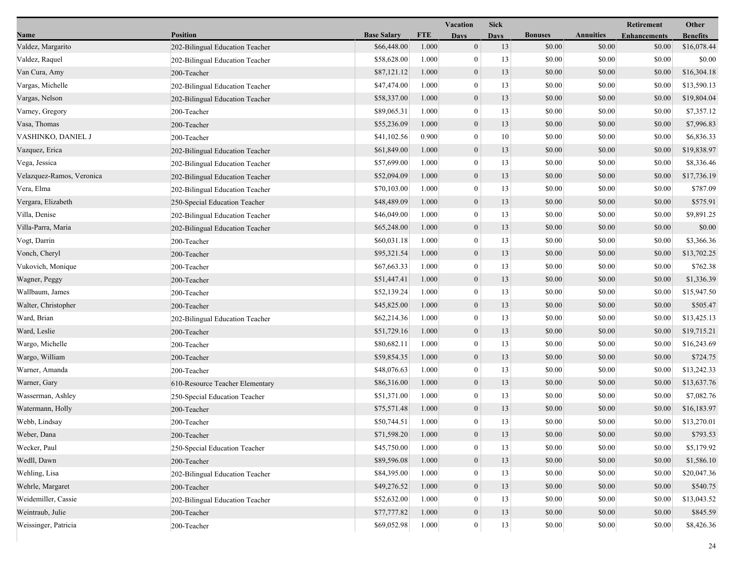|                           |                                 |                    |            | <b>Vacation</b><br><b>Sick</b> |             |                |                  | Retirement          | Other           |  |
|---------------------------|---------------------------------|--------------------|------------|--------------------------------|-------------|----------------|------------------|---------------------|-----------------|--|
| Name                      | <b>Position</b>                 | <b>Base Salary</b> | <b>FTE</b> | <b>Days</b>                    | <b>Days</b> | <b>Bonuses</b> | <b>Annuities</b> | <b>Enhancements</b> | <b>Benefits</b> |  |
| Valdez, Margarito         | 202-Bilingual Education Teacher | \$66,448.00        | 1.000      | $\mathbf{0}$                   | 13          | \$0.00         | \$0.00           | \$0.00              | \$16,078.44     |  |
| Valdez, Raquel            | 202-Bilingual Education Teacher | \$58,628.00        | 1.000      | $\mathbf{0}$                   | 13          | \$0.00         | \$0.00           | \$0.00              | \$0.00          |  |
| Van Cura, Amy             | 200-Teacher                     | \$87,121.12        | 1.000      | $\boldsymbol{0}$               | 13          | \$0.00         | \$0.00           | \$0.00              | \$16,304.18     |  |
| Vargas, Michelle          | 202-Bilingual Education Teacher | \$47,474.00        | 1.000      | $\theta$                       | 13          | \$0.00         | \$0.00           | \$0.00              | \$13,590.13     |  |
| Vargas, Nelson            | 202-Bilingual Education Teacher | \$58,337.00        | 1.000      | $\boldsymbol{0}$               | 13          | \$0.00         | \$0.00           | \$0.00              | \$19,804.04     |  |
| Varney, Gregory           | 200-Teacher                     | \$89,065.31        | 1.000      | $\mathbf{0}$                   | 13          | \$0.00         | \$0.00           | \$0.00              | \$7,357.12      |  |
| Vasa, Thomas              | 200-Teacher                     | \$55,236.09        | 1.000      | $\mathbf{0}$                   | 13          | \$0.00         | \$0.00           | \$0.00              | \$7,996.83      |  |
| VASHINKO, DANIEL J        | 200-Teacher                     | \$41,102.56        | 0.900      | $\mathbf{0}$                   | 10          | \$0.00         | \$0.00           | \$0.00              | \$6,836.33      |  |
| Vazquez, Erica            | 202-Bilingual Education Teacher | \$61,849.00        | 1.000      | $\boldsymbol{0}$               | 13          | \$0.00         | \$0.00           | \$0.00              | \$19,838.97     |  |
| Vega, Jessica             | 202-Bilingual Education Teacher | \$57,699.00        | 1.000      | $\theta$                       | 13          | \$0.00         | \$0.00           | \$0.00              | \$8,336.46      |  |
| Velazquez-Ramos, Veronica | 202-Bilingual Education Teacher | \$52,094.09        | 1.000      | $\boldsymbol{0}$               | 13          | \$0.00         | \$0.00           | \$0.00              | \$17,736.19     |  |
| Vera, Elma                | 202-Bilingual Education Teacher | \$70,103.00        | 1.000      | $\mathbf{0}$                   | 13          | \$0.00         | \$0.00           | \$0.00              | \$787.09        |  |
| Vergara, Elizabeth        | 250-Special Education Teacher   | \$48,489.09        | 1.000      | $\mathbf{0}$                   | 13          | \$0.00         | \$0.00           | \$0.00              | \$575.91        |  |
| Villa, Denise             | 202-Bilingual Education Teacher | \$46,049.00        | 1.000      | $\mathbf{0}$                   | 13          | \$0.00         | \$0.00           | \$0.00              | \$9,891.25      |  |
| Villa-Parra, Maria        | 202-Bilingual Education Teacher | \$65,248.00        | 1.000      | $\boldsymbol{0}$               | 13          | \$0.00         | \$0.00           | \$0.00              | \$0.00          |  |
| Vogt, Darrin              | 200-Teacher                     | \$60,031.18        | 1.000      | $\mathbf{0}$                   | 13          | \$0.00         | \$0.00           | \$0.00              | \$3,366.36      |  |
| Vonch, Cheryl             | 200-Teacher                     | \$95,321.54        | 1.000      | $\mathbf{0}$                   | 13          | \$0.00         | \$0.00           | \$0.00              | \$13,702.25     |  |
| Vukovich, Monique         | 200-Teacher                     | \$67,663.33        | 1.000      | $\mathbf{0}$                   | 13          | \$0.00         | \$0.00           | \$0.00              | \$762.38        |  |
| Wagner, Peggy             | 200-Teacher                     | \$51,447.41        | 1.000      | $\mathbf{0}$                   | 13          | \$0.00         | \$0.00           | \$0.00              | \$1,336.39      |  |
| Wallbaum, James           | 200-Teacher                     | \$52,139.24        | 1.000      | $\mathbf{0}$                   | 13          | \$0.00         | \$0.00           | \$0.00              | \$15,947.50     |  |
| Walter, Christopher       | 200-Teacher                     | \$45,825.00        | 1.000      | $\boldsymbol{0}$               | 13          | \$0.00         | \$0.00           | \$0.00              | \$505.47        |  |
| Ward, Brian               | 202-Bilingual Education Teacher | \$62,214.36        | 1.000      | $\mathbf{0}$                   | 13          | \$0.00         | \$0.00           | \$0.00              | \$13,425.13     |  |
| Ward, Leslie              | 200-Teacher                     | \$51,729.16        | 1.000      | $\boldsymbol{0}$               | 13          | \$0.00         | \$0.00           | \$0.00              | \$19,715.21     |  |
| Wargo, Michelle           | 200-Teacher                     | \$80,682.11        | 1.000      | $\boldsymbol{0}$               | 13          | \$0.00         | \$0.00           | \$0.00              | \$16,243.69     |  |
| Wargo, William            | 200-Teacher                     | \$59,854.35        | 1.000      | $\mathbf{0}$                   | 13          | \$0.00         | \$0.00           | \$0.00              | \$724.75        |  |
| Warner, Amanda            | 200-Teacher                     | \$48,076.63        | 1.000      | $\mathbf{0}$                   | 13          | \$0.00         | \$0.00           | \$0.00              | \$13,242.33     |  |
| Warner, Gary              | 610-Resource Teacher Elementary | \$86,316.00        | 1.000      | $\mathbf{0}$                   | 13          | \$0.00         | \$0.00           | \$0.00              | \$13,637.76     |  |
| Wasserman, Ashley         | 250-Special Education Teacher   | \$51,371.00        | 1.000      | $\mathbf{0}$                   | 13          | \$0.00         | \$0.00           | \$0.00              | \$7,082.76      |  |
| Watermann, Holly          | 200-Teacher                     | \$75,571.48        | 1.000      | $\mathbf{0}$                   | 13          | \$0.00         | \$0.00           | \$0.00              | \$16,183.97     |  |
| Webb, Lindsay             | 200-Teacher                     | \$50,744.51        | 1.000      | $\overline{0}$                 | 13          | \$0.00         | \$0.00           | \$0.00              | \$13,270.01     |  |
| Weber, Dana               | 200-Teacher                     | \$71,598.20        | 1.000      | $\boldsymbol{0}$               | 13          | \$0.00         | \$0.00           | \$0.00              | \$793.53        |  |
| Wecker, Paul              | 250-Special Education Teacher   | \$45,750.00        | 1.000      | $\theta$                       | 13          | \$0.00         | \$0.00           | \$0.00              | \$5,179.92      |  |
| Wedll, Dawn               | 200-Teacher                     | \$89,596.08        | 1.000      | $\mathbf{0}$                   | 13          | \$0.00         | \$0.00           | \$0.00              | \$1,586.10      |  |
| Wehling, Lisa             | 202-Bilingual Education Teacher | \$84,395.00        | 1.000      | $\overline{0}$                 | 13          | \$0.00         | \$0.00           | \$0.00              | \$20,047.36     |  |
| Wehrle, Margaret          | 200-Teacher                     | \$49,276.52        | 1.000      | $\mathbf{0}$                   | 13          | \$0.00         | \$0.00           | \$0.00              | \$540.75        |  |
| Weidemiller, Cassie       | 202-Bilingual Education Teacher | \$52,632.00        | 1.000      | $\overline{0}$                 | 13          | \$0.00         | \$0.00           | \$0.00              | \$13,043.52     |  |
| Weintraub, Julie          | 200-Teacher                     | \$77,777.82        | 1.000      | $\boldsymbol{0}$               | 13          | \$0.00         | \$0.00           | \$0.00              | \$845.59        |  |
| Weissinger, Patricia      | 200-Teacher                     | \$69,052.98        | 1.000      | $\boldsymbol{0}$               | 13          | \$0.00         | $\$0.00$         | \$0.00              | \$8,426.36      |  |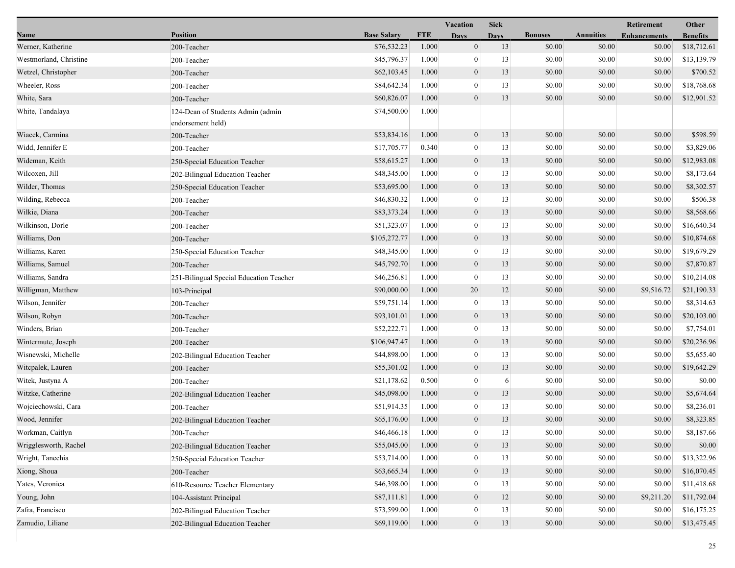| Name                   | <b>Position</b>                                        |                    |            | Vacation         | <b>Sick</b> |                |                  | Retirement          | Other           |
|------------------------|--------------------------------------------------------|--------------------|------------|------------------|-------------|----------------|------------------|---------------------|-----------------|
|                        |                                                        | <b>Base Salary</b> | <b>FTE</b> | <b>Days</b>      | <b>Days</b> | <b>Bonuses</b> | <b>Annuities</b> | <b>Enhancements</b> | <b>Benefits</b> |
| Werner, Katherine      | 200-Teacher                                            | \$76,532.23        | 1.000      | $\mathbf{0}$     | 13          | \$0.00         | \$0.00           | \$0.00              | \$18,712.61     |
| Westmorland, Christine | 200-Teacher                                            | \$45,796.37        | 1.000      | 0                | 13          | \$0.00         | \$0.00           | \$0.00              | \$13,139.79     |
| Wetzel, Christopher    | 200-Teacher                                            | \$62,103.45        | 1.000      | $\boldsymbol{0}$ | 13          | \$0.00         | \$0.00           | \$0.00              | \$700.52        |
| Wheeler, Ross          | 200-Teacher                                            | \$84,642.34        | 1.000      | $\mathbf{0}$     | 13          | \$0.00         | \$0.00           | \$0.00              | \$18,768.68     |
| White, Sara            | 200-Teacher                                            | \$60,826.07        | 1.000      | $\mathbf{0}$     | 13          | \$0.00         | \$0.00           | \$0.00              | \$12,901.52     |
| White, Tandalaya       | 124-Dean of Students Admin (admin<br>endorsement held) | \$74,500.00        | 1.000      |                  |             |                |                  |                     |                 |
| Wiacek, Carmina        | 200-Teacher                                            | \$53,834.16        | 1.000      | $\boldsymbol{0}$ | 13          | \$0.00         | \$0.00           | \$0.00              | \$598.59        |
| Widd, Jennifer E       | 200-Teacher                                            | \$17,705.77        | 0.340      | 0                | 13          | \$0.00         | \$0.00           | \$0.00              | \$3,829.06      |
| Wideman, Keith         | 250-Special Education Teacher                          | \$58,615.27        | 1.000      | $\mathbf{0}$     | 13          | \$0.00         | \$0.00           | \$0.00              | \$12,983.08     |
| Wilcoxen, Jill         | 202-Bilingual Education Teacher                        | \$48,345.00        | 1.000      | $\boldsymbol{0}$ | 13          | \$0.00         | \$0.00           | \$0.00              | \$8,173.64      |
| Wilder, Thomas         | 250-Special Education Teacher                          | \$53,695.00        | 1.000      | $\mathbf{0}$     | 13          | \$0.00         | \$0.00           | \$0.00              | \$8,302.57      |
| Wilding, Rebecca       | 200-Teacher                                            | \$46,830.32        | 1.000      | $\boldsymbol{0}$ | 13          | \$0.00         | \$0.00           | \$0.00              | \$506.38        |
| Wilkie, Diana          | 200-Teacher                                            | \$83,373.24        | 1.000      | $\boldsymbol{0}$ | 13          | \$0.00         | \$0.00           | \$0.00              | \$8,568.66      |
| Wilkinson, Dorle       | 200-Teacher                                            | \$51,323.07        | 1.000      | $\boldsymbol{0}$ | 13          | \$0.00         | \$0.00           | \$0.00              | \$16,640.34     |
| Williams, Don          | 200-Teacher                                            | \$105,272.77       | 1.000      | $\boldsymbol{0}$ | 13          | \$0.00         | \$0.00           | \$0.00              | \$10,874.68     |
| Williams, Karen        | 250-Special Education Teacher                          | \$48,345.00        | 1.000      | $\boldsymbol{0}$ | 13          | \$0.00         | \$0.00           | \$0.00              | \$19,679.29     |
| Williams, Samuel       | 200-Teacher                                            | \$45,792.70        | 1.000      | $\boldsymbol{0}$ | 13          | \$0.00         | \$0.00           | \$0.00              | \$7,870.87      |
| Williams, Sandra       | 251-Bilingual Special Education Teacher                | \$46,256.81        | 1.000      | $\boldsymbol{0}$ | 13          | \$0.00         | \$0.00           | \$0.00              | \$10,214.08     |
| Willigman, Matthew     | 103-Principal                                          | \$90,000.00        | 1.000      | 20               | 12          | \$0.00         | \$0.00           | \$9,516.72          | \$21,190.33     |
| Wilson, Jennifer       | 200-Teacher                                            | \$59,751.14        | 1.000      | $\mathbf{0}$     | 13          | \$0.00         | \$0.00           | \$0.00              | \$8,314.63      |
| Wilson, Robyn          | 200-Teacher                                            | \$93,101.01        | 1.000      | $\boldsymbol{0}$ | 13          | \$0.00         | \$0.00           | \$0.00              | \$20,103.00     |
| Winders, Brian         | 200-Teacher                                            | \$52,222.71        | 1.000      | $\boldsymbol{0}$ | 13          | \$0.00         | \$0.00           | \$0.00              | \$7,754.01      |
| Wintermute, Joseph     | 200-Teacher                                            | \$106,947.47       | 1.000      | $\boldsymbol{0}$ | 13          | \$0.00         | \$0.00           | \$0.00              | \$20,236.96     |
| Wisnewski, Michelle    | 202-Bilingual Education Teacher                        | \$44,898.00        | 1.000      | $\bf{0}$         | 13          | \$0.00         | \$0.00           | \$0.00              | \$5,655.40      |
| Witcpalek, Lauren      | 200-Teacher                                            | \$55,301.02        | 1.000      | $\boldsymbol{0}$ | 13          | \$0.00         | \$0.00           | \$0.00              | \$19,642.29     |
| Witek, Justyna A       | 200-Teacher                                            | \$21,178.62        | 0.500      | $\mathbf{0}$     | 6           | \$0.00         | \$0.00           | \$0.00              | \$0.00          |
| Witzke, Catherine      | 202-Bilingual Education Teacher                        | \$45,098.00        | 1.000      | $\boldsymbol{0}$ | 13          | \$0.00         | \$0.00           | \$0.00              | \$5,674.64      |
| Wojciechowski, Cara    | 200-Teacher                                            | \$51,914.35        | 1.000      | $\boldsymbol{0}$ | 13          | \$0.00         | \$0.00           | \$0.00              | \$8,236.01      |
| Wood, Jennifer         | 202-Bilingual Education Teacher                        | \$65,176.00        | 1.000      | $\boldsymbol{0}$ | 13          | \$0.00         | \$0.00           | \$0.00              | \$8,323.85      |
| Workman, Caitlyn       | 200-Teacher                                            | \$46,466.18        | 1.000      | $\boldsymbol{0}$ | 13          | \$0.00         | $\$0.00$         | $\$0.00$            | \$8,187.66      |
| Wrigglesworth, Rachel  | 202-Bilingual Education Teacher                        | \$55,045.00        | 1.000      | $\boldsymbol{0}$ | 13          | \$0.00         | \$0.00           | \$0.00              | \$0.00          |
| Wright, Tanechia       | 250-Special Education Teacher                          | \$53,714.00        | 1.000      | $\boldsymbol{0}$ | 13          | \$0.00         | \$0.00           | \$0.00              | \$13,322.96     |
| Xiong, Shoua           | 200-Teacher                                            | \$63,665.34        | 1.000      | $\boldsymbol{0}$ | 13          | \$0.00         | \$0.00           | \$0.00              | \$16,070.45     |
| Yates, Veronica        | 610-Resource Teacher Elementary                        | \$46,398.00        | 1.000      | 0                | 13          | \$0.00         | \$0.00           | \$0.00              | \$11,418.68     |
| Young, John            | 104-Assistant Principal                                | \$87,111.81        | 1.000      | $\mathbf{0}$     | 12          | \$0.00         | \$0.00           | \$9,211.20          | \$11,792.04     |
| Zafra, Francisco       | 202-Bilingual Education Teacher                        | \$73,599.00        | 1.000      | 0                | 13          | \$0.00         | \$0.00           | \$0.00              | \$16,175.25     |
| Zamudio, Liliane       | 202-Bilingual Education Teacher                        | \$69,119.00        | 1.000      | $\boldsymbol{0}$ | 13          | \$0.00         | \$0.00           | \$0.00              | \$13,475.45     |